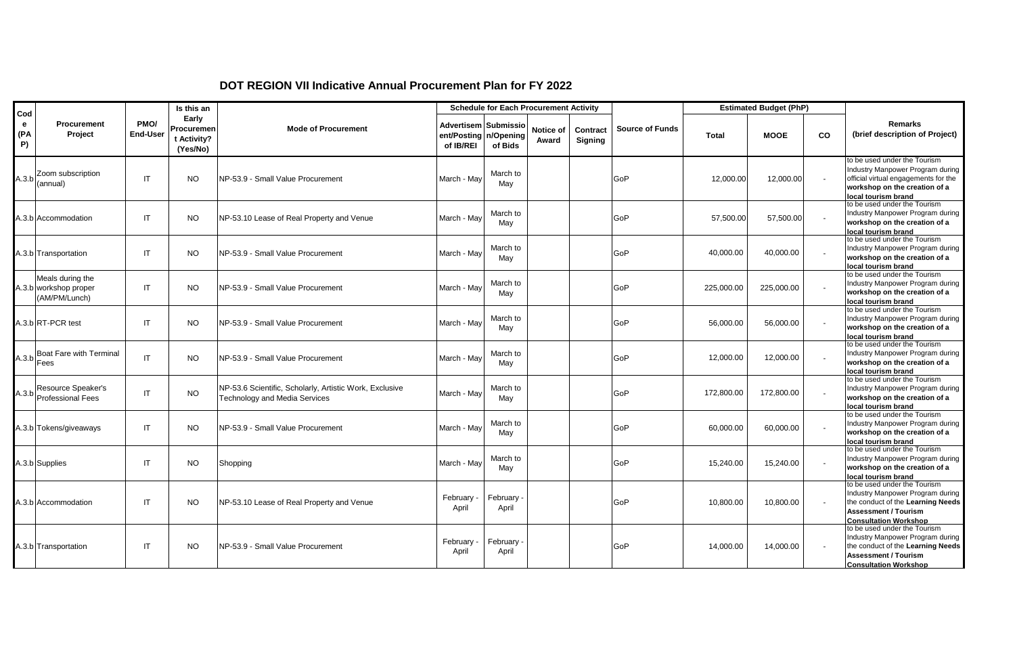| Cod            |                                                            |                         | Is this an                                     |                                                                                          |                                                            | <b>Schedule for Each Procurement Activity</b> |                    |                     |                        |              | <b>Estimated Budget (PhP)</b> |                          |                                                                                                                                                                      |
|----------------|------------------------------------------------------------|-------------------------|------------------------------------------------|------------------------------------------------------------------------------------------|------------------------------------------------------------|-----------------------------------------------|--------------------|---------------------|------------------------|--------------|-------------------------------|--------------------------|----------------------------------------------------------------------------------------------------------------------------------------------------------------------|
| e<br>(PA<br>P) | Procurement<br>Project                                     | PMO/<br><b>End-User</b> | Early<br>Procuremen<br>t Activity?<br>(Yes/No) | <b>Mode of Procurement</b>                                                               | Advertisem Submissio<br>ent/Posting n/Opening<br>of IB/REI | of Bids                                       | Notice of<br>Award | Contract<br>Signing | <b>Source of Funds</b> | <b>Total</b> | <b>MOOE</b>                   | CO                       | <b>Remarks</b><br>(brief description of Project)                                                                                                                     |
|                | $A.3.b$ Zoom subscription<br>(annual)                      | IT                      | <b>NO</b>                                      | INP-53.9 - Small Value Procurement                                                       | March - Mav                                                | March to<br>May                               |                    |                     | GoP                    | 12,000.00    | 12,000.00                     | $\overline{\phantom{a}}$ | to be used under the Tourism<br>Industry Manpower Program during<br>official virtual engagements for the<br>workshop on the creation of a<br>local tourism brand     |
|                | A.3.b Accommodation                                        | IT                      | <b>NO</b>                                      | NP-53.10 Lease of Real Property and Venue                                                | March - May                                                | March to<br>May                               |                    |                     | GoP                    | 57,500.00    | 57,500.00                     |                          | to be used under the Tourism<br>Industry Manpower Program during<br>workshop on the creation of a<br>local tourism brand                                             |
|                | A.3.b Transportation                                       | IT                      | <b>NO</b>                                      | INP-53.9 - Small Value Procurement                                                       | March - May                                                | March to<br>May                               |                    |                     | GoP                    | 40.000.00    | 40.000.00                     |                          | to be used under the Tourism<br>Industry Manpower Program during<br>workshop on the creation of a<br>local tourism brand                                             |
|                | Meals during the<br>A.3.b workshop proper<br>(AM/PM/Lunch) | IT                      | <b>NO</b>                                      | INP-53.9 - Small Value Procurement                                                       | March - May                                                | March to<br>May                               |                    |                     | GoP                    | 225,000.00   | 225,000.00                    |                          | to be used under the Tourism<br>Industry Manpower Program during<br>workshop on the creation of a<br>local tourism brand                                             |
|                | A.3.b RT-PCR test                                          | IT                      | <b>NO</b>                                      | INP-53.9 - Small Value Procurement                                                       | March - Mav                                                | March to<br>May                               |                    |                     | GoP                    | 56,000.00    | 56,000.00                     |                          | to be used under the Tourism<br>Industry Manpower Program during<br>workshop on the creation of a<br>local tourism brand                                             |
|                | Boat Fare with Terminal<br>$A.3.b$ Fees                    | IT                      | <b>NO</b>                                      | NP-53.9 - Small Value Procurement                                                        | March - May                                                | March to<br>May                               |                    |                     | GoP                    | 12,000.00    | 12,000.00                     | $\overline{\phantom{a}}$ | to be used under the Tourism<br>Industry Manpower Program during<br>workshop on the creation of a<br>local tourism brand                                             |
|                | Resource Speaker's<br>A.3.b Professional Fees              | IT                      | <b>NO</b>                                      | NP-53.6 Scientific, Scholarly, Artistic Work, Exclusive<br>Technology and Media Services | March - May                                                | March to<br>May                               |                    |                     | GoP                    | 172,800.00   | 172,800.00                    |                          | to be used under the Tourism<br>Industry Manpower Program during<br>workshop on the creation of a<br>local tourism brand                                             |
|                | A.3.b Tokens/giveaways                                     | IT                      | <b>NO</b>                                      | NP-53.9 - Small Value Procurement                                                        | March - Mav                                                | March to<br>May                               |                    |                     | GoP                    | 60,000.00    | 60,000.00                     |                          | to be used under the Tourism<br>Industry Manpower Program during<br>workshop on the creation of a<br>local tourism brand                                             |
|                | A.3.b Supplies                                             | IT                      | <b>NO</b>                                      | Shopping                                                                                 | March - May                                                | March to<br>May                               |                    |                     | GoP                    | 15,240.00    | 15,240.00                     |                          | to be used under the Tourism<br>Industry Manpower Program during<br>workshop on the creation of a<br>local tourism brand                                             |
|                | A.3.b Accommodation                                        | <b>IT</b>               | <b>NO</b>                                      | NP-53.10 Lease of Real Property and Venue                                                | February<br>April                                          | February<br>April                             |                    |                     | GoP                    | 10.800.00    | 10,800.00                     | $\overline{\phantom{a}}$ | to be used under the Tourism<br>Industry Manpower Program during<br>the conduct of the Learning Needs<br><b>Assessment / Tourism</b><br><b>Consultation Workshop</b> |
|                | A.3.b Transportation                                       | IT                      | <b>NO</b>                                      | INP-53.9 - Small Value Procurement                                                       | February<br>April                                          | February<br>April                             |                    |                     | GoP                    | 14,000.00    | 14,000.00                     |                          | to be used under the Tourism<br>Industry Manpower Program during<br>the conduct of the Learning Needs<br><b>Assessment / Tourism</b><br><b>Consultation Workshop</b> |

## **DOT REGION VII Indicative Annual Procurement Plan for FY 2022**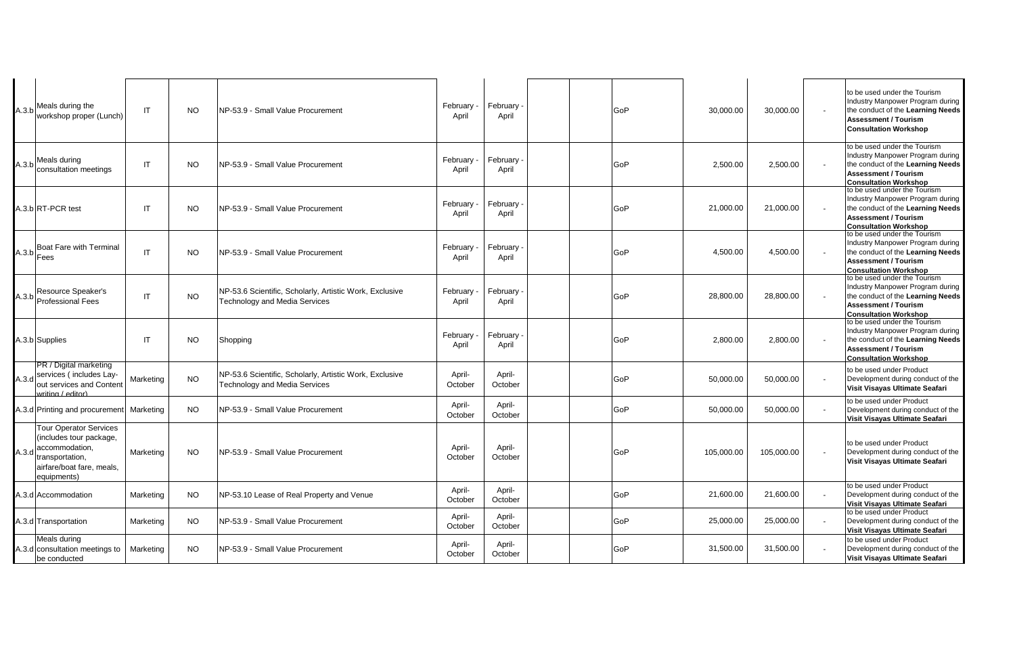|       | A.3.b Meals during the<br>workshop proper (Lunch)                                                                                         | IT        | <b>NO</b> | NP-53.9 - Small Value Procurement                                                               | February<br>April | February<br>April | GoP | 30,000.00  | 30,000.00  | to be used under the Tourism<br>Industry Manpower Program during<br>the conduct of the Learning Needs<br><b>Assessment / Tourism</b><br><b>Consultation Workshop</b> |
|-------|-------------------------------------------------------------------------------------------------------------------------------------------|-----------|-----------|-------------------------------------------------------------------------------------------------|-------------------|-------------------|-----|------------|------------|----------------------------------------------------------------------------------------------------------------------------------------------------------------------|
| A.3.b | Meals during<br>consultation meetings                                                                                                     | IT        | <b>NO</b> | NP-53.9 - Small Value Procurement                                                               | February<br>April | February<br>April | GoP | 2,500.00   | 2,500.00   | to be used under the Tourism<br>Industry Manpower Program during<br>the conduct of the Learning Needs<br><b>Assessment / Tourism</b><br><b>Consultation Workshop</b> |
|       | A.3.b RT-PCR test                                                                                                                         | IT        | <b>NO</b> | NP-53.9 - Small Value Procurement                                                               | February<br>April | February<br>April | GoP | 21,000.00  | 21,000.00  | to be used under the Tourism<br>Industry Manpower Program during<br>the conduct of the Learning Needs<br><b>Assessment / Tourism</b><br><b>Consultation Workshop</b> |
|       | A.3.b Boat Fare with Terminal                                                                                                             | IT        | <b>NO</b> | NP-53.9 - Small Value Procurement                                                               | February<br>April | February<br>April | GoP | 4,500.00   | 4,500.00   | to be used under the Tourism<br>Industry Manpower Program during<br>the conduct of the Learning Needs<br><b>Assessment / Tourism</b><br><b>Consultation Workshop</b> |
|       | A.3.b Resource Speaker's<br>Professional Fees                                                                                             | IT        | <b>NO</b> | NP-53.6 Scientific, Scholarly, Artistic Work, Exclusive<br>Technology and Media Services        | February<br>April | February<br>April | GoP | 28,800.00  | 28,800.00  | to be used under the Tourism<br>Industry Manpower Program during<br>the conduct of the Learning Needs<br><b>Assessment / Tourism</b><br><b>Consultation Workshop</b> |
|       | A.3.b Supplies                                                                                                                            | IT        | <b>NO</b> | Shopping                                                                                        | February<br>April | February<br>April | GoP | 2,800.00   | 2,800.00   | to be used under the Tourism<br>Industry Manpower Program during<br>the conduct of the Learning Needs<br><b>Assessment / Tourism</b><br><b>Consultation Workshop</b> |
| A.3.d | PR / Digital marketing<br>services (includes Lay-<br>out services and Content<br>writing / editor)                                        | Marketing | <b>NO</b> | NP-53.6 Scientific, Scholarly, Artistic Work, Exclusive<br><b>Technology and Media Services</b> | April-<br>October | April-<br>October | GoP | 50,000.00  | 50,000.00  | to be used under Product<br>Development during conduct of the<br>Visit Visayas Ultimate Seafari                                                                      |
|       | A.3.d Printing and procurement Marketing                                                                                                  |           | <b>NO</b> | NP-53.9 - Small Value Procurement                                                               | April-<br>October | April-<br>October | GoP | 50,000.00  | 50,000.00  | to be used under Product<br>Development during conduct of the<br>Visit Visayas Ultimate Seafari                                                                      |
| A.3.d | <b>Tour Operator Services</b><br>(includes tour package,<br>accommodation,<br>transportation,<br>airfare/boat fare, meals,<br>equipments) | Marketing | <b>NO</b> | NP-53.9 - Small Value Procurement                                                               | April-<br>October | April-<br>October | GoP | 105,000.00 | 105,000.00 | to be used under Product<br>Development during conduct of the<br>Visit Visayas Ultimate Seafari                                                                      |
|       | 4.3.d Accommodation                                                                                                                       | Marketing | <b>NO</b> | NP-53.10 Lease of Real Property and Venue                                                       | April-<br>October | April-<br>October | GoP | 21,600.00  | 21,600.00  | to be used under Product<br>Development during conduct of the<br>Visit Visayas Ultimate Seafari                                                                      |
|       | 4.3.d Transportation                                                                                                                      | Marketing | <b>NO</b> | NP-53.9 - Small Value Procurement                                                               | April-<br>October | April-<br>October | GoP | 25,000.00  | 25,000.00  | to be used under Product<br>Development during conduct of the<br>Visit Visayas Ultimate Seafari                                                                      |
|       | Meals during<br>4.3.d consultation meetings to<br>be conducted                                                                            | Marketing | NO.       | NP-53.9 - Small Value Procurement                                                               | April-<br>October | April-<br>October | GoP | 31,500.00  | 31,500.00  | to be used under Product<br>Development during conduct of the<br>Visit Visayas Ultimate Seafari                                                                      |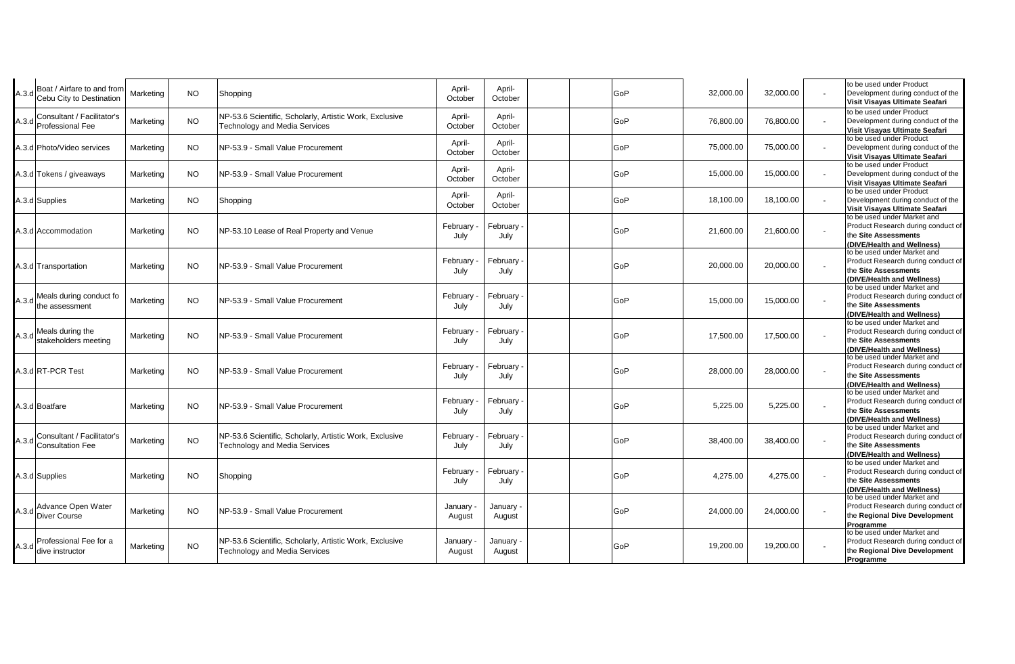| A.3.d | Boat / Airfare to and from<br>Cebu City to Destination | Marketing | <b>NO</b> | Shopping                                                                                        | April-<br>October | April-<br>October   | GoP        | 32,000.00 | 32,000.00 |                          | to be used under Product<br>Development during conduct of the<br>Visit Visayas Ultimate Seafari                         |
|-------|--------------------------------------------------------|-----------|-----------|-------------------------------------------------------------------------------------------------|-------------------|---------------------|------------|-----------|-----------|--------------------------|-------------------------------------------------------------------------------------------------------------------------|
| A.3.d | Consultant / Facilitator's<br>Professional Fee         | Marketing | <b>NO</b> | NP-53.6 Scientific, Scholarly, Artistic Work, Exclusive<br><b>Technology and Media Services</b> | April-<br>October | April-<br>October   | GoP        | 76,800.00 | 76,800.00 |                          | to be used under Product<br>Development during conduct of the<br>Visit Visavas Ultimate Seafari                         |
|       | A.3.d Photo/Video services                             | Marketing | <b>NO</b> | NP-53.9 - Small Value Procurement                                                               | April-<br>October | April-<br>October   | GoP        | 75,000.00 | 75,000.00 |                          | to be used under Product<br>Development during conduct of the<br>Visit Visayas Ultimate Seafari                         |
|       | 4.3.d Tokens / giveaways                               | Marketing | <b>NO</b> | NP-53.9 - Small Value Procurement                                                               | April-<br>October | April-<br>October   | GoP        | 15,000.00 | 15,000.00 |                          | to be used under Product<br>Development during conduct of the<br>Visit Visayas Ultimate Seafari                         |
|       | A.3.d Supplies                                         | Marketing | <b>NO</b> | Shopping                                                                                        | April-<br>October | April-<br>October   | GoP        | 18,100.00 | 18,100.00 |                          | to be used under Product<br>Development during conduct of the<br>Visit Visayas Ultimate Seafari                         |
|       | A.3.d Accommodation                                    | Marketing | <b>NO</b> | NP-53.10 Lease of Real Property and Venue                                                       | February<br>July  | February<br>July    | <b>GoP</b> | 21,600.00 | 21,600.00 |                          | to be used under Market and<br>Product Research during conduct of<br>the Site Assessments<br>(DIVE/Health and Wellness) |
|       | A.3.d Transportation                                   | Marketing | <b>NO</b> | NP-53.9 - Small Value Procurement                                                               | February<br>July  | February<br>July    | GoP        | 20,000.00 | 20,000.00 |                          | to be used under Market and<br>Product Research during conduct of<br>the Site Assessments<br>(DIVE/Health and Wellness) |
| A.3.d | Meals during conduct fo<br>the assessment              | Marketing | <b>NO</b> | NP-53.9 - Small Value Procurement                                                               | February<br>July  | February<br>July    | GoP        | 15,000.00 | 15,000.00 | $\overline{\phantom{a}}$ | to be used under Market and<br>Product Research during conduct of<br>the Site Assessments<br>(DIVE/Health and Wellness) |
| A.3.d | Meals during the<br>stakeholders meeting               | Marketing | <b>NO</b> | NP-53.9 - Small Value Procurement                                                               | February<br>July  | February<br>July    | GoP        | 17,500.00 | 17,500.00 |                          | to be used under Market and<br>Product Research during conduct of<br>the Site Assessments<br>(DIVE/Health and Wellness) |
|       | A.3.d RT-PCR Test                                      | Marketing | <b>NO</b> | NP-53.9 - Small Value Procurement                                                               | February<br>July  | February<br>July    | GoP        | 28,000.00 | 28,000.00 |                          | to be used under Market and<br>Product Research during conduct of<br>the Site Assessments<br>(DIVE/Health and Wellness) |
|       | A.3.d Boatfare                                         | Marketing | <b>NO</b> | NP-53.9 - Small Value Procurement                                                               | February<br>July  | February<br>July    | GoP        | 5,225.00  | 5,225.00  |                          | to be used under Market and<br>Product Research during conduct of<br>the Site Assessments<br>(DIVE/Health and Wellness) |
|       | A.3.d Consultant / Facilitator's<br>Consultation Fee   | Marketing | <b>NO</b> | NP-53.6 Scientific, Scholarly, Artistic Work, Exclusive<br><b>Technology and Media Services</b> | February<br>July  | February<br>July    | GoP        | 38,400.00 | 38,400.00 |                          | to be used under Market and<br>Product Research during conduct of<br>the Site Assessments<br>(DIVE/Health and Wellness) |
|       | A.3.d Supplies                                         | Marketing | <b>NO</b> | Shopping                                                                                        | February<br>July  | February<br>July    | GoP        | 4,275.00  | 4,275.00  |                          | to be used under Market and<br>Product Research during conduct of<br>the Site Assessments<br>(DIVE/Health and Wellness) |
|       | Advance Open Water<br>A.3.d Diver Course               | Marketing | <b>NO</b> | NP-53.9 - Small Value Procurement                                                               | January<br>August | January -<br>August | GoP        | 24,000.00 | 24,000.00 |                          | to be used under Market and<br>Product Research during conduct of<br>the Regional Dive Development<br>Programme         |
| A.3.d | Professional Fee for a<br>dive instructor              | Marketing | <b>NO</b> | NP-53.6 Scientific, Scholarly, Artistic Work, Exclusive<br><b>Technology and Media Services</b> | January<br>August | January ·<br>August | GoP        | 19,200.00 | 19,200.00 |                          | to be used under Market and<br>Product Research during conduct of<br>the Regional Dive Development<br>Programme         |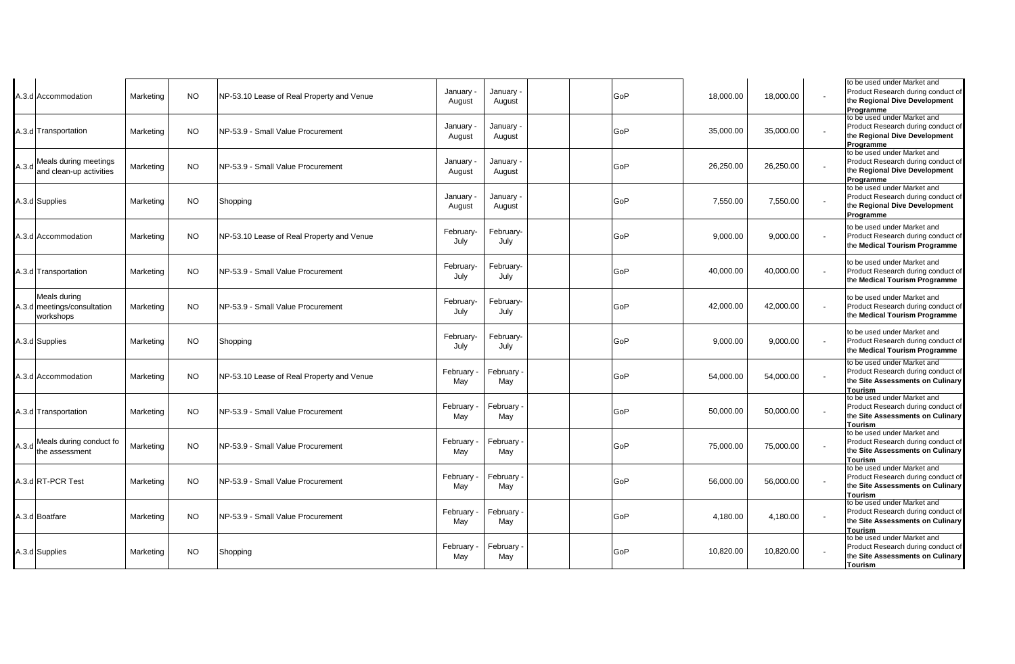|       | 4.3.d Accommodation                                      | Marketing | NO.       | NP-53.10 Lease of Real Property and Venue | January<br>August | January -<br>August | GoP | 18,000.00 | 18,000.00 | to be used under Market and<br>Product Research during conduct of<br>the Regional Dive Development<br>Programme         |
|-------|----------------------------------------------------------|-----------|-----------|-------------------------------------------|-------------------|---------------------|-----|-----------|-----------|-------------------------------------------------------------------------------------------------------------------------|
|       | A.3.d Transportation                                     | Marketing | <b>NO</b> | NP-53.9 - Small Value Procurement         | January<br>August | January -<br>August | GoP | 35,000.00 | 35,000.00 | to be used under Market and<br>Product Research during conduct of<br>the Regional Dive Development<br>Programme         |
| A.3.d | Meals during meetings<br>and clean-up activities         | Marketing | <b>NO</b> | NP-53.9 - Small Value Procurement         | January<br>August | January -<br>August | GoP | 26,250.00 | 26,250.00 | to be used under Market and<br>Product Research during conduct of<br>the Regional Dive Development<br>Programme         |
|       | A.3.d Supplies                                           | Marketing | NO.       | Shopping                                  | January<br>August | January -<br>August | GoP | 7,550.00  | 7,550.00  | to be used under Market and<br>Product Research during conduct of<br>the Regional Dive Development<br>Programme         |
|       | A.3.d Accommodation                                      | Marketing | <b>NO</b> | NP-53.10 Lease of Real Property and Venue | February-<br>July | February-<br>July   | GoP | 9.000.00  | 9,000.00  | to be used under Market and<br>Product Research during conduct of<br>the Medical Tourism Programme                      |
|       | A.3.d Transportation                                     | Marketing | <b>NO</b> | NP-53.9 - Small Value Procurement         | February-<br>July | February-<br>July   | GoP | 40,000.00 | 40,000.00 | to be used under Market and<br>Product Research during conduct of<br>the Medical Tourism Programme                      |
|       | Meals during<br>A.3.d meetings/consultation<br>workshops | Marketing | NO.       | NP-53.9 - Small Value Procurement         | February-<br>July | February-<br>July   | GoP | 42,000.00 | 42,000.00 | to be used under Market and<br>Product Research during conduct of<br>the Medical Tourism Programme                      |
|       | A.3.d Supplies                                           | Marketing | <b>NO</b> | Shopping                                  | February-<br>July | February-<br>July   | GoP | 9,000.00  | 9,000.00  | to be used under Market and<br>Product Research during conduct of<br>the Medical Tourism Programme                      |
|       | A.3.d Accommodation                                      | Marketing | <b>NO</b> | NP-53.10 Lease of Real Property and Venue | February<br>May   | February<br>May     | GoP | 54,000.00 | 54,000.00 | to be used under Market and<br>Product Research during conduct of<br>the Site Assessments on Culinary<br><b>Tourism</b> |
|       | A.3.d Transportation                                     | Marketing | <b>NO</b> | NP-53.9 - Small Value Procurement         | February<br>May   | February<br>May     | GoP | 50,000.00 | 50,000.00 | to be used under Market and<br>Product Research during conduct of<br>the Site Assessments on Culinary<br>Tourism        |
|       | A.3.d Meals during conduct fo                            | Marketing | <b>NO</b> | NP-53.9 - Small Value Procurement         | February<br>May   | February<br>May     | GoP | 75,000.00 | 75,000.00 | to be used under Market and<br>Product Research during conduct of<br>the Site Assessments on Culinary<br>Tourism        |
|       | A.3.d RT-PCR Test                                        | Marketing | <b>NO</b> | NP-53.9 - Small Value Procurement         | February<br>May   | February<br>May     | GoP | 56,000.00 | 56,000.00 | to be used under Market and<br>Product Research during conduct of<br>the Site Assessments on Culinary<br>Tourism        |
|       | 4.3.d Boatfare                                           | Marketing | <b>NO</b> | NP-53.9 - Small Value Procurement         | February<br>May   | February<br>May     | GoP | 4,180.00  | 4,180.00  | to be used under Market and<br>Product Research during conduct of<br>the Site Assessments on Culinary<br>Tourism        |
|       | A.3.d Supplies                                           | Marketing | <b>NO</b> | Shopping                                  | February<br>May   | February<br>May     | GoP | 10,820.00 | 10,820.00 | to be used under Market and<br>Product Research during conduct of<br>the Site Assessments on Culinary<br>Tourism        |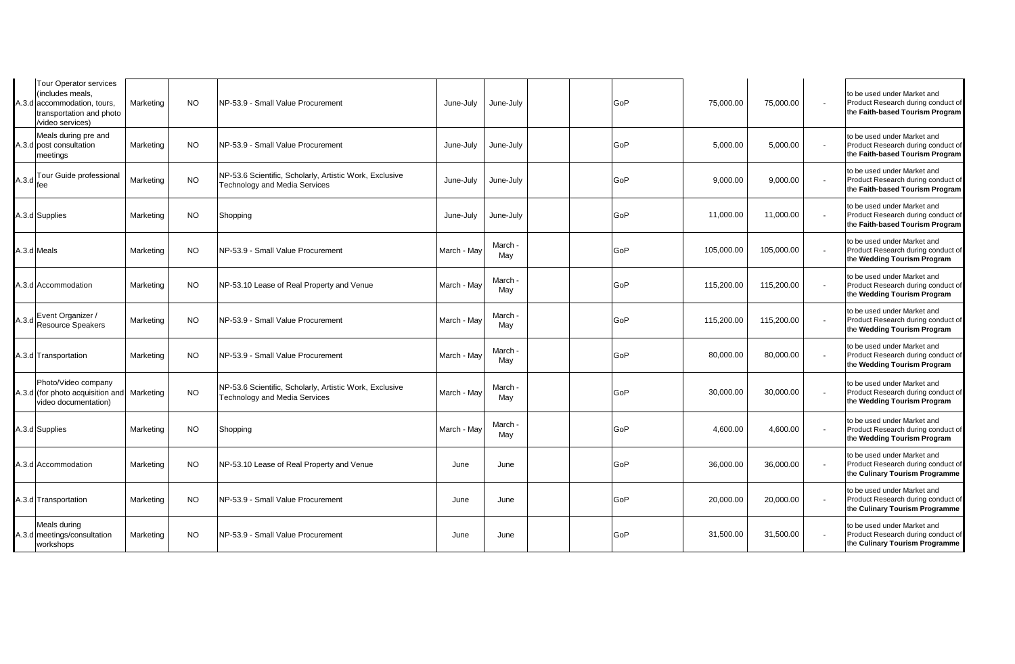|       | <b>Tour Operator services</b><br>(includes meals.<br>A.3.d accommodation, tours,<br>transportation and photo<br>video services) | Marketing | <b>NO</b> | NP-53.9 - Small Value Procurement                                                               | June-July   | June-July      |  | GoP | 75,000.00  | 75,000.00  | to be used under Market and<br>Product Research during conduct of<br>the Faith-based Tourism Program |
|-------|---------------------------------------------------------------------------------------------------------------------------------|-----------|-----------|-------------------------------------------------------------------------------------------------|-------------|----------------|--|-----|------------|------------|------------------------------------------------------------------------------------------------------|
|       | Meals during pre and<br>A.3.d post consultation<br>meetings                                                                     | Marketing | NO.       | NP-53.9 - Small Value Procurement                                                               | June-July   | June-July      |  | GoP | 5,000.00   | 5,000.00   | to be used under Market and<br>Product Research during conduct of<br>the Faith-based Tourism Program |
| A.3.d | Tour Guide professional<br>fee                                                                                                  | Marketing | NO.       | NP-53.6 Scientific, Scholarly, Artistic Work, Exclusive<br><b>Technology and Media Services</b> | June-July   | June-July      |  | GoP | 9,000.00   | 9,000.00   | to be used under Market and<br>Product Research during conduct of<br>the Faith-based Tourism Program |
|       | A.3.d Supplies                                                                                                                  | Marketing | NO.       | Shopping                                                                                        | June-July   | June-July      |  | GoP | 11,000.00  | 11,000.00  | to be used under Market and<br>Product Research during conduct of<br>the Faith-based Tourism Program |
|       | A.3.d Meals                                                                                                                     | Marketing | <b>NO</b> | INP-53.9 - Small Value Procurement                                                              | March - May | March ·<br>May |  | GoP | 105,000.00 | 105,000.00 | to be used under Market and<br>Product Research during conduct of<br>the Wedding Tourism Program     |
|       | A.3.d Accommodation                                                                                                             | Marketing | <b>NO</b> | NP-53.10 Lease of Real Property and Venue                                                       | March - May | March ·<br>May |  | GoP | 115,200.00 | 115,200.00 | to be used under Market and<br>Product Research during conduct of<br>the Wedding Tourism Program     |
|       | A.3.d Event Organizer /<br>Resource Speakers                                                                                    | Marketing | NO.       | INP-53.9 - Small Value Procurement                                                              | March - May | March .<br>May |  | GoP | 115,200.00 | 115,200.00 | to be used under Market and<br>Product Research during conduct of<br>the Wedding Tourism Program     |
|       | A.3.d Transportation                                                                                                            | Marketing | NO.       | NP-53.9 - Small Value Procurement                                                               | March - May | March ·<br>May |  | GoP | 80,000.00  | 80,000.00  | to be used under Market and<br>Product Research during conduct of<br>the Wedding Tourism Program     |
|       | Photo/Video company<br>A.3.d (for photo acquisition and<br>video documentation)                                                 | Marketing | <b>NO</b> | NP-53.6 Scientific, Scholarly, Artistic Work, Exclusive<br><b>Technology and Media Services</b> | March - May | March<br>May   |  | GoP | 30,000.00  | 30,000.00  | to be used under Market and<br>Product Research during conduct of<br>the Wedding Tourism Program     |
|       | A.3.d Supplies                                                                                                                  | Marketing | <b>NO</b> | Shopping                                                                                        | March - May | March ·<br>May |  | GoP | 4,600.00   | 4,600.00   | to be used under Market and<br>Product Research during conduct of<br>the Wedding Tourism Program     |
|       | A.3.d Accommodation                                                                                                             | Marketing | <b>NO</b> | NP-53.10 Lease of Real Property and Venue                                                       | June        | June           |  | GoP | 36,000.00  | 36,000.00  | to be used under Market and<br>Product Research during conduct of<br>the Culinary Tourism Programme  |
|       | A.3.d Transportation                                                                                                            | Marketing | <b>NO</b> | NP-53.9 - Small Value Procurement                                                               | June        | June           |  | GoP | 20,000.00  | 20,000.00  | to be used under Market and<br>Product Research during conduct of<br>the Culinary Tourism Programme  |
|       | Meals during<br>A.3.d meetings/consultation<br>workshops                                                                        | Marketing | NO.       | INP-53.9 - Small Value Procurement                                                              | June        | June           |  | GoP | 31,500.00  | 31,500.00  | to be used under Market and<br>Product Research during conduct of<br>the Culinary Tourism Programme  |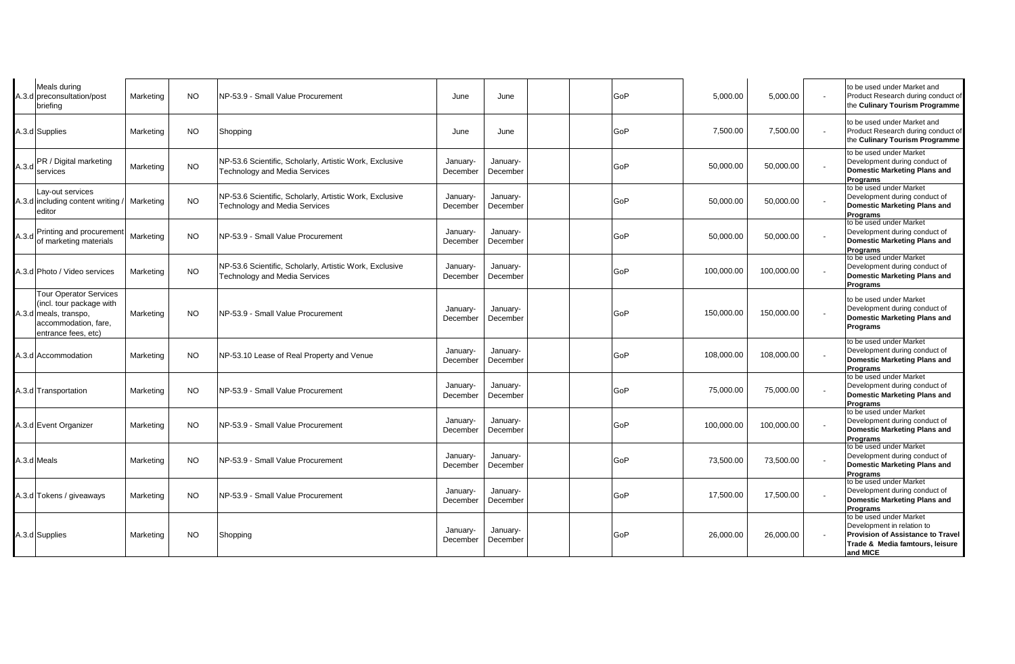|       | Meals during<br>A.3.d preconsultation/post<br>briefing                                                                            | Marketing | NO.       | NP-53.9 - Small Value Procurement                                                               | June                 | June                 |  | GoP | 5,000.00   | 5,000.00   | to be used under Market and<br>Product Research during conduct of<br>the Culinary Tourism Programme                                              |
|-------|-----------------------------------------------------------------------------------------------------------------------------------|-----------|-----------|-------------------------------------------------------------------------------------------------|----------------------|----------------------|--|-----|------------|------------|--------------------------------------------------------------------------------------------------------------------------------------------------|
|       | A.3.d Supplies                                                                                                                    | Marketing | NO.       | Shopping                                                                                        | June                 | June                 |  | GoP | 7,500.00   | 7,500.00   | to be used under Market and<br>Product Research during conduct of<br>the Culinary Tourism Programme                                              |
| A.3.d | PR / Digital marketing<br>services                                                                                                | Marketing | <b>NO</b> | NP-53.6 Scientific, Scholarly, Artistic Work, Exclusive<br>Technology and Media Services        | January-<br>December | January-<br>December |  | GoP | 50,000.00  | 50,000.00  | to be used under Market<br>Development during conduct of<br><b>Domestic Marketing Plans and</b><br><b>Programs</b>                               |
|       | Lay-out services<br>A.3.d including content writing<br>editor                                                                     | Marketing | <b>NO</b> | NP-53.6 Scientific, Scholarly, Artistic Work, Exclusive<br><b>Technology and Media Services</b> | January-<br>December | January-<br>December |  | GoP | 50,000.00  | 50,000.00  | to be used under Market<br>Development during conduct of<br><b>Domestic Marketing Plans and</b><br><b>Programs</b>                               |
|       | A.3.d Printing and procurement<br>of marketing materials                                                                          | Marketing | NO.       | NP-53.9 - Small Value Procurement                                                               | January-<br>December | January-<br>December |  | GoP | 50,000.00  | 50,000.00  | to be used under Market<br>Development during conduct of<br><b>Domestic Marketing Plans and</b><br><b>Programs</b>                               |
|       | A.3.d Photo / Video services                                                                                                      | Marketing | <b>NO</b> | NP-53.6 Scientific, Scholarly, Artistic Work, Exclusive<br><b>Technology and Media Services</b> | January-<br>December | January-<br>December |  | GoP | 100,000.00 | 100,000.00 | to be used under Market<br>Development during conduct of<br><b>Domestic Marketing Plans and</b><br><b>Programs</b>                               |
|       | <b>Tour Operator Services</b><br>(incl. tour package with<br>A.3.d meals, transpo,<br>accommodation, fare,<br>entrance fees, etc) | Marketing | <b>NO</b> | NP-53.9 - Small Value Procurement                                                               | January-<br>December | January-<br>December |  | GoP | 150,000.00 | 150,000.00 | to be used under Market<br>Development during conduct of<br><b>Domestic Marketing Plans and</b><br>Programs                                      |
|       | A.3.d Accommodation                                                                                                               | Marketing | <b>NO</b> | NP-53.10 Lease of Real Property and Venue                                                       | January-<br>December | January-<br>December |  | GoP | 108,000.00 | 108,000.00 | to be used under Market<br>Development during conduct of<br><b>Domestic Marketing Plans and</b><br><b>Programs</b>                               |
|       | A.3.d Transportation                                                                                                              | Marketing | <b>NO</b> | NP-53.9 - Small Value Procurement                                                               | January-<br>December | January-<br>December |  | GoP | 75,000.00  | 75,000.00  | to be used under Market<br>Development during conduct of<br><b>Domestic Marketing Plans and</b><br><b>Programs</b>                               |
|       | A.3.d Event Organizer                                                                                                             | Marketing | <b>NO</b> | NP-53.9 - Small Value Procurement                                                               | January-<br>December | January-<br>December |  | GoP | 100,000.00 | 100,000.00 | to be used under Market<br>Development during conduct of<br><b>Domestic Marketing Plans and</b><br><b>Programs</b>                               |
|       | A.3.d Meals                                                                                                                       | Marketing | <b>NO</b> | NP-53.9 - Small Value Procurement                                                               | January-<br>December | January-<br>December |  | GoP | 73,500.00  | 73,500.00  | to be used under Market<br>Development during conduct of<br><b>Domestic Marketing Plans and</b><br><b>Programs</b>                               |
|       | A.3.d Tokens / giveaways                                                                                                          | Marketing | NO.       | NP-53.9 - Small Value Procurement                                                               | January-<br>December | January-<br>December |  | GoP | 17,500.00  | 17,500.00  | to be used under Market<br>Development during conduct of<br><b>Domestic Marketing Plans and</b><br><b>Programs</b>                               |
|       | A.3.d Supplies                                                                                                                    | Marketing | <b>NO</b> | Shopping                                                                                        | January-<br>December | January-<br>December |  | GoP | 26,000.00  | 26,000.00  | to be used under Market<br>Development in relation to<br><b>Provision of Assistance to Travel</b><br>Trade & Media famtours, leisure<br>and MICE |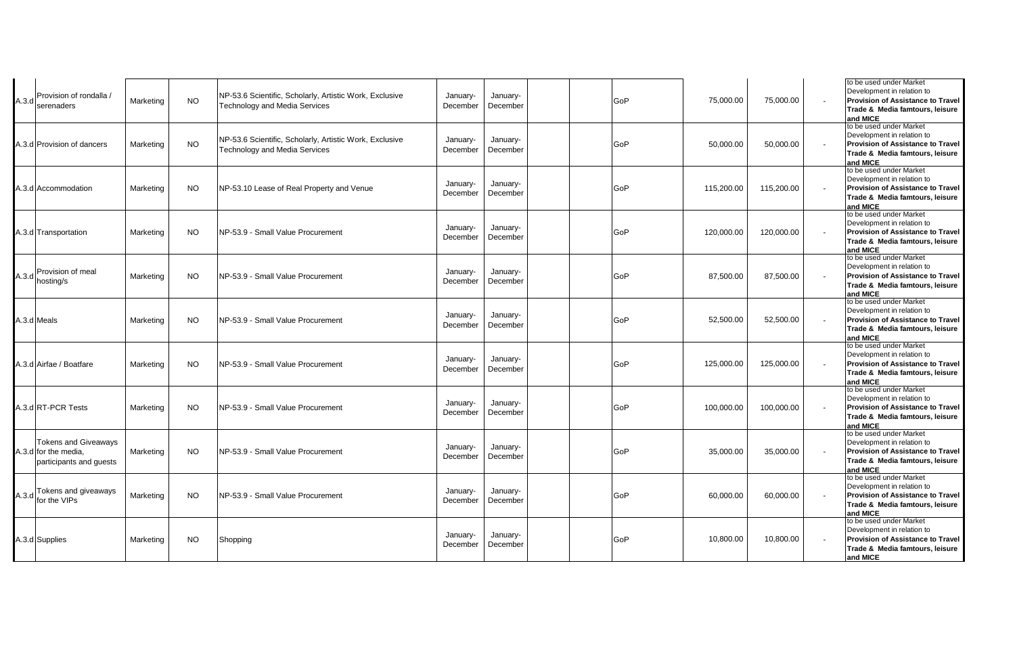| A.3.d | Provision of rondalla /<br>serenaders                                          | Marketing | <b>NO</b> | NP-53.6 Scientific, Scholarly, Artistic Work, Exclusive<br><b>Technology and Media Services</b> | January-<br>December | January-<br>December | GoP | 75,000.00  | 75,000.00  | to be used under Market<br>Development in relation to<br><b>Provision of Assistance to Travel</b><br>Trade & Media famtours, leisure<br>and MICE |
|-------|--------------------------------------------------------------------------------|-----------|-----------|-------------------------------------------------------------------------------------------------|----------------------|----------------------|-----|------------|------------|--------------------------------------------------------------------------------------------------------------------------------------------------|
|       | A.3.d Provision of dancers                                                     | Marketing | <b>NO</b> | NP-53.6 Scientific, Scholarly, Artistic Work, Exclusive<br><b>Technology and Media Services</b> | January-<br>December | January-<br>December | GoP | 50,000.00  | 50,000.00  | to be used under Market<br>Development in relation to<br><b>Provision of Assistance to Travel</b><br>Trade & Media famtours, leisure<br>and MICE |
|       | A.3.d Accommodation                                                            | Marketing | <b>NO</b> | NP-53.10 Lease of Real Property and Venue                                                       | January-<br>December | January-<br>December | GoP | 115,200.00 | 115,200.00 | to be used under Market<br>Development in relation to<br><b>Provision of Assistance to Travel</b><br>Trade & Media famtours, leisure<br>and MICE |
|       | A.3.d Transportation                                                           | Marketing | <b>NO</b> | NP-53.9 - Small Value Procurement                                                               | January-<br>December | January-<br>December | GoP | 120,000.00 | 120,000.00 | to be used under Market<br>Development in relation to<br><b>Provision of Assistance to Travel</b><br>Trade & Media famtours, leisure<br>and MICE |
|       | Provision of meal<br>A.3.d hosting/s                                           | Marketing | <b>NO</b> | NP-53.9 - Small Value Procurement                                                               | January-<br>December | January-<br>December | GoP | 87,500.00  | 87,500.00  | to be used under Market<br>Development in relation to<br><b>Provision of Assistance to Travel</b><br>Trade & Media famtours, leisure<br>and MICE |
|       | A.3.d Meals                                                                    | Marketing | <b>NO</b> | NP-53.9 - Small Value Procurement                                                               | January-<br>December | January-<br>December | GoP | 52,500.00  | 52,500.00  | to be used under Market<br>Development in relation to<br><b>Provision of Assistance to Travel</b><br>Trade & Media famtours, leisure<br>and MICE |
|       | 4.3.d Airfae / Boatfare                                                        | Marketing | <b>NO</b> | NP-53.9 - Small Value Procurement                                                               | January-<br>December | January-<br>December | GoP | 125,000.00 | 125,000.00 | to be used under Market<br>Development in relation to<br><b>Provision of Assistance to Travel</b><br>Trade & Media famtours, leisure<br>and MICE |
|       | A.3.d RT-PCR Tests                                                             | Marketing | <b>NO</b> | NP-53.9 - Small Value Procurement                                                               | January-<br>December | January-<br>December | GoP | 100,000.00 | 100,000.00 | to be used under Market<br>Development in relation to<br><b>Provision of Assistance to Travel</b><br>Trade & Media famtours, leisure<br>and MICE |
|       | <b>Tokens and Giveaways</b><br>A.3.d for the media,<br>participants and guests | Marketing | <b>NO</b> | NP-53.9 - Small Value Procurement                                                               | January-<br>December | January-<br>December | GoP | 35,000.00  | 35,000.00  | to be used under Market<br>Development in relation to<br><b>Provision of Assistance to Travel</b><br>Trade & Media famtours, leisure<br>and MICE |
|       | A.3.d Tokens and giveaways<br>A.3.d for the VIPs                               | Marketing | <b>NO</b> | NP-53.9 - Small Value Procurement                                                               | January-<br>December | January-<br>December | GoP | 60,000.00  | 60,000.00  | to be used under Market<br>Development in relation to<br><b>Provision of Assistance to Travel</b><br>Trade & Media famtours, leisure<br>and MICE |
|       | A.3.d Supplies                                                                 | Marketing | <b>NO</b> | Shopping                                                                                        | January-<br>December | January-<br>December | GoP | 10,800.00  | 10,800.00  | to be used under Market<br>Development in relation to<br><b>Provision of Assistance to Travel</b><br>Trade & Media famtours, leisure<br>and MICE |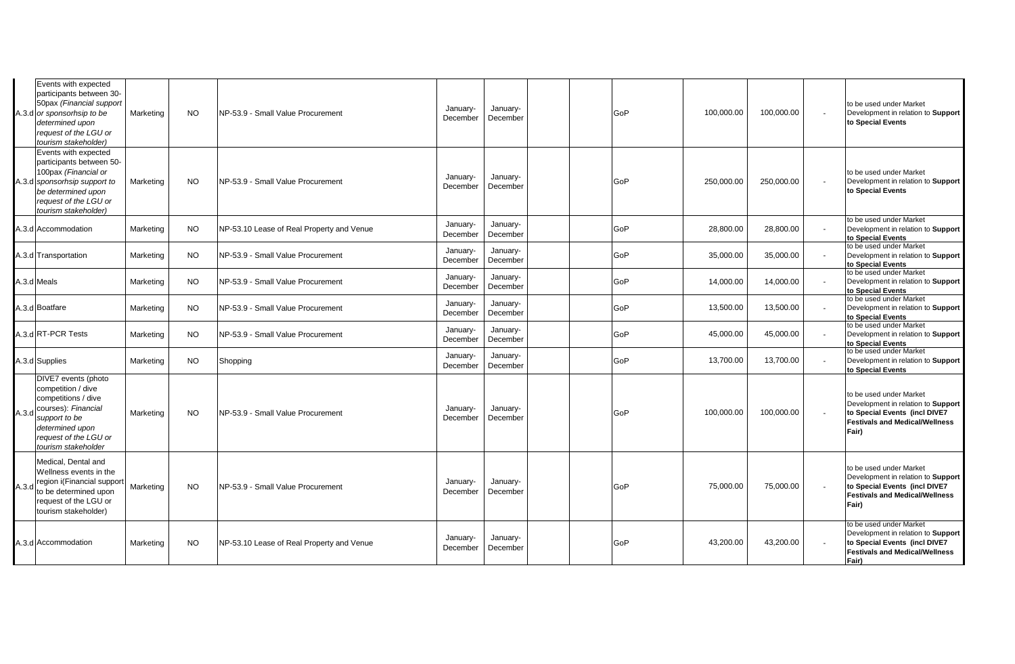|       | Events with expected<br>participants between 30-<br>50pax (Financial support<br>A.3.d or sponsorhsip to be<br>determined upon<br>request of the LGU or<br>tourism stakeholder)  | Marketing | <b>NO</b> | NP-53.9 - Small Value Procurement         | January-<br>December | January-<br>December |  | GoP | 100,000.00 | 100,000.00 | to be used under Market<br>Development in relation to Support<br>to Special Events                                                               |
|-------|---------------------------------------------------------------------------------------------------------------------------------------------------------------------------------|-----------|-----------|-------------------------------------------|----------------------|----------------------|--|-----|------------|------------|--------------------------------------------------------------------------------------------------------------------------------------------------|
|       | Events with expected<br>participants between 50-<br>100pax (Financial or<br>A.3.d sponsorhsip support to<br>be determined upon<br>request of the LGU or<br>tourism stakeholder) | Marketing | NO.       | NP-53.9 - Small Value Procurement         | January-<br>December | January-<br>December |  | GoP | 250,000.00 | 250,000.00 | to be used under Market<br>Development in relation to Support<br>to Special Events                                                               |
|       | A.3.d Accommodation                                                                                                                                                             | Marketing | <b>NO</b> | NP-53.10 Lease of Real Property and Venue | January-<br>December | January-<br>December |  | GoP | 28,800.00  | 28,800.00  | to be used under Market<br>Development in relation to Support<br>to Special Events                                                               |
|       | A.3.d Transportation                                                                                                                                                            | Marketing | <b>NO</b> | NP-53.9 - Small Value Procurement         | January-<br>December | January-<br>December |  | GoP | 35,000.00  | 35,000.00  | to be used under Market<br>Development in relation to Support<br>to Special Events                                                               |
|       | A.3.d Meals                                                                                                                                                                     | Marketing | NO.       | NP-53.9 - Small Value Procurement         | January-<br>December | January-<br>December |  | GoP | 14,000.00  | 14,000.00  | to be used under Market<br>Development in relation to Support<br>to Special Events                                                               |
|       | A.3.d Boatfare                                                                                                                                                                  | Marketing | <b>NO</b> | NP-53.9 - Small Value Procurement         | January-<br>December | January-<br>December |  | GoP | 13,500.00  | 13,500.00  | to be used under Market<br>Development in relation to Support<br>to Special Events                                                               |
|       | A.3.d RT-PCR Tests                                                                                                                                                              | Marketing | <b>NO</b> | NP-53.9 - Small Value Procurement         | January-<br>December | January-<br>December |  | GoP | 45,000.00  | 45,000.00  | to be used under Market<br>Development in relation to Support<br>to Special Events                                                               |
|       | A.3.d Supplies                                                                                                                                                                  | Marketing | <b>NO</b> | Shopping                                  | January-<br>December | January-<br>December |  | GoP | 13,700.00  | 13,700.00  | to be used under Market<br>Development in relation to Support<br>to Special Events                                                               |
| A.3.d | DIVE7 events (photo<br>competition / dive<br>competitions / dive<br>courses): Financial<br>support to be<br>determined upon<br>request of the LGU or<br>tourism stakeholder     | Marketing | <b>NO</b> | NP-53.9 - Small Value Procurement         | January-<br>December | January-<br>December |  | GoP | 100,000.00 | 100,000.00 | to be used under Market<br>Development in relation to Support<br>to Special Events (incl DIVE7<br><b>Festivals and Medical/Wellness</b><br>Fair) |
| A.3.d | Medical. Dental and<br>Wellness events in the<br>region i(Financial support<br>to be determined upon<br>request of the LGU or<br>tourism stakeholder)                           | Marketing | <b>NO</b> | NP-53.9 - Small Value Procurement         | January-<br>December | January-<br>December |  | GoP | 75,000.00  | 75,000.00  | to be used under Market<br>Development in relation to Support<br>to Special Events (incl DIVE7<br><b>Festivals and Medical/Wellness</b><br>Fair) |
|       | A.3.d Accommodation                                                                                                                                                             | Marketing | NO.       | NP-53.10 Lease of Real Property and Venue | January-<br>December | January-<br>December |  | GoP | 43,200.00  | 43,200.00  | to be used under Market<br>Development in relation to Support<br>to Special Events (incl DIVE7<br><b>Festivals and Medical/Wellness</b><br>Fair) |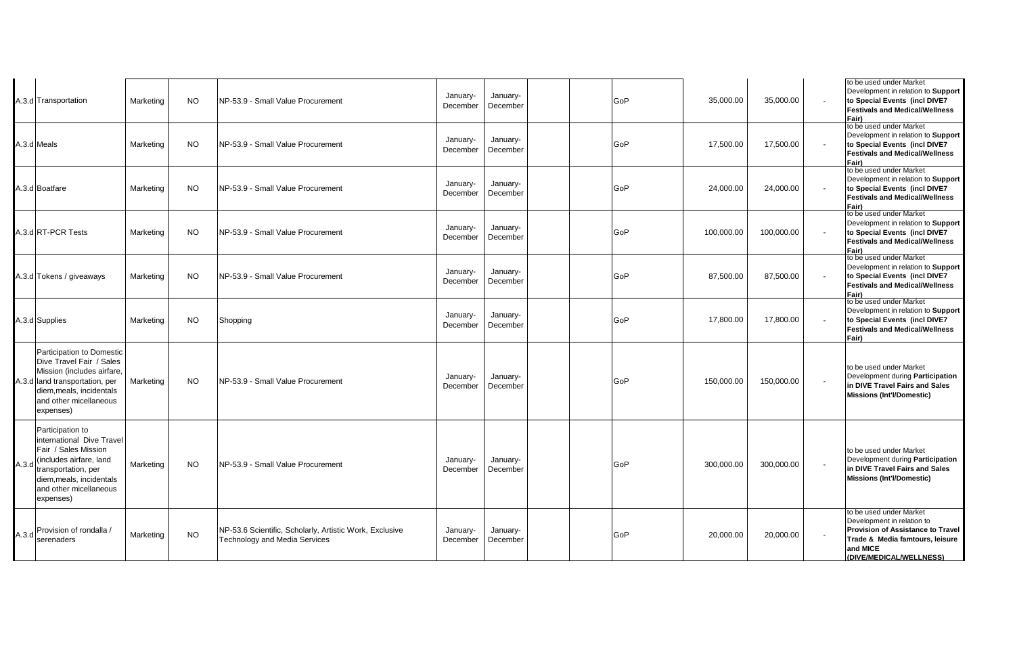|       | A.3.d Transportation                                                                                                                                                                       | Marketing | <b>NO</b> | NP-53.9 - Small Value Procurement                                                        | January-<br>December | January-<br>December | GoP | 35,000.00  | 35,000.00  | to be used under Market<br>Development in relation to Support<br>to Special Events (incl DIVE7<br><b>Festivals and Medical/Wellness</b><br>Fair)                            |
|-------|--------------------------------------------------------------------------------------------------------------------------------------------------------------------------------------------|-----------|-----------|------------------------------------------------------------------------------------------|----------------------|----------------------|-----|------------|------------|-----------------------------------------------------------------------------------------------------------------------------------------------------------------------------|
|       | A.3.d Meals                                                                                                                                                                                | Marketing | <b>NO</b> | NP-53.9 - Small Value Procurement                                                        | January-<br>December | January-<br>December | GoP | 17,500.00  | 17,500.00  | to be used under Market<br>Development in relation to Support<br>to Special Events (incl DIVE7<br><b>Festivals and Medical/Wellness</b><br>Fair)                            |
|       | A.3.d Boatfare                                                                                                                                                                             | Marketing | <b>NO</b> | NP-53.9 - Small Value Procurement                                                        | January-<br>December | January-<br>December | GoP | 24,000.00  | 24,000.00  | to be used under Market<br>Development in relation to Support<br>to Special Events (incl DIVE7<br><b>Festivals and Medical/Wellness</b><br>Fair)                            |
|       | A.3.d RT-PCR Tests                                                                                                                                                                         | Marketing | <b>NO</b> | NP-53.9 - Small Value Procurement                                                        | January-<br>December | January-<br>December | GoP | 100,000.00 | 100,000.00 | to be used under Market<br>Development in relation to Support<br>to Special Events (incl DIVE7<br><b>Festivals and Medical/Wellness</b><br>Fair)                            |
|       | 4.3.d Tokens / giveaways                                                                                                                                                                   | Marketing | <b>NO</b> | NP-53.9 - Small Value Procurement                                                        | January-<br>December | January-<br>December | GoP | 87,500.00  | 87,500.00  | to be used under Market<br>Development in relation to Support<br>to Special Events (incl DIVE7<br><b>Festivals and Medical/Wellness</b><br>Fair)                            |
|       | A.3.d Supplies                                                                                                                                                                             | Marketing | <b>NO</b> | Shopping                                                                                 | January-<br>December | January-<br>December | GoP | 17,800.00  | 17,800.00  | to be used under Market<br>Development in relation to Support<br>to Special Events (incl DIVE7<br><b>Festivals and Medical/Wellness</b><br>Fair)                            |
|       | Participation to Domestic<br>Dive Travel Fair / Sales<br>Mission (includes airfare,<br>A.3.d land transportation, per<br>diem, meals, incidentals<br>and other micellaneous<br>expenses)   | Marketing | <b>NO</b> | NP-53.9 - Small Value Procurement                                                        | January-<br>December | January-<br>December | GoP | 150,000.00 | 150,000.00 | to be used under Market<br>Development during Participation<br>in DIVE Travel Fairs and Sales<br><b>Missions (Int'l/Domestic)</b>                                           |
| A.3.d | Participation to<br>international Dive Travel<br>Fair / Sales Mission<br>(includes airfare, land<br>transportation, per<br>diem, meals, incidentals<br>and other micellaneous<br>expenses) | Marketing | <b>NO</b> | NP-53.9 - Small Value Procurement                                                        | January-<br>December | January-<br>December | GoP | 300,000.00 | 300,000.00 | to be used under Market<br>Development during Participation<br>in DIVE Travel Fairs and Sales<br><b>Missions (Int'l/Domestic)</b>                                           |
| A.3.d | Provision of rondalla /<br>serenaders                                                                                                                                                      | Marketing | <b>NO</b> | NP-53.6 Scientific, Scholarly, Artistic Work, Exclusive<br>Technology and Media Services | January-<br>December | January-<br>December | GoP | 20,000.00  | 20,000.00  | to be used under Market<br>Development in relation to<br><b>Provision of Assistance to Travel</b><br>Trade & Media famtours, leisure<br>and MICE<br>(DIVE/MEDICAL/WELLNESS) |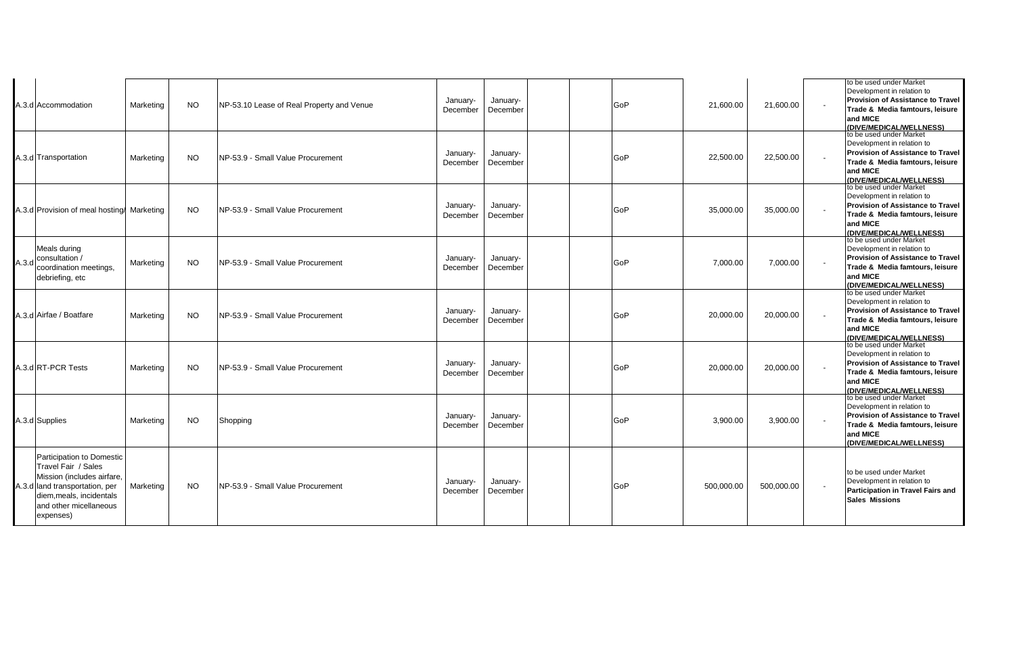|       | A.3.d Accommodation                                                                                                                                                                 | Marketing | NO.       | NP-53.10 Lease of Real Property and Venue | January-<br>December | January-<br>December | GoP | 21,600.00  | 21,600.00  | to be used under Market<br>Development in relation to<br><b>Provision of Assistance to Travel</b><br>Trade & Media famtours, leisure<br>and MICE<br>(DIVE/MEDICAL/WELLNESS) |
|-------|-------------------------------------------------------------------------------------------------------------------------------------------------------------------------------------|-----------|-----------|-------------------------------------------|----------------------|----------------------|-----|------------|------------|-----------------------------------------------------------------------------------------------------------------------------------------------------------------------------|
|       | A.3.d Transportation                                                                                                                                                                | Marketing | <b>NO</b> | NP-53.9 - Small Value Procurement         | January-<br>December | January-<br>December | GoP | 22,500.00  | 22,500.00  | to be used under Market<br>Development in relation to<br><b>Provision of Assistance to Travel</b><br>Trade & Media famtours, leisure<br>and MICE<br>(DIVE/MEDICAL/WELLNESS) |
|       | A.3.d Provision of meal hosting/ Marketing                                                                                                                                          |           | NO.       | NP-53.9 - Small Value Procurement         | January-<br>December | January-<br>December | GoP | 35,000.00  | 35,000.00  | to be used under Market<br>Development in relation to<br><b>Provision of Assistance to Travel</b><br>Trade & Media famtours, leisure<br>and MICE<br>(DIVE/MEDICAL/WELLNESS) |
| A.3.d | Meals during<br>consultation /<br>coordination meetings.<br>debriefing, etc                                                                                                         | Marketing | NO.       | NP-53.9 - Small Value Procurement         | January-<br>December | January-<br>December | GoP | 7,000.00   | 7,000.00   | to be used under Market<br>Development in relation to<br><b>Provision of Assistance to Travel</b><br>Trade & Media famtours, leisure<br>and MICE<br>(DIVE/MEDICAL/WELLNESS) |
|       | A.3.d Airfae / Boatfare                                                                                                                                                             | Marketing | NO.       | NP-53.9 - Small Value Procurement         | January-<br>December | January-<br>December | GoP | 20,000.00  | 20,000.00  | to be used under Market<br>Development in relation to<br>Provision of Assistance to Travel<br>Trade & Media famtours, leisure<br>and MICE<br>(DIVE/MEDICAL/WELLNESS)        |
|       | A.3.d RT-PCR Tests                                                                                                                                                                  | Marketing | NO.       | NP-53.9 - Small Value Procurement         | January-<br>December | January-<br>December | GoP | 20,000.00  | 20,000.00  | to be used under Market<br>Development in relation to<br><b>Provision of Assistance to Travel</b><br>Trade & Media famtours, leisure<br>and MICE<br>(DIVE/MEDICAL/WELLNESS) |
|       | A.3.d Supplies                                                                                                                                                                      | Marketing | <b>NO</b> | Shopping                                  | January-<br>December | January-<br>December | GoP | 3,900.00   | 3,900.00   | to be used under Market<br>Development in relation to<br><b>Provision of Assistance to Travel</b><br>Trade & Media famtours, leisure<br>and MICE<br>(DIVE/MEDICAL/WELLNESS) |
|       | Participation to Domestic<br>Travel Fair / Sales<br>Mission (includes airfare,<br>A.3.d land transportation, per<br>diem, meals, incidentals<br>and other micellaneous<br>expenses) | Marketing | NO.       | NP-53.9 - Small Value Procurement         | January-<br>December | January-<br>December | GoP | 500,000.00 | 500,000.00 | to be used under Market<br>Development in relation to<br><b>Participation in Travel Fairs and</b><br><b>Sales Missions</b>                                                  |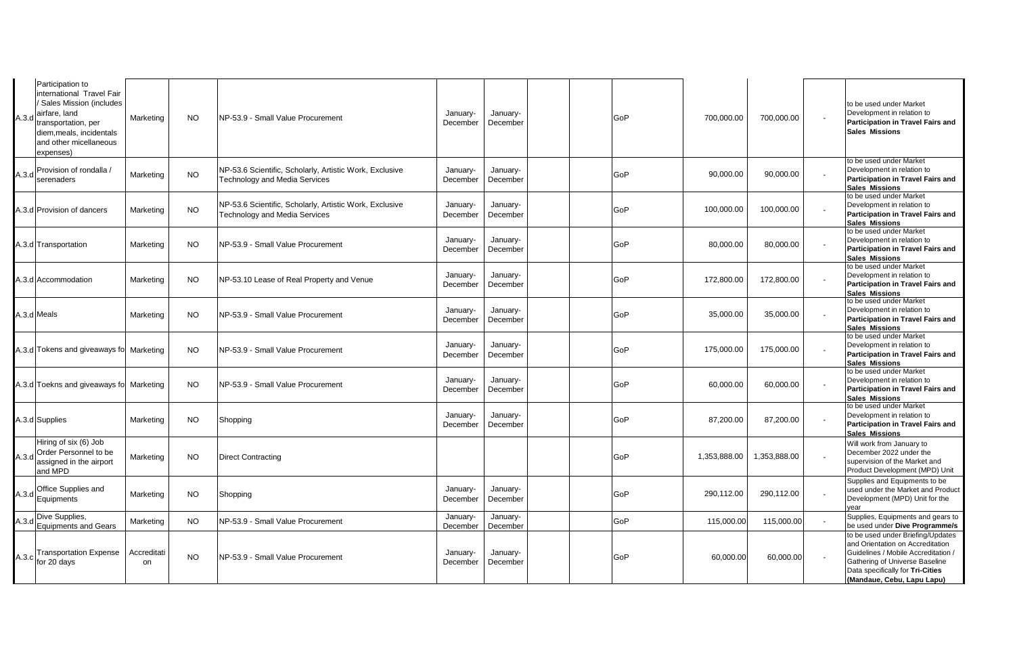| A.3.d | Participation to<br>international Travel Fair<br><b>Sales Mission (includes</b><br>airfare, land<br>transportation, per<br>diem, meals, incidentals<br>and other micellaneous<br>expenses) | Marketing         | <b>NO</b> | NP-53.9 - Small Value Procurement                                                        | January-<br>December | January-<br>December | GoP | 700,000.00   | 700,000.00   | to be used under Market<br>Development in relation to<br>Participation in Travel Fairs and<br><b>Sales Missions</b>                                                                                              |
|-------|--------------------------------------------------------------------------------------------------------------------------------------------------------------------------------------------|-------------------|-----------|------------------------------------------------------------------------------------------|----------------------|----------------------|-----|--------------|--------------|------------------------------------------------------------------------------------------------------------------------------------------------------------------------------------------------------------------|
| A.3.d | Provision of rondalla /<br>serenaders                                                                                                                                                      | Marketing         | <b>NO</b> | NP-53.6 Scientific, Scholarly, Artistic Work, Exclusive<br>Technology and Media Services | January-<br>December | January-<br>December | GoP | 90,000.00    | 90,000.00    | to be used under Market<br>Development in relation to<br>Participation in Travel Fairs and<br><b>Sales Missions</b>                                                                                              |
|       | 4.3.d Provision of dancers                                                                                                                                                                 | Marketing         | <b>NO</b> | NP-53.6 Scientific, Scholarly, Artistic Work, Exclusive<br>Technology and Media Services | January-<br>December | January-<br>December | GoP | 100,000.00   | 100,000.00   | to be used under Market<br>Development in relation to<br>Participation in Travel Fairs and<br><b>Sales Missions</b>                                                                                              |
|       | 1.3.d Transportation                                                                                                                                                                       | Marketing         | <b>NO</b> | NP-53.9 - Small Value Procurement                                                        | January-<br>December | January-<br>December | GoP | 80,000.00    | 80,000.00    | to be used under Market<br>Development in relation to<br>Participation in Travel Fairs and<br><b>Sales Missions</b>                                                                                              |
|       | 4.3.d Accommodation                                                                                                                                                                        | Marketing         | <b>NO</b> | NP-53.10 Lease of Real Property and Venue                                                | January-<br>December | January-<br>December | GoP | 172,800.00   | 172,800.00   | to be used under Market<br>Development in relation to<br>Participation in Travel Fairs and<br><b>Sales Missions</b>                                                                                              |
|       | A.3.d Meals                                                                                                                                                                                | Marketing         | <b>NO</b> | NP-53.9 - Small Value Procurement                                                        | January-<br>December | January-<br>December | GoP | 35,000.00    | 35,000.00    | to be used under Market<br>Development in relation to<br>Participation in Travel Fairs and<br><b>Sales Missions</b>                                                                                              |
|       | 4.3.d Tokens and giveaways fo Marketing                                                                                                                                                    |                   | <b>NO</b> | NP-53.9 - Small Value Procurement                                                        | January-<br>December | January-<br>December | GoP | 175,000.00   | 175,000.00   | to be used under Market<br>Development in relation to<br>Participation in Travel Fairs and<br><b>Sales Missions</b>                                                                                              |
|       | A.3.d Toekns and giveaways fol Marketing                                                                                                                                                   |                   | <b>NO</b> | NP-53.9 - Small Value Procurement                                                        | January-<br>December | January-<br>December | GoP | 60,000.00    | 60,000.00    | to be used under Market<br>Development in relation to<br>Participation in Travel Fairs and<br><b>Sales Missions</b>                                                                                              |
|       | A.3.d Supplies                                                                                                                                                                             | Marketing         | <b>NO</b> | Shopping                                                                                 | January-<br>December | January-<br>December | GoP | 87,200.00    | 87,200.00    | to be used under Market<br>Development in relation to<br>Participation in Travel Fairs and<br><b>Sales Missions</b>                                                                                              |
|       | Hiring of six (6) Job<br>A.3.d Order Personnel to be<br>assigned in the airport<br>and MPD                                                                                                 | Marketing         | <b>NO</b> | <b>Direct Contracting</b>                                                                |                      |                      | GoP | 1,353,888.00 | 1,353,888.00 | Will work from January to<br>December 2022 under the<br>supervision of the Market and<br>Product Development (MPD) Unit                                                                                          |
|       | A.3.d Office Supplies and<br>Equipments                                                                                                                                                    | Marketing         | <b>NO</b> | Shopping                                                                                 | January-<br>December | January-<br>December | GoP | 290,112.00   | 290,112.00   | Supplies and Equipments to be<br>used under the Market and Product<br>Development (MPD) Unit for the<br>vear                                                                                                     |
| A.3.d | Dive Supplies,<br>Equipments and Gears                                                                                                                                                     | Marketing         | <b>NO</b> | NP-53.9 - Small Value Procurement                                                        | January-<br>December | January-<br>December | GoP | 115,000.00   | 115,000.00   | Supplies, Equipments and gears to<br>be used under Dive Programme/s                                                                                                                                              |
|       | A.3.c Transportation Expense<br>for 20 days                                                                                                                                                | Accreditati<br>on | <b>NO</b> | NP-53.9 - Small Value Procurement                                                        | January-<br>December | January-<br>December | GoP | 60,000.00    | 60,000.00    | to be used under Briefing/Updates<br>and Orientation on Accreditation<br>Guidelines / Mobile Accreditation /<br>Gathering of Universe Baseline<br>Data specifically for Tri-Cities<br>(Mandaue, Cebu, Lapu Lapu) |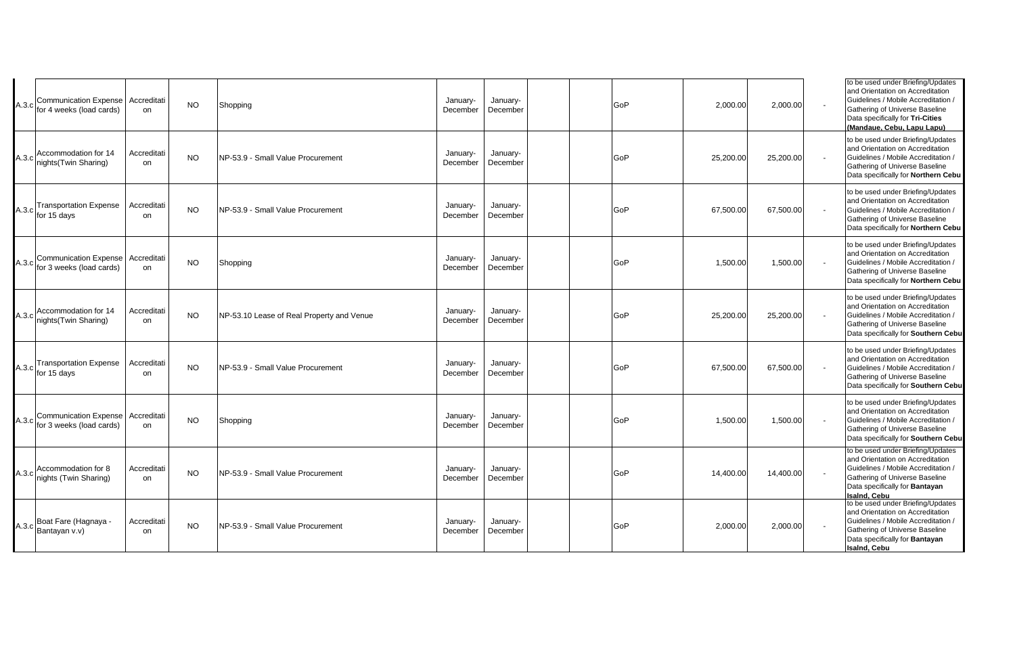|       | Communication Expense Accreditati<br>A.3.c for 4 weeks (load cards) | on                | <b>NO</b> | Shopping                                  | January-<br>December | January-<br>December | GoP | 2,000.00  | 2,000.00  | to be used under Briefing/Updates<br>and Orientation on Accreditation<br>Guidelines / Mobile Accreditation /<br>Gathering of Universe Baseline<br>Data specifically for Tri-Cities<br>(Mandaue, Cebu, Lapu Lapu) |
|-------|---------------------------------------------------------------------|-------------------|-----------|-------------------------------------------|----------------------|----------------------|-----|-----------|-----------|------------------------------------------------------------------------------------------------------------------------------------------------------------------------------------------------------------------|
|       | A.3.c Accommodation for 14<br>nights(Twin Sharing)                  | Accreditati<br>on | <b>NO</b> | NP-53.9 - Small Value Procurement         | January-<br>December | January-<br>December | GoP | 25,200.00 | 25,200.00 | to be used under Briefing/Updates<br>and Orientation on Accreditation<br>Guidelines / Mobile Accreditation /<br>Gathering of Universe Baseline<br>Data specifically for Northern Cebu                            |
|       | <b>Transportation Expense</b><br>A.3.c for 15 days                  | Accreditati<br>on | <b>NO</b> | NP-53.9 - Small Value Procurement         | January-<br>December | January-<br>December | GoP | 67,500.00 | 67,500.00 | to be used under Briefing/Updates<br>and Orientation on Accreditation<br>Guidelines / Mobile Accreditation /<br>Gathering of Universe Baseline<br>Data specifically for Northern Cebu                            |
| A.3.c | Communication Expense Accreditati<br>for 3 weeks (load cards)       | on                | <b>NO</b> | Shopping                                  | January-<br>December | January-<br>December | GoP | 1,500.00  | 1,500.00  | to be used under Briefing/Updates<br>and Orientation on Accreditation<br>Guidelines / Mobile Accreditation /<br>Gathering of Universe Baseline<br>Data specifically for Northern Cebu                            |
|       | Accommodation for 14<br>A.3.c nights (Twin Sharing)                 | Accreditati<br>on | <b>NO</b> | NP-53.10 Lease of Real Property and Venue | January-<br>December | January-<br>December | GoP | 25,200.00 | 25,200.00 | to be used under Briefing/Updates<br>and Orientation on Accreditation<br>Guidelines / Mobile Accreditation /<br>Gathering of Universe Baseline<br>Data specifically for Southern Cebu                            |
|       | A.3.c Transportation Expense<br>A.3.c for 15 days                   | Accreditati<br>on | <b>NO</b> | NP-53.9 - Small Value Procurement         | January-<br>December | January-<br>December | GoP | 67,500.00 | 67,500.00 | to be used under Briefing/Updates<br>and Orientation on Accreditation<br>Guidelines / Mobile Accreditation /<br>Gathering of Universe Baseline<br>Data specifically for Southern Cebu                            |
| A.3.c | Communication Expense Accreditati<br>for 3 weeks (load cards)       | on                | <b>NO</b> | Shopping                                  | January-<br>December | January-<br>December | GoP | 1,500.00  | 1,500.00  | to be used under Briefing/Updates<br>and Orientation on Accreditation<br>Guidelines / Mobile Accreditation /<br>Gathering of Universe Baseline<br>Data specifically for Southern Cebu                            |
|       | Accommodation for 8<br>A.3.c nights (Twin Sharing)                  | Accreditati<br>on | <b>NO</b> | NP-53.9 - Small Value Procurement         | January-<br>December | January-<br>December | GoP | 14,400.00 | 14,400.00 | to be used under Briefing/Updates<br>and Orientation on Accreditation<br>Guidelines / Mobile Accreditation /<br>Gathering of Universe Baseline<br>Data specifically for Bantayan<br>Isaind, Cebu                 |
|       | A.3.c Boat Fare (Hagnaya -<br>Bantayan v.v)                         | Accreditati<br>on | <b>NO</b> | NP-53.9 - Small Value Procurement         | January-<br>December | January-<br>December | GoP | 2,000.00  | 2,000.00  | to be used under Briefing/Updates<br>and Orientation on Accreditation<br>Guidelines / Mobile Accreditation /<br>Gathering of Universe Baseline<br>Data specifically for Bantayan<br>Isalnd, Cebu                 |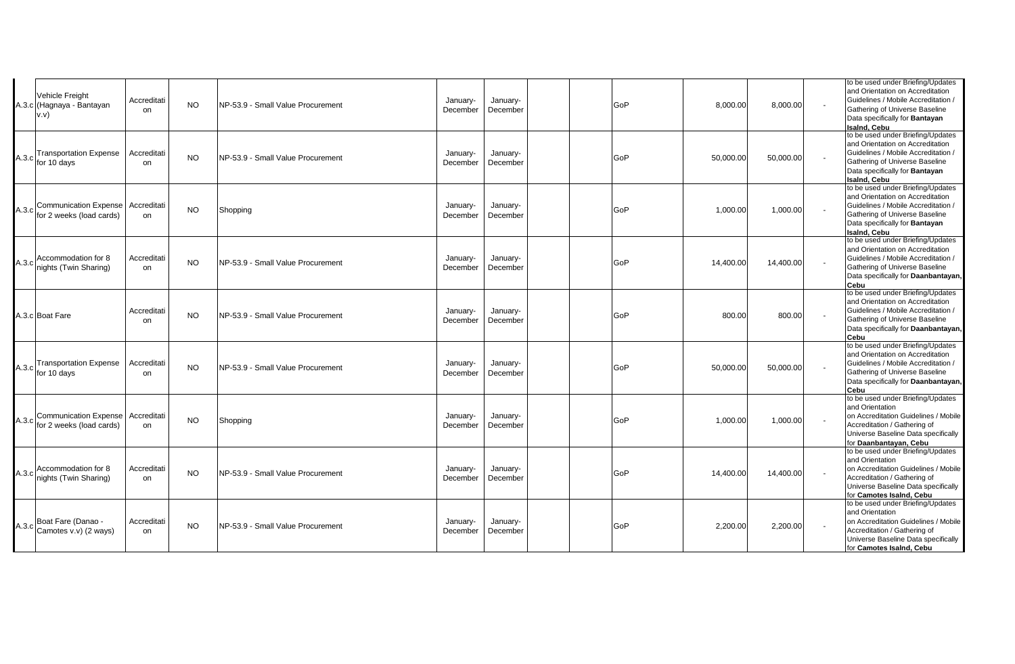|       | Vehicle Freight<br>A.3.c (Hagnaya - Bantayan<br>v.v)     | Accreditati<br>on | <b>NO</b> | INP-53.9 - Small Value Procurement | January-<br>December | January-<br>December | GoP | 8.000.00  | 8,000.00  | to be used under Briefing/Updates<br>and Orientation on Accreditation<br>Guidelines / Mobile Accreditation /<br>Gathering of Universe Baseline<br>Data specifically for Bantayan<br><b>Isaind, Cebu</b> |
|-------|----------------------------------------------------------|-------------------|-----------|------------------------------------|----------------------|----------------------|-----|-----------|-----------|---------------------------------------------------------------------------------------------------------------------------------------------------------------------------------------------------------|
|       | <b>Transportation Expense</b><br>$A.3.c$ for 10 days     | Accreditati<br>on | <b>NO</b> | NP-53.9 - Small Value Procurement  | January-<br>December | January-<br>December | GoP | 50,000.00 | 50,000.00 | to be used under Briefing/Updates<br>and Orientation on Accreditation<br>Guidelines / Mobile Accreditation /<br>Gathering of Universe Baseline<br>Data specifically for Bantayan<br>Isalnd, Cebu        |
|       | A.3.c Communication Expense<br>for 2 weeks (load cards)  | Accreditati<br>on | <b>NO</b> | Shopping                           | January-<br>December | January-<br>December | GoP | 1,000.00  | 1,000.00  | to be used under Briefing/Updates<br>and Orientation on Accreditation<br>Guidelines / Mobile Accreditation /<br>Gathering of Universe Baseline<br>Data specifically for Bantayan<br><b>Isaind, Cebu</b> |
| A.3.c | Accommodation for 8<br>nights (Twin Sharing)             | Accreditati<br>on | <b>NO</b> | NP-53.9 - Small Value Procurement  | January-<br>December | January-<br>December | GoP | 14,400.00 | 14,400.00 | to be used under Briefing/Updates<br>and Orientation on Accreditation<br>Guidelines / Mobile Accreditation /<br>Gathering of Universe Baseline<br>Data specifically for Daanbantayan,<br>Cebu           |
|       | A.3.c Boat Fare                                          | Accreditati<br>on | <b>NO</b> | NP-53.9 - Small Value Procurement  | January-<br>December | January-<br>December | GoP | 800.00    | 800.00    | to be used under Briefing/Updates<br>and Orientation on Accreditation<br>Guidelines / Mobile Accreditation /<br>Gathering of Universe Baseline<br>Data specifically for Daanbantayan,<br>Cebu           |
|       | A.3.c Transportation Expense<br>for 10 days              | Accreditati<br>on | NO.       | NP-53.9 - Small Value Procurement  | January-<br>December | January-<br>December | GoP | 50,000.00 | 50,000.00 | to be used under Briefing/Updates<br>and Orientation on Accreditation<br>Guidelines / Mobile Accreditation /<br>Gathering of Universe Baseline<br>Data specifically for Daanbantayan,<br>Cebu           |
| A.3.c | <b>Communication Expense</b><br>for 2 weeks (load cards) | Accreditati<br>on | <b>NO</b> | Shopping                           | January-<br>December | January-<br>December | GoP | 1,000.00  | 1,000.00  | to be used under Briefing/Updates<br>and Orientation<br>on Accreditation Guidelines / Mobile<br>Accreditation / Gathering of<br>Universe Baseline Data specifically<br>for Daanbantayan, Cebu           |
|       | Accommodation for 8<br>A.3.c nights (Twin Sharing)       | Accreditati<br>on | <b>NO</b> | NP-53.9 - Small Value Procurement  | January-<br>December | January-<br>December | GoP | 14,400.00 | 14,400.00 | to be used under Briefing/Updates<br>and Orientation<br>on Accreditation Guidelines / Mobile<br>Accreditation / Gathering of<br>Universe Baseline Data specifically<br>for Camotes Isaind, Cebu         |
|       | A.3.c Boat Fare (Danao -<br>Camotes v.v) (2 ways)        | Accreditati<br>on | <b>NO</b> | NP-53.9 - Small Value Procurement  | January-<br>December | January-<br>December | GoP | 2,200.00  | 2,200.00  | to be used under Briefing/Updates<br>and Orientation<br>on Accreditation Guidelines / Mobile<br>Accreditation / Gathering of<br>Universe Baseline Data specifically<br>for Camotes Isaind, Cebu         |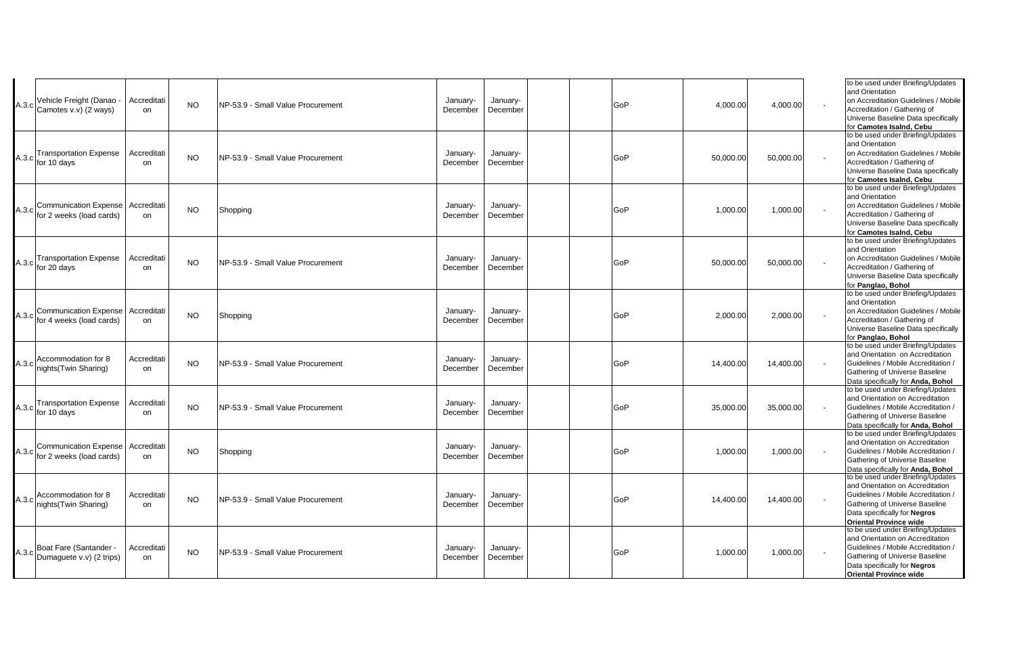| A.3.c | Vehicle Freight (Danao<br>Camotes v.v) (2 ways)                  | Accreditati<br>on            | <b>NO</b> | NP-53.9 - Small Value Procurement | January-<br>December | January-<br>December | GoP | 4,000.00  | 4,000.00  | to be used under Briefing/Updates<br>and Orientation<br>on Accreditation Guidelines / Mobile<br>Accreditation / Gathering of<br>Universe Baseline Data specifically<br>for Camotes Isaind. Cebu                 |
|-------|------------------------------------------------------------------|------------------------------|-----------|-----------------------------------|----------------------|----------------------|-----|-----------|-----------|-----------------------------------------------------------------------------------------------------------------------------------------------------------------------------------------------------------------|
|       | <b>Transportation Expense</b><br>$A.3.c$ for 10 days             | Accreditati<br>on            | <b>NO</b> | NP-53.9 - Small Value Procurement | January-<br>December | January-<br>December | GoP | 50,000.00 | 50,000.00 | to be used under Briefing/Updates<br>and Orientation<br>on Accreditation Guidelines / Mobile<br>Accreditation / Gathering of<br>Universe Baseline Data specifically<br>for Camotes Isalnd, Cebu                 |
|       | Communication Expense<br>A.3.c for 2 weeks (load cards)          | Accreditati<br>on            | NO.       | Shopping                          | January-<br>December | January-<br>December | GoP | 1,000.00  | 1,000.00  | to be used under Briefing/Updates<br>and Orientation<br>on Accreditation Guidelines / Mobile<br>Accreditation / Gathering of<br>Universe Baseline Data specifically<br>for Camotes Isalnd, Cebu                 |
|       | <b>Transportation Expense</b><br>$A.3.c$ for 20 days             | Accreditati<br>on            | <b>NO</b> | NP-53.9 - Small Value Procurement | January-<br>December | January-<br>December | GoP | 50,000.00 | 50,000.00 | to be used under Briefing/Updates<br>and Orientation<br>on Accreditation Guidelines / Mobile<br>Accreditation / Gathering of<br>Universe Baseline Data specifically<br>for Panglao, Bohol                       |
|       | <b>Communication Expense</b><br>A.3.c for 4 weeks (load cards)   | Accreditati<br>on            | <b>NO</b> | Shopping                          | January-<br>December | January-<br>December | GoP | 2,000.00  | 2,000.00  | to be used under Briefing/Updates<br>and Orientation<br>on Accreditation Guidelines / Mobile<br>Accreditation / Gathering of<br>Universe Baseline Data specifically<br>for Panglao, Bohol                       |
|       | A.3.c Accommodation for 8<br>nights(Twin Sharing)                | Accreditati<br>on            | NO        | NP-53.9 - Small Value Procurement | January-<br>December | January-<br>December | GoP | 14,400.00 | 14,400.00 | to be used under Briefing/Updates<br>and Orientation on Accreditation<br>Guidelines / Mobile Accreditation /<br>Gathering of Universe Baseline<br>Data specifically for Anda, Bohol                             |
|       | <b>Transportation Expense</b><br>$\vert A.3.c \vert$ for 10 days | Accreditati<br>on            | NO.       | NP-53.9 - Small Value Procurement | January-<br>December | January-<br>December | GoP | 35,000.00 | 35,000.00 | to be used under Briefing/Updates<br>and Orientation on Accreditation<br>Guidelines / Mobile Accreditation /<br>Gathering of Universe Baseline<br>Data specifically for Anda, Bohol                             |
|       | <b>Communication Expense</b><br>A.3.c for 2 weeks (load cards)   | Accreditati<br>on            | <b>NO</b> | Shopping                          | January-<br>December | January-<br>December | GoP | 1,000.00  | 1,000.00  | to be used under Briefing/Updates<br>and Orientation on Accreditation<br>Guidelines / Mobile Accreditation /<br>Gathering of Universe Baseline<br>Data specifically for Anda, Bohol                             |
|       | A.3.c Accommodation for 8<br>nights(Twin Sharing)                | Accreditati<br><sub>on</sub> | <b>NO</b> | NP-53.9 - Small Value Procurement | January-<br>December | January-<br>December | GoP | 14,400.00 | 14,400.00 | to be used under Briefing/Updates<br>and Orientation on Accreditation<br>Guidelines / Mobile Accreditation /<br>Gathering of Universe Baseline<br>Data specifically for Negros<br><b>Oriental Province wide</b> |
|       | A.3.c Boat Fare (Santander -<br>Dumaguete v.v) (2 trips)         | Accreditati<br>on            | NO.       | NP-53.9 - Small Value Procurement | January-<br>December | January-<br>December | GoP | 1,000.00  | 1,000.00  | to be used under Briefing/Updates<br>and Orientation on Accreditation<br>Guidelines / Mobile Accreditation /<br>Gathering of Universe Baseline<br>Data specifically for Negros<br><b>Oriental Province wide</b> |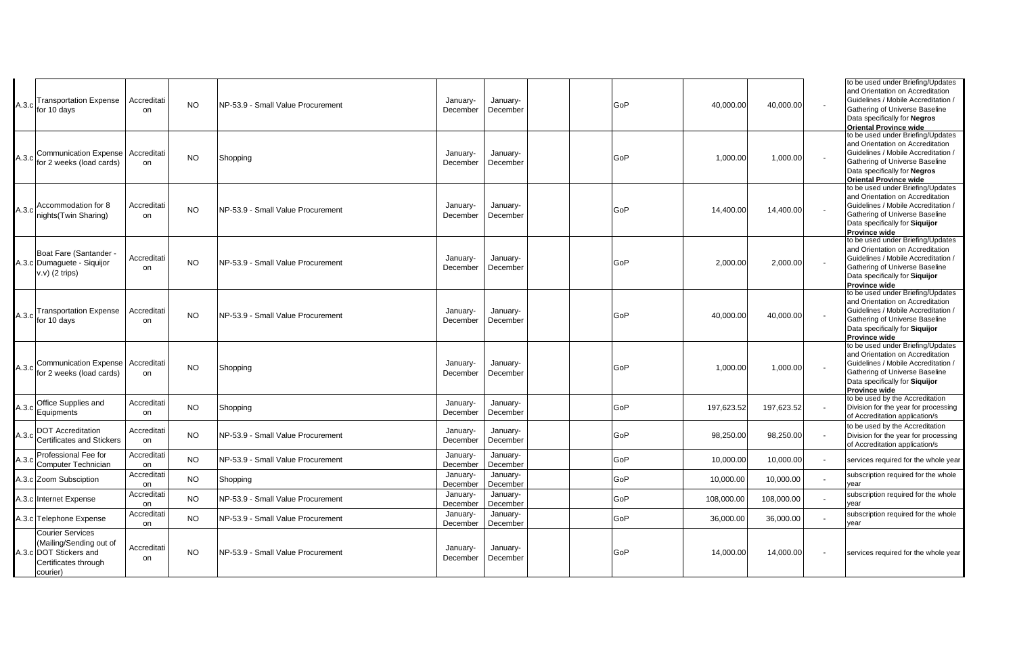| A.3.c | Transportation Expense<br>for 10 days                                                                            | Accreditati<br>on | <b>NO</b> | NP-53.9 - Small Value Procurement | January-<br>December | January-<br>December | GoP | 40,000.00  | 40,000.00  | to be used under Briefing/Updates<br>and Orientation on Accreditation<br>Guidelines / Mobile Accreditation /<br>Gathering of Universe Baseline<br>Data specifically for Negros<br><b>Oriental Province wide</b> |
|-------|------------------------------------------------------------------------------------------------------------------|-------------------|-----------|-----------------------------------|----------------------|----------------------|-----|------------|------------|-----------------------------------------------------------------------------------------------------------------------------------------------------------------------------------------------------------------|
|       | <b>Communication Expense</b><br>A.3.c for 2 weeks (load cards)                                                   | Accreditati<br>on | NO.       | Shopping                          | January-<br>December | January-<br>December | GoP | 1,000.00   | 1,000.00   | to be used under Briefing/Updates<br>and Orientation on Accreditation<br>Guidelines / Mobile Accreditation /<br>Gathering of Universe Baseline<br>Data specifically for Negros<br><b>Oriental Province wide</b> |
|       | Accommodation for 8<br>A.3.c nights (Twin Sharing)                                                               | Accreditati<br>on | <b>NO</b> | NP-53.9 - Small Value Procurement | January-<br>December | January-<br>December | GoP | 14,400.00  | 14,400.00  | to be used under Briefing/Updates<br>and Orientation on Accreditation<br>Guidelines / Mobile Accreditation /<br>Gathering of Universe Baseline<br>Data specifically for Siquijor<br><b>Province wide</b>        |
|       | Boat Fare (Santander -<br>A.3.c Dumaguete - Siquijor<br>$v.v)$ (2 trips)                                         | Accreditati<br>on | <b>NO</b> | NP-53.9 - Small Value Procurement | January-<br>December | January-<br>December | GoP | 2,000.00   | 2,000.00   | to be used under Briefing/Updates<br>and Orientation on Accreditation<br>Guidelines / Mobile Accreditation /<br>Gathering of Universe Baseline<br>Data specifically for Siquijor<br><b>Province wide</b>        |
|       | <b>Transportation Expense</b><br>$A.3.c$ for 10 days                                                             | Accreditati<br>on | <b>NO</b> | NP-53.9 - Small Value Procurement | January-<br>December | January-<br>December | GoP | 40,000.00  | 40,000.00  | to be used under Briefing/Updates<br>and Orientation on Accreditation<br>Guidelines / Mobile Accreditation /<br>Gathering of Universe Baseline<br>Data specifically for Siquijor<br><b>Province wide</b>        |
|       | <b>Communication Expense</b><br>A.3.c for 2 weeks (load cards)                                                   | Accreditati<br>on | <b>NO</b> | Shopping                          | January-<br>December | January-<br>December | GoP | 1,000.00   | 1,000.00   | to be used under Briefing/Updates<br>and Orientation on Accreditation<br>Guidelines / Mobile Accreditation /<br>Gathering of Universe Baseline<br>Data specifically for Siquijor<br><b>Province wide</b>        |
|       | Office Supplies and<br>$A.3.c$ Equipments                                                                        | Accreditati<br>on | <b>NO</b> | Shopping                          | January-<br>December | January-<br>December | GoP | 197,623.52 | 197,623.52 | to be used by the Accreditation<br>Division for the year for processing<br>of Accreditation application/s                                                                                                       |
|       | <b>DOT Accreditation</b><br>A.3.c Certificates and Stickers                                                      | Accreditati<br>on | <b>NO</b> | NP-53.9 - Small Value Procurement | January-<br>December | January-<br>December | GoP | 98,250.00  | 98,250.00  | to be used by the Accreditation<br>Division for the year for processing<br>of Accreditation application/s                                                                                                       |
| A.3.c | Professional Fee for<br>Computer Technician                                                                      | Accreditati<br>on | <b>NO</b> | NP-53.9 - Small Value Procurement | January-<br>December | January-<br>December | GoP | 10,000.00  | 10,000.00  | services required for the whole year                                                                                                                                                                            |
|       | A.3.c Zoom Subsciption                                                                                           | Accreditati<br>on | <b>NO</b> | Shopping                          | January-<br>December | January-<br>December | GoP | 10,000.00  | 10,000.00  | subscription required for the whole<br>vear                                                                                                                                                                     |
|       | A.3.c Internet Expense                                                                                           | Accreditati<br>on | <b>NO</b> | NP-53.9 - Small Value Procurement | January-<br>December | January-<br>December | GoP | 108,000.00 | 108,000.00 | subscription required for the whole<br>vear                                                                                                                                                                     |
|       | A.3.c Telephone Expense                                                                                          | Accreditati<br>on | <b>NO</b> | NP-53.9 - Small Value Procurement | January-<br>December | January-<br>December | GoP | 36,000.00  | 36,000.00  | subscription required for the whole<br>vear                                                                                                                                                                     |
|       | <b>Courier Services</b><br>(Mailing/Sending out of<br>A.3.c DOT Stickers and<br>Certificates through<br>courier) | Accreditati<br>on | NO.       | NP-53.9 - Small Value Procurement | January-<br>December | January-<br>December | GoP | 14,000.00  | 14,000.00  | services required for the whole year                                                                                                                                                                            |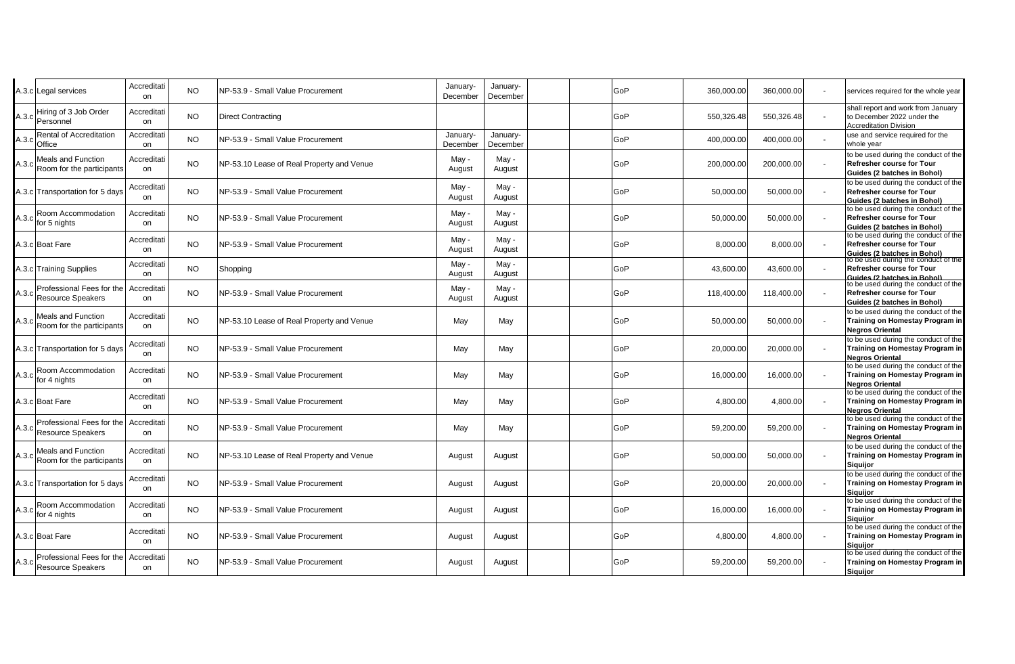| Accreditati<br>on                                                                                                                                                                                                                                                                                                                                                                                                                                                                                                                                                                                                                                                                                                                                         | <b>NO</b> | NP-53.9 - Small Value Procurement | January-<br>December                                                                                                                                                                                                                                                                    | January-<br>December |  | GoP | 360,000.00 | 360,000.00 | services required for the whole year                                                                    |
|-----------------------------------------------------------------------------------------------------------------------------------------------------------------------------------------------------------------------------------------------------------------------------------------------------------------------------------------------------------------------------------------------------------------------------------------------------------------------------------------------------------------------------------------------------------------------------------------------------------------------------------------------------------------------------------------------------------------------------------------------------------|-----------|-----------------------------------|-----------------------------------------------------------------------------------------------------------------------------------------------------------------------------------------------------------------------------------------------------------------------------------------|----------------------|--|-----|------------|------------|---------------------------------------------------------------------------------------------------------|
| Accreditati<br>on                                                                                                                                                                                                                                                                                                                                                                                                                                                                                                                                                                                                                                                                                                                                         | <b>NO</b> | <b>Direct Contracting</b>         |                                                                                                                                                                                                                                                                                         |                      |  | GoP | 550,326.48 | 550,326.48 | shall report and work from January<br>to December 2022 under the<br><b>Accreditation Division</b>       |
| Accreditati<br>on                                                                                                                                                                                                                                                                                                                                                                                                                                                                                                                                                                                                                                                                                                                                         | <b>NO</b> | NP-53.9 - Small Value Procurement | January-<br>December                                                                                                                                                                                                                                                                    | January-<br>December |  | GoP | 400.000.00 | 400,000.00 | use and service required for the<br>whole year                                                          |
| Accreditati<br>on                                                                                                                                                                                                                                                                                                                                                                                                                                                                                                                                                                                                                                                                                                                                         | <b>NO</b> |                                   | May -<br>August                                                                                                                                                                                                                                                                         | May -<br>August      |  | GoP | 200,000.00 | 200,000.00 | to be used during the conduct of the<br>Refresher course for Tour<br>Guides (2 batches in Bohol)        |
| Accreditati<br>on                                                                                                                                                                                                                                                                                                                                                                                                                                                                                                                                                                                                                                                                                                                                         | <b>NO</b> | NP-53.9 - Small Value Procurement | May -<br>August                                                                                                                                                                                                                                                                         | May -<br>August      |  | GoP | 50,000.00  | 50,000.00  | to be used during the conduct of the<br>Refresher course for Tour<br>Guides (2 batches in Bohol)        |
| Accreditati<br>on                                                                                                                                                                                                                                                                                                                                                                                                                                                                                                                                                                                                                                                                                                                                         | <b>NO</b> | NP-53.9 - Small Value Procurement | May -<br>August                                                                                                                                                                                                                                                                         | May -<br>August      |  | GoP | 50,000.00  | 50,000.00  | to be used during the conduct of the<br>Refresher course for Tour<br><b>Guides (2 batches in Bohol)</b> |
| Accreditati<br>on                                                                                                                                                                                                                                                                                                                                                                                                                                                                                                                                                                                                                                                                                                                                         | <b>NO</b> | NP-53.9 - Small Value Procurement | May -<br>August                                                                                                                                                                                                                                                                         | May -<br>August      |  | GoP | 8,000.00   | 8,000.00   | to be used during the conduct of the<br>Refresher course for Tour<br>Guides (2 batches in Bohol)        |
| Accreditati<br>on                                                                                                                                                                                                                                                                                                                                                                                                                                                                                                                                                                                                                                                                                                                                         | <b>NO</b> | Shopping                          | May -<br>August                                                                                                                                                                                                                                                                         | May -<br>August      |  | GoP | 43,600.00  | 43,600.00  | to be used during the conduct of the<br>Refresher course for Tour<br>Guides (2 batches in Bohol)        |
| Accreditati<br>on                                                                                                                                                                                                                                                                                                                                                                                                                                                                                                                                                                                                                                                                                                                                         | <b>NO</b> |                                   | May -<br>August                                                                                                                                                                                                                                                                         | May -<br>August      |  | GoP | 118,400.00 | 118,400.00 | to be used during the conduct of the<br><b>Refresher course for Tour</b><br>Guides (2 batches in Bohol) |
| Accreditati<br>on                                                                                                                                                                                                                                                                                                                                                                                                                                                                                                                                                                                                                                                                                                                                         | <b>NO</b> |                                   | May                                                                                                                                                                                                                                                                                     | May                  |  | GoP | 50,000.00  | 50,000.00  | to be used during the conduct of the<br>Training on Homestay Program in<br><b>Negros Oriental</b>       |
| Accreditati<br>on                                                                                                                                                                                                                                                                                                                                                                                                                                                                                                                                                                                                                                                                                                                                         | <b>NO</b> | NP-53.9 - Small Value Procurement | May                                                                                                                                                                                                                                                                                     | May                  |  | GoP | 20,000.00  | 20,000.00  | to be used during the conduct of the<br>Training on Homestay Program in<br><b>Negros Oriental</b>       |
| Accreditati<br>on                                                                                                                                                                                                                                                                                                                                                                                                                                                                                                                                                                                                                                                                                                                                         | <b>NO</b> | NP-53.9 - Small Value Procurement | May                                                                                                                                                                                                                                                                                     | May                  |  | GoP | 16,000.00  | 16,000.00  | to be used during the conduct of the<br>Training on Homestay Program in<br><b>Negros Oriental</b>       |
| Accreditati<br>on                                                                                                                                                                                                                                                                                                                                                                                                                                                                                                                                                                                                                                                                                                                                         | <b>NO</b> | NP-53.9 - Small Value Procurement | May                                                                                                                                                                                                                                                                                     | May                  |  | GoP | 4,800.00   | 4,800.00   | to be used during the conduct of the<br>Training on Homestay Program in<br><b>Negros Oriental</b>       |
| Accreditati<br>on                                                                                                                                                                                                                                                                                                                                                                                                                                                                                                                                                                                                                                                                                                                                         | <b>NO</b> | NP-53.9 - Small Value Procurement | May                                                                                                                                                                                                                                                                                     | May                  |  | GoP | 59,200.00  | 59,200.00  | to be used during the conduct of the<br>Training on Homestay Program in<br><b>Negros Oriental</b>       |
| Accreditati<br>on                                                                                                                                                                                                                                                                                                                                                                                                                                                                                                                                                                                                                                                                                                                                         | <b>NO</b> |                                   | August                                                                                                                                                                                                                                                                                  | August               |  | GoP | 50,000.00  | 50,000.00  | to be used during the conduct of the<br>Training on Homestay Program in<br>Siguijor                     |
| Accreditati<br>on                                                                                                                                                                                                                                                                                                                                                                                                                                                                                                                                                                                                                                                                                                                                         | <b>NO</b> | NP-53.9 - Small Value Procurement | August                                                                                                                                                                                                                                                                                  | August               |  | GoP | 20,000.00  | 20,000.00  | to be used during the conduct of the<br>Training on Homestay Program in<br><b>Siguijor</b>              |
| Accreditati<br>on                                                                                                                                                                                                                                                                                                                                                                                                                                                                                                                                                                                                                                                                                                                                         | <b>NO</b> |                                   | August                                                                                                                                                                                                                                                                                  | August               |  | GoP | 16,000.00  | 16,000.00  | to be used during the conduct of the<br>Training on Homestay Program in<br><b>Siguijor</b>              |
| Accreditati<br>on                                                                                                                                                                                                                                                                                                                                                                                                                                                                                                                                                                                                                                                                                                                                         | <b>NO</b> |                                   | August                                                                                                                                                                                                                                                                                  | August               |  | GoP | 4,800.00   | 4,800.00   | to be used during the conduct of the<br>Training on Homestay Program in<br><b>Siguijor</b>              |
| Accreditati<br>on                                                                                                                                                                                                                                                                                                                                                                                                                                                                                                                                                                                                                                                                                                                                         | <b>NO</b> |                                   | August                                                                                                                                                                                                                                                                                  | August               |  | GoP | 59,200.00  | 59,200.00  | to be used during the conduct of the<br>Training on Homestay Program in<br><b>Siguijor</b>              |
| A.3.c Legal services<br>Hiring of 3 Job Order<br>Personnel<br>Rental of Accreditation<br>Office<br>Meals and Function<br>Room for the participants<br>A.3.c Transportation for 5 days<br>Room Accommodation<br>for 5 nights<br>A.3.c Boat Fare<br>A.3.c Training Supplies<br>Professional Fees for the<br>Resource Speakers<br><b>Meals and Function</b><br>Room for the participants<br>A.3.c Transportation for 5 days<br>Room Accommodation<br>for 4 nights<br>A.3.c Boat Fare<br>Professional Fees for the<br><b>Resource Speakers</b><br><b>Meals and Function</b><br>Room for the participants<br>A.3.c Transportation for 5 days<br>Room Accommodation<br>for 4 nights<br>A.3.c Boat Fare<br>Professional Fees for the<br><b>Resource Speakers</b> |           |                                   | NP-53.10 Lease of Real Property and Venue<br>NP-53.9 - Small Value Procurement<br>NP-53.10 Lease of Real Property and Venue<br>NP-53.10 Lease of Real Property and Venue<br>NP-53.9 - Small Value Procurement<br>NP-53.9 - Small Value Procurement<br>NP-53.9 - Small Value Procurement |                      |  |     |            |            |                                                                                                         |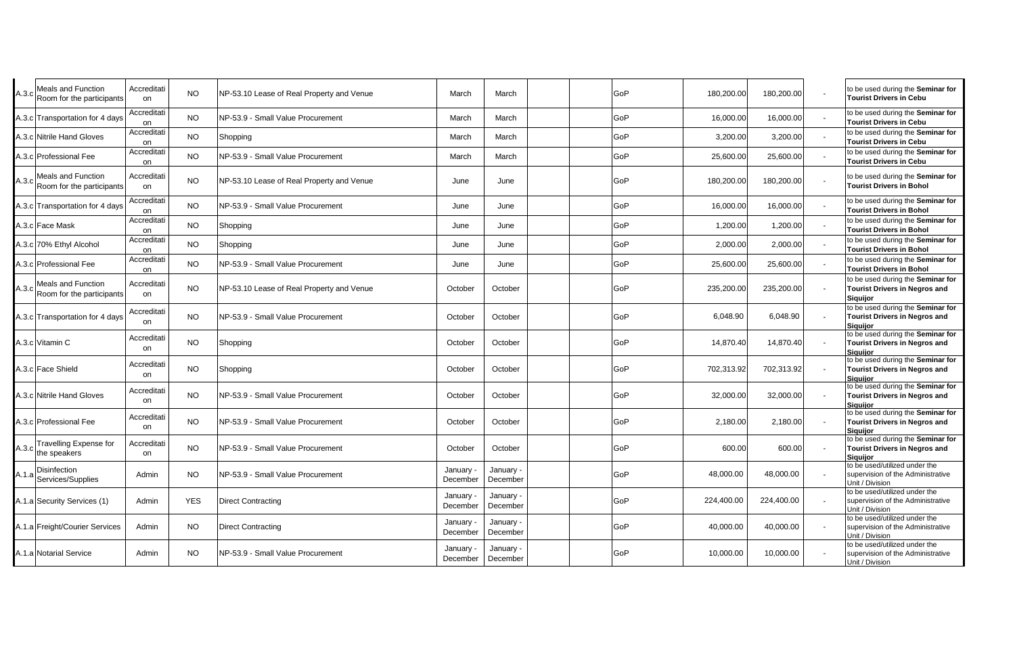| Meals and Function<br>$A.3.c$ Room for the participants | Accreditati<br>on       | <b>NO</b>  | NP-53.10 Lease of Real Property and Venue | March               | March                 | GoP | 180,200.00 | 180,200.00 | to be used during the Seminar for<br><b>Tourist Drivers in Cebu</b>                          |
|---------------------------------------------------------|-------------------------|------------|-------------------------------------------|---------------------|-----------------------|-----|------------|------------|----------------------------------------------------------------------------------------------|
| A.3.c Transportation for 4 days                         | Accreditati             | <b>NO</b>  | NP-53.9 - Small Value Procurement         | March               | March                 | GoP | 16,000.00  | 16,000.00  | to be used during the Seminar for<br><b>Tourist Drivers in Cebu</b>                          |
| A.3.c Nitrile Hand Gloves                               | on<br>Accreditati<br>on | <b>NO</b>  | Shopping                                  | March               | March                 | GoP | 3,200.00   | 3,200.00   | to be used during the Seminar for<br><b>Tourist Drivers in Cebu</b>                          |
| 4.3.c Professional Fee                                  | Accreditati<br>on       | <b>NO</b>  | NP-53.9 - Small Value Procurement         | March               | March                 | GoP | 25,600.00  | 25,600.00  | to be used during the Seminar for<br><b>Tourist Drivers in Cebu</b>                          |
| Meals and Function<br>$A.3.c$ Room for the participants | Accreditati<br>on       | <b>NO</b>  | NP-53.10 Lease of Real Property and Venue | June                | June                  | GoP | 180,200.00 | 180,200.00 | to be used during the Seminar for<br><b>Tourist Drivers in Bohol</b>                         |
| A.3.c Transportation for 4 days                         | Accreditati<br>on       | <b>NO</b>  | NP-53.9 - Small Value Procurement         | June                | June                  | GoP | 16,000.00  | 16,000.00  | to be used during the Seminar for<br><b>Tourist Drivers in Bohol</b>                         |
| A.3.c Face Mask                                         | Accreditati<br>on       | <b>NO</b>  | Shopping                                  | June                | June                  | GoP | 1,200.00   | 1,200.00   | to be used during the Seminar for<br><b>Tourist Drivers in Bohol</b>                         |
| A.3.c 70% Ethyl Alcohol                                 | Accreditati<br>on       | <b>NO</b>  | Shopping                                  | June                | June                  | GoP | 2,000.00   | 2,000.00   | to be used during the Seminar for<br><b>Tourist Drivers in Bohol</b>                         |
| A.3.c Professional Fee                                  | Accreditati<br>on       | <b>NO</b>  | NP-53.9 - Small Value Procurement         | June                | June                  | GoP | 25,600.00  | 25,600.00  | to be used during the Seminar for<br><b>Tourist Drivers in Bohol</b>                         |
| Meals and Function<br>A.3.c Room for the participants   | Accreditati<br>on       | NO.        | NP-53.10 Lease of Real Property and Venue | October             | October               | GoP | 235,200.00 | 235,200.00 | to be used during the Seminar for<br><b>Tourist Drivers in Negros and</b><br>Siquijor        |
| 4.3.c Transportation for 4 days                         | Accreditati<br>on       | NO.        | NP-53.9 - Small Value Procurement         | October             | October               | GoP | 6,048.90   | 6,048.90   | to be used during the Seminar for<br><b>Tourist Drivers in Negros and</b><br><b>Siguijor</b> |
| 4.3.c Vitamin C                                         | Accreditati<br>on       | <b>NO</b>  | Shopping                                  | October             | October               | GoP | 14,870.40  | 14,870.40  | to be used during the Seminar for<br><b>Tourist Drivers in Negros and</b><br><b>Siguilor</b> |
| A.3.c Face Shield                                       | Accreditati<br>on       | <b>NO</b>  | Shopping                                  | October             | October               | GoP | 702,313.92 | 702,313.92 | to be used during the Seminar for<br><b>Tourist Drivers in Negros and</b><br><b>Siguijor</b> |
| A.3.c Nitrile Hand Gloves                               | Accreditati<br>on       | <b>NO</b>  | NP-53.9 - Small Value Procurement         | October             | October               | GoP | 32,000.00  | 32,000.00  | to be used during the Seminar for<br><b>Tourist Drivers in Negros and</b><br><b>Siguijor</b> |
| A.3.c Professional Fee                                  | Accreditati<br>on       | <b>NO</b>  | NP-53.9 - Small Value Procurement         | October             | October               | GoP | 2,180.00   | 2,180.00   | to be used during the Seminar for<br><b>Tourist Drivers in Negros and</b><br>Siquijor        |
| Travelling Expense for<br>$A.3.c$ the speakers          | Accreditati<br>on       | <b>NO</b>  | NP-53.9 - Small Value Procurement         | October             | October               | GoP | 600.00     | 600.00     | to be used during the Seminar for<br>Tourist Drivers in Negros and<br><b>Siguijor</b>        |
| <b>Disinfection</b><br>A.1.a Services/Supplies          | Admin                   | <b>NO</b>  | NP-53.9 - Small Value Procurement         | January<br>December | January<br>December   | GoP | 48,000.00  | 48,000.00  | to be used/utilized under the<br>supervision of the Administrative<br>Unit / Division        |
| A.1.a Security Services (1)                             | Admin                   | <b>YES</b> | <b>Direct Contracting</b>                 | January<br>December | January<br>December   | GoP | 224,400.00 | 224,400.00 | to be used/utilized under the<br>supervision of the Administrative<br>Unit / Division        |
| A.1.a Freight/Courier Services                          | Admin                   | <b>NO</b>  | <b>Direct Contracting</b>                 | January<br>December | January -<br>December | GoP | 40,000.00  | 40,000.00  | to be used/utilized under the<br>supervision of the Administrative<br>Unit / Division        |
| A.1.a Notarial Service                                  | Admin                   | <b>NO</b>  | NP-53.9 - Small Value Procurement         | January<br>December | January<br>December   | GoP | 10,000.00  | 10,000.00  | to be used/utilized under the<br>supervision of the Administrative<br>Unit / Division        |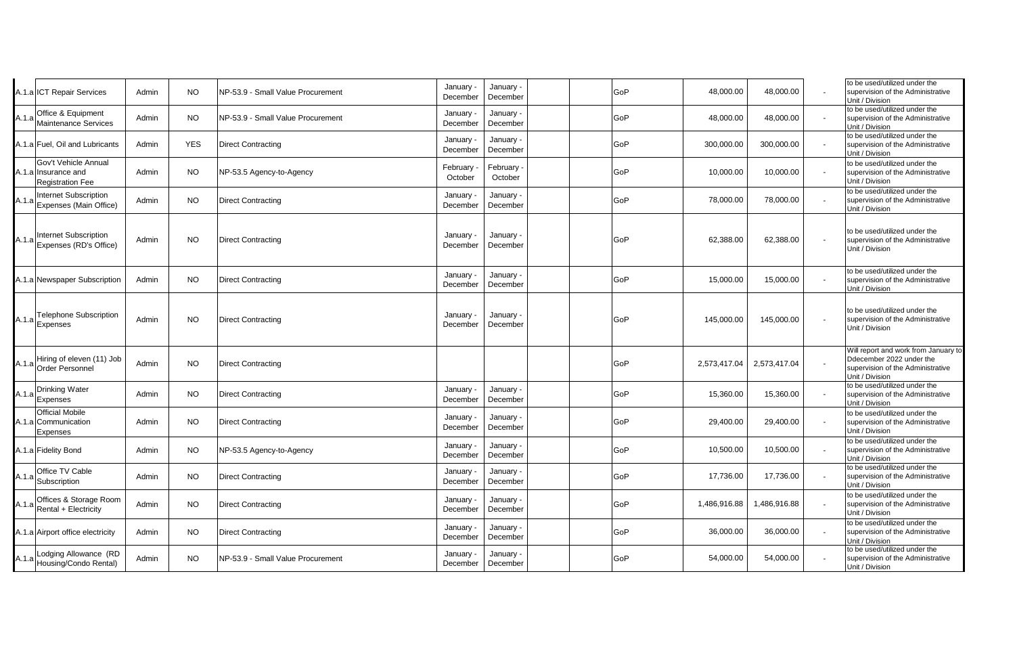|       | A.1.a ICT Repair Services                                              | Admin | <b>NO</b>  | NP-53.9 - Small Value Procurement | January<br>December | January -<br>December | GoP | 48,000.00    | 48,000.00    | to be used/utilized under the<br>supervision of the Administrative<br>Unit / Division                                    |
|-------|------------------------------------------------------------------------|-------|------------|-----------------------------------|---------------------|-----------------------|-----|--------------|--------------|--------------------------------------------------------------------------------------------------------------------------|
|       | Office & Equipment<br>A.1.a Maintenance Services                       | Admin | <b>NO</b>  | NP-53.9 - Small Value Procurement | January<br>December | January ·<br>December | GoP | 48,000.00    | 48,000.00    | to be used/utilized under the<br>supervision of the Administrative<br>Unit / Division                                    |
|       | A.1.a Fuel, Oil and Lubricants                                         | Admin | <b>YES</b> | <b>Direct Contracting</b>         | January<br>December | January ·<br>December | GoP | 300,000.00   | 300,000.00   | to be used/utilized under the<br>supervision of the Administrative<br>Unit / Division                                    |
|       | Gov't Vehicle Annual<br>A.1.a Insurance and<br><b>Registration Fee</b> | Admin | <b>NO</b>  | NP-53.5 Agency-to-Agency          | February<br>October | February<br>October   | GoP | 10,000.00    | 10,000.00    | to be used/utilized under the<br>supervision of the Administrative<br>Unit / Division                                    |
|       | <b>Internet Subscription</b><br>A.1.a Expenses (Main Office)           | Admin | <b>NO</b>  | <b>Direct Contracting</b>         | January<br>December | January -<br>December | GoP | 78,000.00    | 78,000.00    | to be used/utilized under the<br>supervision of the Administrative<br>Unit / Division                                    |
|       | A.1.a Internet Subscription<br>Expenses (RD's Office)                  | Admin | <b>NO</b>  | <b>Direct Contracting</b>         | January<br>December | January -<br>December | GoP | 62,388.00    | 62,388.00    | to be used/utilized under the<br>supervision of the Administrative<br>Unit / Division                                    |
|       | A.1.a Newspaper Subscription                                           | Admin | <b>NO</b>  | <b>Direct Contracting</b>         | January<br>December | January -<br>December | GoP | 15,000.00    | 15,000.00    | to be used/utilized under the<br>supervision of the Administrative<br>Unit / Division                                    |
|       | <b>Telephone Subscription</b><br>A.1.a Expenses                        | Admin | <b>NO</b>  | <b>Direct Contracting</b>         | January<br>December | January -<br>December | GoP | 145,000.00   | 145,000.00   | to be used/utilized under the<br>supervision of the Administrative<br>Unit / Division                                    |
|       | Hiring of eleven (11) Job<br>A.1.a Order Personnel                     | Admin | <b>NO</b>  | <b>Direct Contracting</b>         |                     |                       | GoP | 2,573,417.04 | 2,573,417.04 | Will report and work from January to<br>Ddecember 2022 under the<br>supervision of the Administrative<br>Unit / Division |
|       | A.1.a Drinking Water<br>Expenses                                       | Admin | NO.        | <b>Direct Contracting</b>         | January<br>December | January -<br>December | GoP | 15,360.00    | 15,360.00    | to be used/utilized under the<br>supervision of the Administrative<br>Unit / Division                                    |
|       | <b>Official Mobile</b><br>A.1.a Communication<br><b>Expenses</b>       | Admin | <b>NO</b>  | <b>Direct Contracting</b>         | January<br>December | January ·<br>December | GoP | 29,400.00    | 29,400.00    | to be used/utilized under the<br>supervision of the Administrative<br>Unit / Division                                    |
|       | A.1.a Fidelity Bond                                                    | Admin | <b>NO</b>  | NP-53.5 Agency-to-Agency          | January<br>December | January -<br>December | GoP | 10,500.00    | 10,500.00    | to be used/utilized under the<br>supervision of the Administrative<br>Unit / Division                                    |
| A.1.a | Office TV Cable<br>Subscription                                        | Admin | <b>NO</b>  | <b>Direct Contracting</b>         | January<br>December | January ·<br>December | GoP | 17,736.00    | 17,736.00    | to be used/utilized under the<br>supervision of the Administrative<br>Unit / Division                                    |
|       | Offices & Storage Room<br>$A.1.a$ Rental + Electricity                 | Admin | <b>NO</b>  | <b>Direct Contracting</b>         | January<br>December | January -<br>December | GoP | 1,486,916.88 | 1,486,916.88 | to be used/utilized under the<br>supervision of the Administrative<br>Unit / Division                                    |
|       | A.1.a Airport office electricity                                       | Admin | <b>NO</b>  | <b>Direct Contracting</b>         | January<br>December | January -<br>December | GoP | 36,000.00    | 36,000.00    | to be used/utilized under the<br>supervision of the Administrative<br>Unit / Division                                    |
|       | Lodging Allowance (RD<br>A.1.a Housing/Condo Rental)                   | Admin | <b>NO</b>  | NP-53.9 - Small Value Procurement | January<br>December | January -<br>December | GoP | 54,000.00    | 54,000.00    | to be used/utilized under the<br>supervision of the Administrative<br>Unit / Division                                    |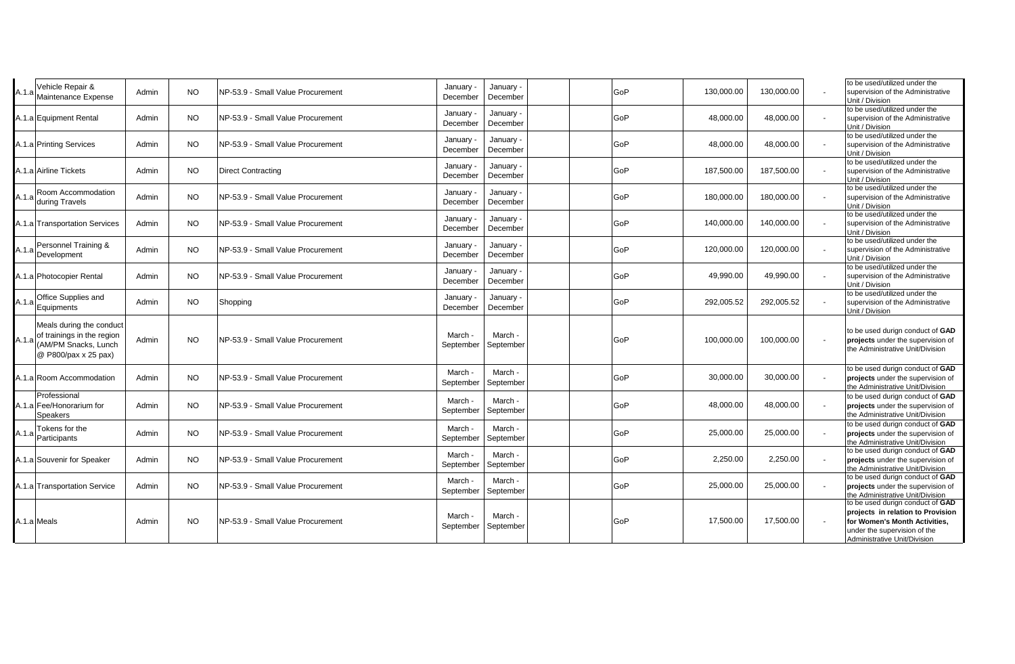| A.1.a | Vehicle Repair &<br>Maintenance Expense                                                                      | Admin | <b>NO</b> | NP-53.9 - Small Value Procurement  | January<br>December   | January -<br>December | GoP | 130,000.00 | 130,000.00 | to be used/utilized under the<br>supervision of the Administrative<br>Unit / Division                                                                                  |
|-------|--------------------------------------------------------------------------------------------------------------|-------|-----------|------------------------------------|-----------------------|-----------------------|-----|------------|------------|------------------------------------------------------------------------------------------------------------------------------------------------------------------------|
|       | A.1.a Equipment Rental                                                                                       | Admin | <b>NO</b> | NP-53.9 - Small Value Procurement  | January<br>December   | January -<br>December | GoP | 48,000.00  | 48,000.00  | to be used/utilized under the<br>supervision of the Administrative<br>Unit / Division                                                                                  |
|       | A.1.a Printing Services                                                                                      | Admin | NO.       | NP-53.9 - Small Value Procurement  | January<br>December   | January -<br>December | GoP | 48,000.00  | 48,000.00  | to be used/utilized under the<br>supervision of the Administrative<br>Unit / Division                                                                                  |
|       | <b>A.1.a Airline Tickets</b>                                                                                 | Admin | <b>NO</b> | <b>Direct Contracting</b>          | January -<br>December | January -<br>December | GoP | 187,500.00 | 187,500.00 | to be used/utilized under the<br>supervision of the Administrative<br>Unit / Division                                                                                  |
| A.1.a | Room Accommodation<br>during Travels                                                                         | Admin | <b>NO</b> | NP-53.9 - Small Value Procurement  | January<br>December   | January -<br>December | GoP | 180,000.00 | 180,000.00 | to be used/utilized under the<br>supervision of the Administrative<br>Unit / Division                                                                                  |
|       | A.1.a Transportation Services                                                                                | Admin | NO.       | NP-53.9 - Small Value Procurement  | January<br>December   | January -<br>December | GoP | 140,000.00 | 140,000.00 | to be used/utilized under the<br>supervision of the Administrative<br>Unit / Division                                                                                  |
| A.1.a | Personnel Training &<br>Development                                                                          | Admin | <b>NO</b> | NP-53.9 - Small Value Procurement  | January<br>December   | January -<br>December | GoP | 120,000.00 | 120,000.00 | to be used/utilized under the<br>supervision of the Administrative<br>Unit / Division                                                                                  |
|       | A.1.a Photocopier Rental                                                                                     | Admin | NO.       | NP-53.9 - Small Value Procurement  | January<br>December   | January -<br>December | GoP | 49,990.00  | 49,990.00  | to be used/utilized under the<br>supervision of the Administrative<br>Unit / Division                                                                                  |
|       | A.1.a Office Supplies and<br>Equipments                                                                      | Admin | <b>NO</b> | Shopping                           | January<br>December   | January ·<br>December | GoP | 292,005.52 | 292,005.52 | to be used/utilized under the<br>supervision of the Administrative<br>Unit / Division                                                                                  |
|       | Meals during the conduct<br>of trainings in the region<br>A.1.a (AM/PM Snacks, Lunch<br>@ P800/pax x 25 pax) | Admin | <b>NO</b> | NP-53.9 - Small Value Procurement  | March<br>September    | March<br>September    | GoP | 100,000.00 | 100,000.00 | to be used durign conduct of GAD<br>projects under the supervision of<br>the Administrative Unit/Division                                                              |
|       | A.1.a Room Accommodation                                                                                     | Admin | <b>NO</b> | NP-53.9 - Small Value Procurement  | March -<br>September  | March ·<br>September  | GoP | 30,000.00  | 30,000.00  | to be used durign conduct of GAD<br>projects under the supervision of<br>the Administrative Unit/Division                                                              |
|       | Professional<br>A.1.a Fee/Honorarium for<br><b>Speakers</b>                                                  | Admin | <b>NO</b> | NP-53.9 - Small Value Procurement  | March -<br>September  | March -<br>September  | GoP | 48,000.00  | 48,000.00  | to be used durign conduct of GAD<br>projects under the supervision of<br>the Administrative Unit/Division                                                              |
|       | Tokens for the<br>A.1.a Participants                                                                         | Admin | NO.       | NP-53.9 - Small Value Procurement  | March -<br>September  | March -<br>September  | GoP | 25,000.00  | 25,000.00  | to be used durign conduct of GAD<br>projects under the supervision of<br>the Administrative Unit/Division                                                              |
|       | A.1.a Souvenir for Speaker                                                                                   | Admin | <b>NO</b> | INP-53.9 - Small Value Procurement | March -<br>September  | March -<br>September  | GoP | 2,250.00   | 2,250.00   | to be used durign conduct of GAD<br>projects under the supervision of<br>the Administrative Unit/Division                                                              |
|       | A.1.a Transportation Service                                                                                 | Admin | <b>NO</b> | NP-53.9 - Small Value Procurement  | March -<br>September  | March -<br>September  | GoP | 25,000.00  | 25,000.00  | to be used durign conduct of GAD<br>projects under the supervision of<br>the Administrative Unit/Division                                                              |
|       | A.1.a Meals                                                                                                  | Admin | <b>NO</b> | NP-53.9 - Small Value Procurement  | March<br>September    | March<br>September    | GoP | 17,500.00  | 17,500.00  | to be used durign conduct of GAD<br>projects in relation to Provision<br>for Women's Month Activities,<br>under the supervision of the<br>Administrative Unit/Division |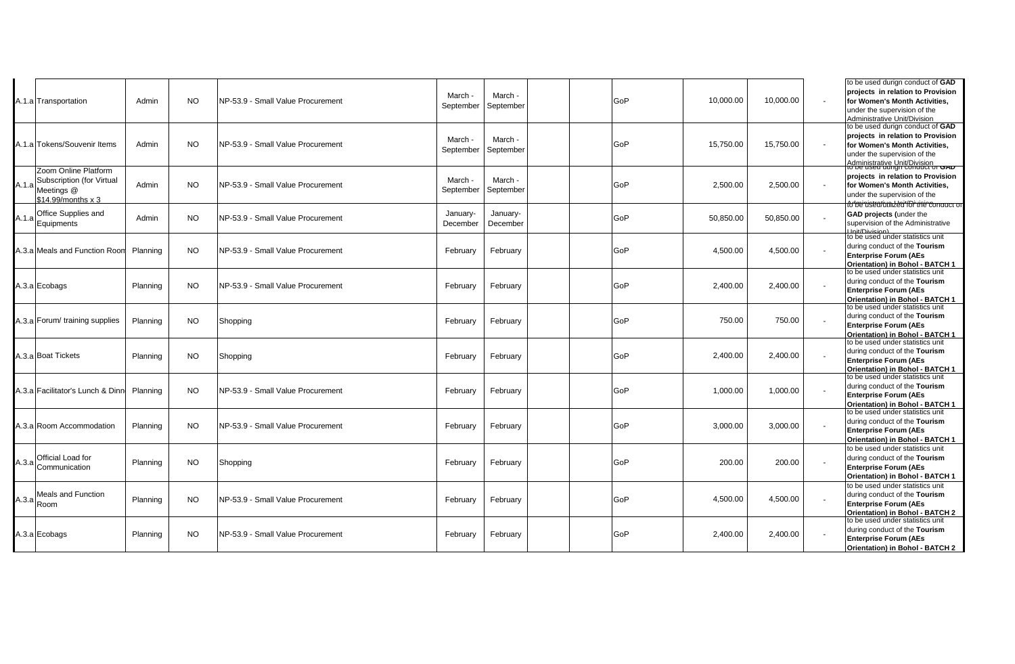|       | A.1.a Transportation                                                                        | Admin    | <b>NO</b> | NP-53.9 - Small Value Procurement  | March ·<br>September | March ·<br>September | GoP | 10,000.00 | 10,000.00 | to be used durign conduct of GAD<br>projects in relation to Provision<br>for Women's Month Activities,<br>under the supervision of the<br>Administrative Unit/Division                                     |
|-------|---------------------------------------------------------------------------------------------|----------|-----------|------------------------------------|----------------------|----------------------|-----|-----------|-----------|------------------------------------------------------------------------------------------------------------------------------------------------------------------------------------------------------------|
|       | A.1.a Tokens/Souvenir Items                                                                 | Admin    | <b>NO</b> | INP-53.9 - Small Value Procurement | March -<br>September | March -<br>September | GoP | 15,750.00 | 15,750.00 | to be used durign conduct of GAD<br>projects in relation to Provision<br>for Women's Month Activities,<br>under the supervision of the<br>Administrative Unit/Division<br>to be used durigh conduct or GAD |
|       | Zoom Online Platform<br>Subscription (for Virtual<br>A.1.a Meetings @<br>\$14.99/months x 3 | Admin    | NO.       | INP-53.9 - Small Value Procurement | March -<br>September | March -<br>September | GoP | 2,500.00  | 2,500.00  | projects in relation to Provision<br>for Women's Month Activities,<br>under the supervision of the<br>to be ustatum zea for the conquer or                                                                 |
| A.1.a | Office Supplies and<br>Equipments                                                           | Admin    | <b>NO</b> | NP-53.9 - Small Value Procurement  | January-<br>December | January-<br>December | GoP | 50,850.00 | 50,850.00 | GAD projects (under the<br>supervision of the Administrative                                                                                                                                               |
|       | A.3.a Meals and Function Room                                                               | Planning | NO.       | NP-53.9 - Small Value Procurement  | February             | February             | GoP | 4,500.00  | 4,500.00  | to be used under statistics unit<br>during conduct of the Tourism<br><b>Enterprise Forum (AEs</b><br>Orientation) in Bohol - BATCH 1                                                                       |
|       | A.3.a Ecobags                                                                               | Planning | NO.       | INP-53.9 - Small Value Procurement | February             | February             | GoP | 2,400.00  | 2,400.00  | to be used under statistics unit<br>during conduct of the Tourism<br><b>Enterprise Forum (AEs</b><br>Orientation) in Bohol - BATCH 1                                                                       |
|       | 4.3.a Forum/ training supplies                                                              | Planning | <b>NO</b> | Shopping                           | February             | February             | GoP | 750.00    | 750.00    | to be used under statistics unit<br>during conduct of the Tourism<br><b>Enterprise Forum (AEs</b><br>Orientation) in Bohol - BATCH 1                                                                       |
|       | A.3.a Boat Tickets                                                                          | Planning | NO.       | Shopping                           | February             | February             | GoP | 2,400.00  | 2,400.00  | to be used under statistics unit<br>during conduct of the Tourism<br><b>Enterprise Forum (AEs</b><br>Orientation) in Bohol - BATCH 1                                                                       |
|       | A.3.a Facilitator's Lunch & Dinn                                                            | Planning | <b>NO</b> | NP-53.9 - Small Value Procurement  | February             | February             | GoP | 1,000.00  | 1,000.00  | to be used under statistics unit<br>during conduct of the Tourism<br><b>Enterprise Forum (AEs</b><br>Orientation) in Bohol - BATCH 1                                                                       |
|       | A.3.a Room Accommodation                                                                    | Planning | NO.       | NP-53.9 - Small Value Procurement  | February             | February             | GoP | 3,000.00  | 3,000.00  | to be used under statistics unit<br>during conduct of the Tourism<br><b>Enterprise Forum (AEs</b><br>Orientation) in Bohol - BATCH 1                                                                       |
|       | A.3.a Official Load for<br>Communication                                                    | Planning | NO.       | Shopping                           | February             | February             | GoP | 200.00    | 200.00    | to be used under statistics unit<br>during conduct of the Tourism<br><b>Enterprise Forum (AEs</b><br>Orientation) in Bohol - BATCH 1                                                                       |
|       | Meals and Function<br>$A.3.a$ Room                                                          | Planning | <b>NO</b> | NP-53.9 - Small Value Procurement  | February             | February             | GoP | 4,500.00  | 4,500.00  | to be used under statistics unit<br>during conduct of the Tourism<br><b>Enterprise Forum (AEs</b><br>Orientation) in Bohol - BATCH 2                                                                       |
|       | A.3.a Ecobags                                                                               | Planning | <b>NO</b> | NP-53.9 - Small Value Procurement  | February             | February             | GoP | 2,400.00  | 2,400.00  | to be used under statistics unit<br>during conduct of the Tourism<br><b>Enterprise Forum (AEs</b><br>Orientation) in Bohol - BATCH 2                                                                       |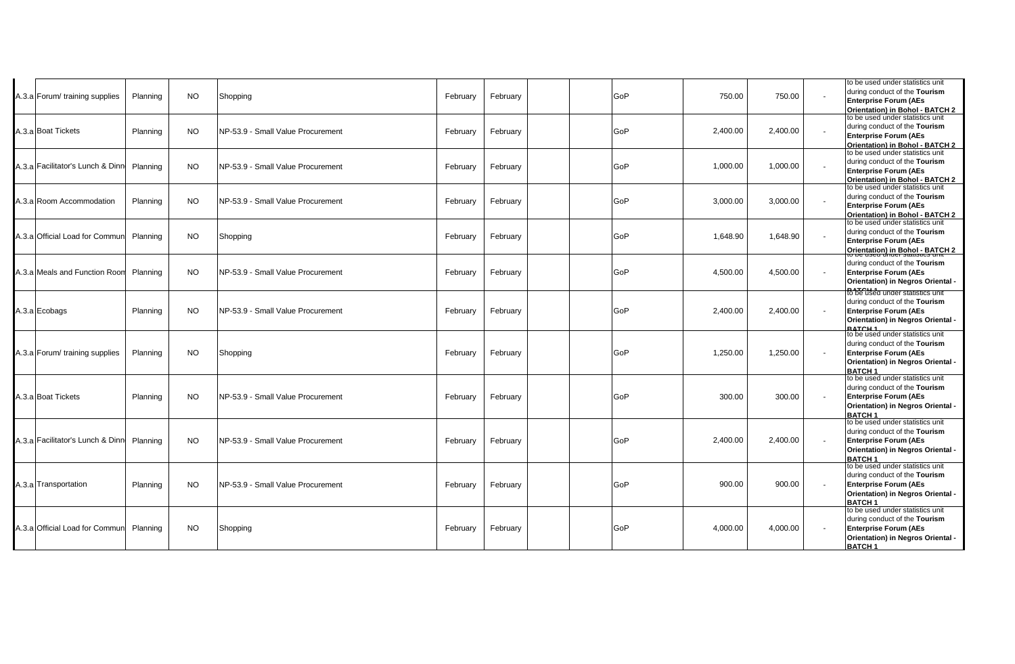| A.3.a Forum/ training supplies   | Planning | <b>NO</b> | Shopping                           | February | February |  | GoP | 750.00   | 750.00   | to be used under statistics unit<br>during conduct of the Tourism<br><b>Enterprise Forum (AEs</b><br>Orientation) in Bohol - BATCH 2                         |
|----------------------------------|----------|-----------|------------------------------------|----------|----------|--|-----|----------|----------|--------------------------------------------------------------------------------------------------------------------------------------------------------------|
| A.3.a Boat Tickets               | Planning | NO.       | INP-53.9 - Small Value Procurement | February | February |  | GoP | 2,400.00 | 2,400.00 | to be used under statistics unit<br>during conduct of the Tourism<br><b>Enterprise Forum (AEs</b><br>Orientation) in Bohol - BATCH 2                         |
| A.3.a Facilitator's Lunch & Dinn | Planning | <b>NO</b> | NP-53.9 - Small Value Procurement  | February | February |  | GoP | 1,000.00 | 1,000.00 | to be used under statistics unit<br>during conduct of the Tourism<br><b>Enterprise Forum (AEs</b><br>Orientation) in Bohol - BATCH 2                         |
| A.3.a Room Accommodation         | Planning | <b>NO</b> | INP-53.9 - Small Value Procurement | February | February |  | GoP | 3,000.00 | 3,000.00 | to be used under statistics unit<br>during conduct of the Tourism<br><b>Enterprise Forum (AEs</b><br>Orientation) in Bohol - BATCH 2                         |
| A.3.a Official Load for Communi  | Planning | <b>NO</b> | Shopping                           | February | February |  | GoP | 1,648.90 | 1,648.90 | to be used under statistics unit<br>during conduct of the Tourism<br><b>Enterprise Forum (AEs</b><br>Orientation) in Bohol - BATCH 2                         |
| A.3.a Meals and Function Room    | Planning | <b>NO</b> | NP-53.9 - Small Value Procurement  | February | February |  | GoP | 4,500.00 | 4,500.00 | during conduct of the Tourism<br><b>Enterprise Forum (AEs</b><br>Orientation) in Negros Oriental -                                                           |
| A.3.a Ecobags                    | Planning | <b>NO</b> | NP-53.9 - Small Value Procurement  | February | February |  | GoP | 2,400.00 | 2,400.00 | <b>RATCUSE</b> under statistics unit<br>during conduct of the Tourism<br><b>Enterprise Forum (AEs</b><br>Orientation) in Negros Oriental -<br><b>BATCH 1</b> |
| A.3.a Forum/ training supplies   | Planning | <b>NO</b> | Shopping                           | February | February |  | GoP | 1,250.00 | 1,250.00 | to be used under statistics unit<br>during conduct of the Tourism<br><b>Enterprise Forum (AEs</b><br>Orientation) in Negros Oriental -<br><b>BATCH1</b>      |
| A.3.a Boat Tickets               | Planning | <b>NO</b> | NP-53.9 - Small Value Procurement  | February | February |  | GoP | 300.00   | 300.00   | to be used under statistics unit<br>during conduct of the Tourism<br><b>Enterprise Forum (AEs</b><br>Orientation) in Negros Oriental -<br>BATCH <sub>1</sub> |
| A.3.a Facilitator's Lunch & Dinn | Planning | <b>NO</b> | INP-53.9 - Small Value Procurement | February | February |  | GoP | 2,400.00 | 2,400.00 | to be used under statistics unit<br>during conduct of the Tourism<br><b>Enterprise Forum (AEs</b><br>Orientation) in Negros Oriental -<br><b>BATCH1</b>      |
| A.3.a Transportation             | Planning | <b>NO</b> | INP-53.9 - Small Value Procurement | February | February |  | GoP | 900.00   | 900.00   | to be used under statistics unit<br>during conduct of the Tourism<br><b>Enterprise Forum (AEs</b><br>Orientation) in Negros Oriental -<br><b>BATCH1</b>      |
| A.3.a Official Load for Communi  | Planning | <b>NO</b> | Shopping                           | February | February |  | GoP | 4,000.00 | 4,000.00 | to be used under statistics unit<br>during conduct of the Tourism<br><b>Enterprise Forum (AEs</b><br>Orientation) in Negros Oriental -<br><b>BATCH1</b>      |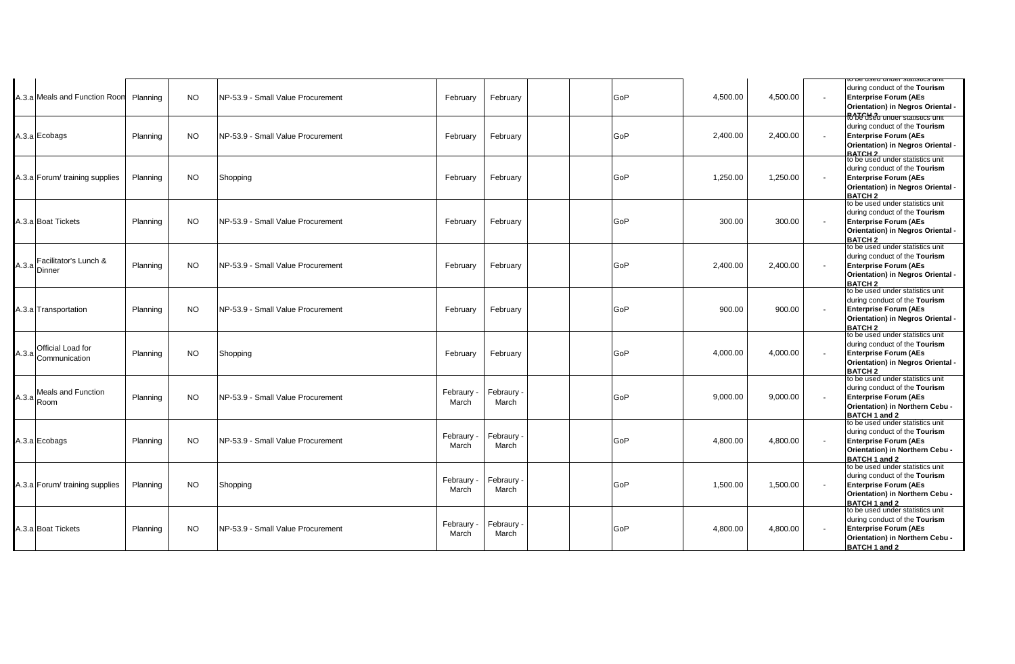|                                            |          |           |                                   |                   |                   |     |          |          | o pe useu unuer statistics un                                                                                                                            |
|--------------------------------------------|----------|-----------|-----------------------------------|-------------------|-------------------|-----|----------|----------|----------------------------------------------------------------------------------------------------------------------------------------------------------|
| A.3.a Meals and Function Room              | Planning | <b>NO</b> | NP-53.9 - Small Value Procurement | February          | February          | GoP | 4,500.00 | 4,500.00 | during conduct of the Tourism<br><b>Enterprise Forum (AEs</b><br>Orientation) in Negros Oriental -                                                       |
| A.3.a Ecobags                              | Planning | <b>NO</b> | NP-53.9 - Small Value Procurement | February          | February          | GoP | 2,400.00 | 2,400.00 | Ro be used under statistics un<br>during conduct of the Tourism<br><b>Enterprise Forum (AEs</b><br>Orientation) in Negros Oriental -<br><b>RATCH 2</b>   |
| A.3.a Forum/ training supplies             | Planning | NO.       | Shopping                          | February          | February          | GoP | 1,250.00 | 1,250.00 | to be used under statistics unit<br>during conduct of the Tourism<br><b>Enterprise Forum (AEs</b><br>Orientation) in Negros Oriental -<br><b>BATCH 2</b> |
| A.3.a Boat Tickets                         | Planning | NO.       | NP-53.9 - Small Value Procurement | February          | February          | GoP | 300.00   | 300.00   | to be used under statistics unit<br>during conduct of the Tourism<br><b>Enterprise Forum (AEs</b><br>Orientation) in Negros Oriental -<br><b>BATCH 2</b> |
| Facilitator's Lunch &<br>$A.3.a$ Dinner    | Planning | NO.       | NP-53.9 - Small Value Procurement | February          | February          | GoP | 2,400.00 | 2,400.00 | to be used under statistics unit<br>during conduct of the Tourism<br><b>Enterprise Forum (AEs</b><br>Orientation) in Negros Oriental -<br><b>BATCH 2</b> |
| A.3.a Transportation                       | Planning | NO.       | NP-53.9 - Small Value Procurement | February          | February          | GoP | 900.00   | 900.00   | to be used under statistics unit<br>during conduct of the Tourism<br><b>Enterprise Forum (AEs</b><br>Orientation) in Negros Oriental -<br><b>BATCH 2</b> |
| Official Load for<br>$A.3.a$ Communication | Planning | NO.       | Shopping                          | February          | February          | GoP | 4,000.00 | 4,000.00 | to be used under statistics unit<br>during conduct of the Tourism<br><b>Enterprise Forum (AEs</b><br>Orientation) in Negros Oriental -<br><b>BATCH 2</b> |
| <b>Meals and Function</b><br>$A.3.a$ Room  | Planning | <b>NO</b> | NP-53.9 - Small Value Procurement | Febraury<br>March | Febraury<br>March | GoP | 9,000.00 | 9,000.00 | to be used under statistics unit<br>during conduct of the Tourism<br><b>Enterprise Forum (AEs</b><br>Orientation) in Northern Cebu -<br>BATCH 1 and 2    |
| A.3.a Ecobags                              | Planning | NO.       | NP-53.9 - Small Value Procurement | Febraury<br>March | Febraury<br>March | GoP | 4,800.00 | 4,800.00 | to be used under statistics unit<br>during conduct of the Tourism<br><b>Enterprise Forum (AEs</b><br>Orientation) in Northern Cebu -<br>BATCH 1 and 2    |
| A.3.a Forum/ training supplies             | Planning | NO.       | Shopping                          | Febraury<br>March | Febraury<br>March | GoP | 1,500.00 | 1,500.00 | to be used under statistics unit<br>during conduct of the Tourism<br><b>Enterprise Forum (AEs</b><br>Orientation) in Northern Cebu -<br>BATCH 1 and 2    |
| A.3.a Boat Tickets                         | Planning | NO.       | NP-53.9 - Small Value Procurement | Febraury<br>March | Febraury<br>March | GoP | 4,800.00 | 4,800.00 | to be used under statistics unit<br>during conduct of the Tourism<br><b>Enterprise Forum (AEs</b><br>Orientation) in Northern Cebu -<br>BATCH 1 and 2    |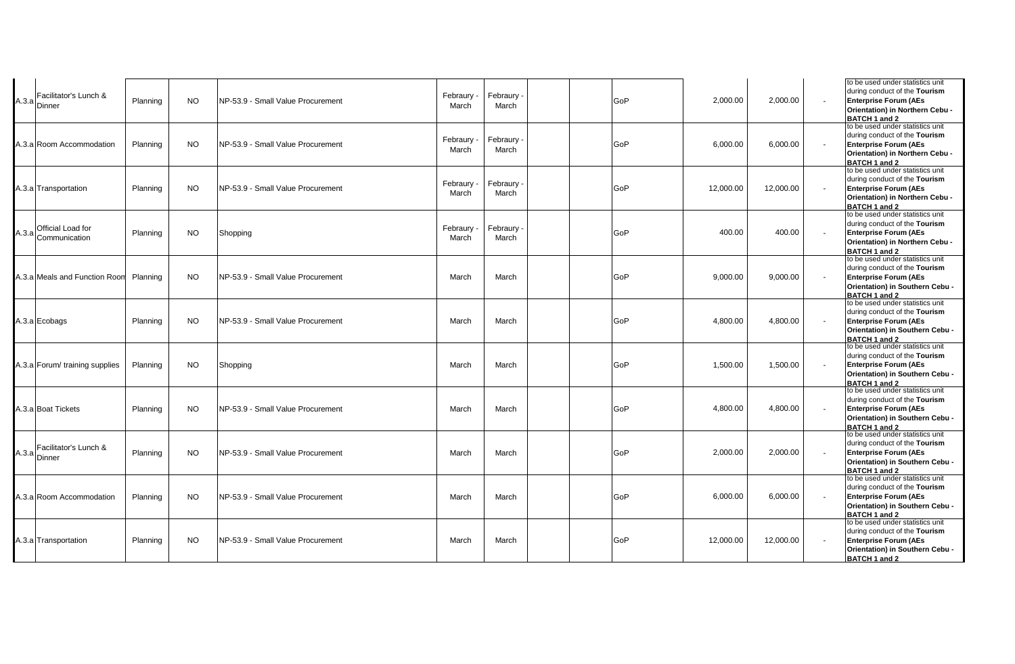| Facilitator's Lunch &<br>$A.3.a$ Dinner    | Planning | NO. | INP-53.9 - Small Value Procurement | Febraury<br>March   | Febraury<br>March              | GoP | 2,000.00  | 2,000.00  | to be used under statistics unit<br>during conduct of the Tourism<br><b>Enterprise Forum (AEs</b><br>Orientation) in Northern Cebu -<br>BATCH 1 and 2 |
|--------------------------------------------|----------|-----|------------------------------------|---------------------|--------------------------------|-----|-----------|-----------|-------------------------------------------------------------------------------------------------------------------------------------------------------|
| A.3.a Room Accommodation                   | Planning | NO. | NP-53.9 - Small Value Procurement  | Febraury<br>March   | Febraury <sub>:</sub><br>March | GoP | 6,000.00  | 6,000.00  | to be used under statistics unit<br>during conduct of the Tourism<br><b>Enterprise Forum (AEs</b><br>Orientation) in Northern Cebu -<br>BATCH 1 and 2 |
| A.3.a Transportation                       | Planning | NO. | NP-53.9 - Small Value Procurement  | Febraury<br>March   | Febraury<br>March              | GoP | 12,000.00 | 12,000.00 | to be used under statistics unit<br>during conduct of the Tourism<br><b>Enterprise Forum (AEs</b><br>Orientation) in Northern Cebu -<br>BATCH 1 and 2 |
| Official Load for<br>$A.3.a$ Communication | Planning | NO. | Shopping                           | Febraury -<br>March | Febraury <sub>:</sub><br>March | GoP | 400.00    | 400.00    | to be used under statistics unit<br>during conduct of the Tourism<br><b>Enterprise Forum (AEs</b><br>Orientation) in Northern Cebu -<br>BATCH 1 and 2 |
| A.3.a Meals and Function Room              | Planning | NO. | NP-53.9 - Small Value Procurement  | March               | March                          | GoP | 9,000.00  | 9,000.00  | to be used under statistics unit<br>during conduct of the Tourism<br><b>Enterprise Forum (AEs</b><br>Orientation) in Southern Cebu -<br>BATCH 1 and 2 |
| A.3.a Ecobags                              | Planning | NO. | NP-53.9 - Small Value Procurement  | March               | March                          | GoP | 4,800.00  | 4,800.00  | to be used under statistics unit<br>during conduct of the Tourism<br><b>Enterprise Forum (AEs</b><br>Orientation) in Southern Cebu -<br>BATCH 1 and 2 |
| A.3.a Forum/ training supplies             | Planning | NO. | Shopping                           | March               | March                          | GoP | 1,500.00  | 1,500.00  | to be used under statistics unit<br>during conduct of the Tourism<br><b>Enterprise Forum (AEs</b><br>Orientation) in Southern Cebu -<br>BATCH 1 and 2 |
| A.3.a Boat Tickets                         | Planning | NO. | NP-53.9 - Small Value Procurement  | March               | March                          | GoP | 4,800.00  | 4,800.00  | to be used under statistics unit<br>during conduct of the Tourism<br><b>Enterprise Forum (AEs</b><br>Orientation) in Southern Cebu -<br>BATCH 1 and 2 |
| Facilitator's Lunch &<br>$A.3.a$ Dinner    | Planning | NO. | NP-53.9 - Small Value Procurement  | March               | March                          | GoP | 2,000.00  | 2,000.00  | to be used under statistics unit<br>during conduct of the Tourism<br><b>Enterprise Forum (AEs</b><br>Orientation) in Southern Cebu -<br>BATCH 1 and 2 |
| A.3.a Room Accommodation                   | Planning | NO. | NP-53.9 - Small Value Procurement  | March               | March                          | GoP | 6,000.00  | 6,000.00  | to be used under statistics unit<br>during conduct of the Tourism<br><b>Enterprise Forum (AEs</b><br>Orientation) in Southern Cebu -<br>BATCH 1 and 2 |
| A.3.a Transportation                       | Planning | NO. | NP-53.9 - Small Value Procurement  | March               | March                          | GoP | 12,000.00 | 12,000.00 | to be used under statistics unit<br>during conduct of the Tourism<br><b>Enterprise Forum (AEs</b><br>Orientation) in Southern Cebu -<br>BATCH 1 and 2 |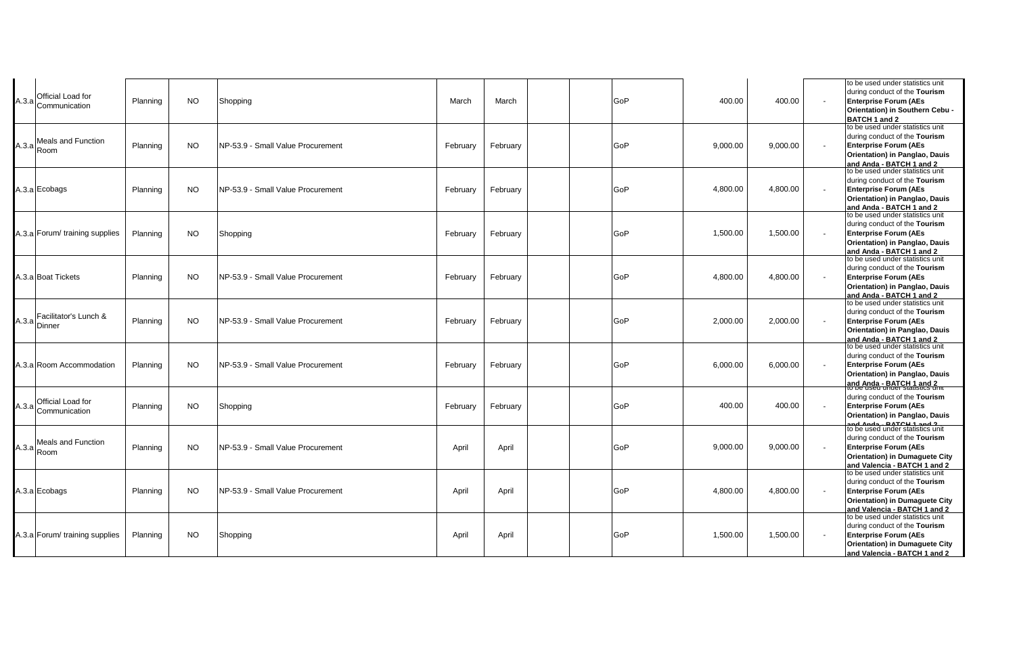|       | A.3.a Official Load for<br>Communication                                   | Planning | <b>NO</b> | Shopping                           | March    | March    | GoP | 400.00   | 400.00   | to be used under statistics unit<br>during conduct of the Tourism<br><b>Enterprise Forum (AEs</b><br>Orientation) in Southern Cebu -<br>BATCH 1 and 2               |
|-------|----------------------------------------------------------------------------|----------|-----------|------------------------------------|----------|----------|-----|----------|----------|---------------------------------------------------------------------------------------------------------------------------------------------------------------------|
| A.3.a | <b>Meals and Function</b><br>Room                                          | Planning | <b>NO</b> | NP-53.9 - Small Value Procurement  | February | February | GoP | 9.000.00 | 9.000.00 | to be used under statistics unit<br>during conduct of the Tourism<br><b>Enterprise Forum (AEs</b><br>Orientation) in Panglao, Dauis<br>and Anda - BATCH 1 and 2     |
|       | A.3.a Ecobags                                                              | Planning | <b>NO</b> | NP-53.9 - Small Value Procurement  | February | February | GoP | 4,800.00 | 4,800.00 | to be used under statistics unit<br>during conduct of the Tourism<br><b>Enterprise Forum (AEs</b><br>Orientation) in Panglao, Dauis<br>and Anda - BATCH 1 and 2     |
|       | 4.3.a Forum/ training supplies                                             | Planning | <b>NO</b> | Shopping                           | February | February | GoP | 1,500.00 | 1,500.00 | to be used under statistics unit<br>during conduct of the Tourism<br><b>Enterprise Forum (AEs</b><br>Orientation) in Panglao, Dauis<br>and Anda - BATCH 1 and 2     |
|       | A.3.a Boat Tickets                                                         | Planning | <b>NO</b> | INP-53.9 - Small Value Procurement | February | February | GoP | 4,800.00 | 4,800.00 | to be used under statistics unit<br>during conduct of the Tourism<br><b>Enterprise Forum (AEs</b><br>Orientation) in Panglao, Dauis<br>and Anda - BATCH 1 and 2     |
|       | Facilitator's Lunch &<br>$A.3.a$ Dinner                                    | Planning | <b>NO</b> | NP-53.9 - Small Value Procurement  | February | February | GoP | 2,000.00 | 2,000.00 | to be used under statistics unit<br>during conduct of the Tourism<br><b>Enterprise Forum (AEs</b><br>Orientation) in Panglao, Dauis<br>and Anda - BATCH 1 and 2     |
|       | A.3.a Room Accommodation                                                   | Planning | <b>NO</b> | NP-53.9 - Small Value Procurement  | February | February | GoP | 6,000.00 | 6,000.00 | to be used under statistics unit<br>during conduct of the Tourism<br><b>Enterprise Forum (AEs</b><br>Orientation) in Panglao, Dauis<br>and Anda - BATCH 1 and 2     |
|       | Official Load for<br>$\begin{array}{c}  A.3.a  \overline{C}$ communication | Planning | <b>NO</b> | Shopping                           | February | February | GoP | 400.00   | 400.00   | during conduct of the Tourism<br><b>Enterprise Forum (AEs</b><br>Orientation) in Panglao, Dauis                                                                     |
|       | Meals and Function<br>$A.3.a$ Room                                         | Planning | <b>NO</b> | NP-53.9 - Small Value Procurement  | April    | April    | GoP | 9,000.00 | 9,000.00 | to be used under statistics unit<br>during conduct of the Tourism<br><b>Enterprise Forum (AEs</b><br>Orientation) in Dumaguete City<br>and Valencia - BATCH 1 and 2 |
|       | A.3.a Ecobags                                                              | Planning | <b>NO</b> | NP-53.9 - Small Value Procurement  | April    | April    | GoP | 4,800.00 | 4,800.00 | to be used under statistics unit<br>during conduct of the Tourism<br><b>Enterprise Forum (AEs</b><br>Orientation) in Dumaguete City<br>and Valencia - BATCH 1 and 2 |
|       | A.3.a Forum/ training supplies                                             | Planning | <b>NO</b> | Shopping                           | April    | April    | GoP | 1,500.00 | 1,500.00 | to be used under statistics unit<br>during conduct of the Tourism<br><b>Enterprise Forum (AEs</b><br>Orientation) in Dumaguete City<br>and Valencia - BATCH 1 and 2 |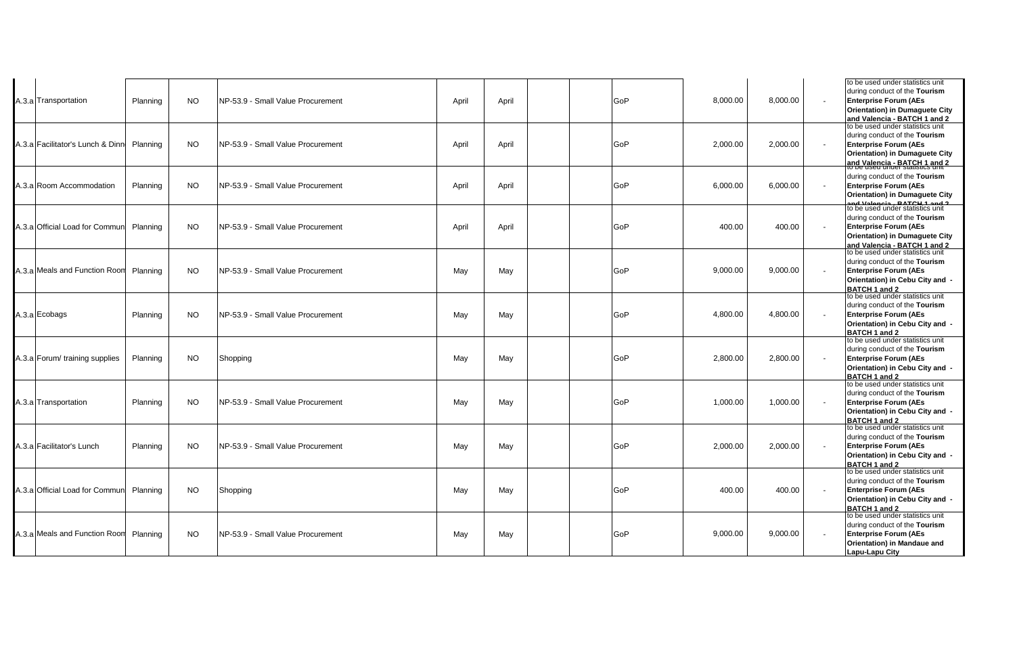| A.3.a Transportation             | Planning | <b>NO</b> | NP-53.9 - Small Value Procurement  | April | April | GoP | 8,000.00 | 8,000.00 | to be used under statistics unit<br>during conduct of the Tourism<br><b>Enterprise Forum (AEs</b><br><b>Orientation) in Dumaguete City</b><br>and Valencia - BATCH 1 and 2 |
|----------------------------------|----------|-----------|------------------------------------|-------|-------|-----|----------|----------|----------------------------------------------------------------------------------------------------------------------------------------------------------------------------|
| A.3.a Facilitator's Lunch & Dinn | Planning | <b>NO</b> | NP-53.9 - Small Value Procurement  | April | April | GoP | 2,000.00 | 2,000.00 | to be used under statistics unit<br>during conduct of the Tourism<br><b>Enterprise Forum (AEs</b><br>Orientation) in Dumaguete City<br>and Valencia - BATCH 1 and 2        |
| A.3.a Room Accommodation         | Planning | <b>NO</b> | NP-53.9 - Small Value Procurement  | April | April | GoP | 6,000.00 | 6,000.00 | during conduct of the Tourism<br><b>Enterprise Forum (AEs</b><br><b>Orientation) in Dumaquete City</b><br>and Valencia - BATCH 1 and 2<br>to be used under statistics unit |
| A.3.a Official Load for Commun   | Planning | <b>NO</b> | INP-53.9 - Small Value Procurement | April | April | GoP | 400.00   | 400.00   | during conduct of the Tourism<br><b>Enterprise Forum (AEs</b><br>Orientation) in Dumaguete City<br>and Valencia - BATCH 1 and 2                                            |
| A.3.a Meals and Function Room    | Planning | <b>NO</b> | NP-53.9 - Small Value Procurement  | May   | May   | GoP | 9,000.00 | 9,000.00 | to be used under statistics unit<br>during conduct of the Tourism<br><b>Enterprise Forum (AEs</b><br>Orientation) in Cebu City and -<br>BATCH 1 and 2                      |
| A.3.a Ecobags                    | Planning | <b>NO</b> | NP-53.9 - Small Value Procurement  | May   | May   | GoP | 4,800.00 | 4,800.00 | to be used under statistics unit<br>during conduct of the Tourism<br><b>Enterprise Forum (AEs</b><br>Orientation) in Cebu City and -<br>BATCH 1 and 2                      |
| A.3.a Forum/ training supplies   | Planning | <b>NO</b> | Shopping                           | May   | May   | GoP | 2.800.00 | 2.800.00 | to be used under statistics unit<br>during conduct of the Tourism<br><b>Enterprise Forum (AEs</b><br>Orientation) in Cebu City and -<br>BATCH 1 and 2                      |
| A.3.a Transportation             | Planning | <b>NO</b> | NP-53.9 - Small Value Procurement  | May   | May   | GoP | 1,000.00 | 1,000.00 | to be used under statistics unit<br>during conduct of the Tourism<br><b>Enterprise Forum (AEs</b><br>Orientation) in Cebu City and -<br>BATCH 1 and 2                      |
| A.3.a Facilitator's Lunch        | Planning | NO.       | INP-53.9 - Small Value Procurement | Mav   | May   | GoP | 2,000.00 | 2,000.00 | to be used under statistics unit<br>during conduct of the Tourism<br><b>Enterprise Forum (AEs</b><br>Orientation) in Cebu City and -<br>BATCH 1 and 2                      |
| A.3.a Official Load for Commun   | Planning | <b>NO</b> | Shopping                           | May   | May   | GoP | 400.00   | 400.00   | to be used under statistics unit<br>during conduct of the Tourism<br><b>Enterprise Forum (AEs</b><br>Orientation) in Cebu City and -<br>BATCH 1 and 2                      |
| A.3.a Meals and Function Room    | Planning | <b>NO</b> | INP-53.9 - Small Value Procurement | May   | May   | GoP | 9,000.00 | 9,000.00 | to be used under statistics unit<br>during conduct of the Tourism<br><b>Enterprise Forum (AEs</b><br>Orientation) in Mandaue and<br>Lapu-Lapu City                         |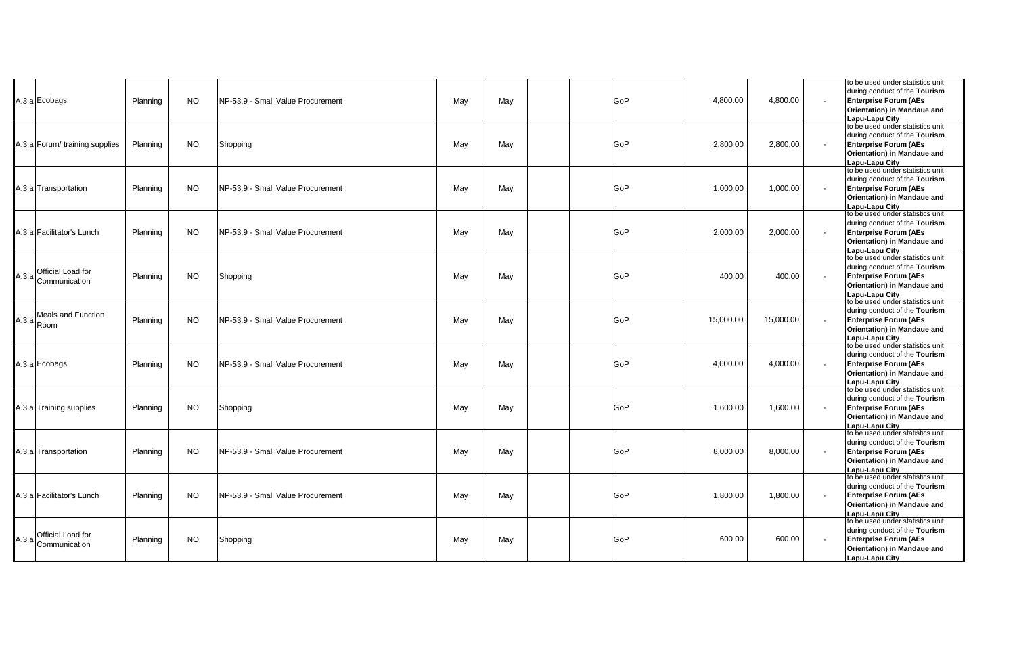|       | A.3.a Ecobags                              | Planning | NO.       | NP-53.9 - Small Value Procurement | May | May | GoP | 4,800.00  | 4.800.00  | to be used under statistics unit<br>during conduct of the Tourism<br><b>Enterprise Forum (AEs</b><br>Orientation) in Mandaue and<br><b>Lapu-Lapu City</b>                              |
|-------|--------------------------------------------|----------|-----------|-----------------------------------|-----|-----|-----|-----------|-----------|----------------------------------------------------------------------------------------------------------------------------------------------------------------------------------------|
|       | A.3.a Forum/ training supplies             | Planning | <b>NO</b> | Shopping                          | May | May | GoP | 2.800.00  | 2,800.00  | to be used under statistics unit<br>during conduct of the Tourism<br><b>Enterprise Forum (AEs</b><br>Orientation) in Mandaue and<br>Lapu-Lapu City                                     |
|       | A.3.a Transportation                       | Planning | <b>NO</b> | NP-53.9 - Small Value Procurement | May | May | GoP | 1,000.00  | 1,000.00  | to be used under statistics unit<br>during conduct of the Tourism<br><b>Enterprise Forum (AEs</b><br>Orientation) in Mandaue and<br><b>Lapu-Lapu City</b>                              |
|       | A.3.a Facilitator's Lunch                  | Planning | NO.       | NP-53.9 - Small Value Procurement | May | May | GoP | 2,000.00  | 2,000.00  | to be used under statistics unit<br>during conduct of the Tourism<br><b>Enterprise Forum (AEs</b><br>Orientation) in Mandaue and<br>Lapu-Lapu City                                     |
|       | Official Load for<br>$A.3.a$ Communication | Planning | NO.       | Shopping                          | May | May | GoP | 400.00    | 400.00    | to be used under statistics unit<br>during conduct of the Tourism<br><b>Enterprise Forum (AEs</b><br>Orientation) in Mandaue and<br>Lapu-Lapu City<br>to be used under statistics unit |
| A.3.a | <b>Meals and Function</b><br>Room          | Planning | NO.       | NP-53.9 - Small Value Procurement | Mav | May | GoP | 15,000.00 | 15,000.00 | during conduct of the Tourism<br><b>Enterprise Forum (AEs</b><br>Orientation) in Mandaue and<br>Lapu-Lapu City                                                                         |
|       | A.3.a Ecobags                              | Planning | <b>NO</b> | NP-53.9 - Small Value Procurement | May | May | GoP | 4,000.00  | 4,000.00  | to be used under statistics unit<br>during conduct of the Tourism<br><b>Enterprise Forum (AEs</b><br>Orientation) in Mandaue and<br>Lapu-Lapu City                                     |
|       | A.3.a Training supplies                    | Planning | <b>NO</b> | Shopping                          | May | May | GoP | 1,600.00  | 1,600.00  | to be used under statistics unit<br>during conduct of the Tourism<br><b>Enterprise Forum (AEs</b><br>Orientation) in Mandaue and<br>Lapu-Lapu City                                     |
|       | A.3.a Transportation                       | Planning | <b>NO</b> | NP-53.9 - Small Value Procurement | May | May | GoP | 8,000.00  | 8,000.00  | to be used under statistics unit<br>during conduct of the Tourism<br><b>Enterprise Forum (AEs</b><br>Orientation) in Mandaue and<br>Lapu-Lapu City                                     |
|       | A.3.a Facilitator's Lunch                  | Planning | <b>NO</b> | NP-53.9 - Small Value Procurement | May | May | GoP | 1,800.00  | 1,800.00  | to be used under statistics unit<br>during conduct of the Tourism<br><b>Enterprise Forum (AEs</b><br>Orientation) in Mandaue and<br>Lapu-Lapu City                                     |
| A.3.a | Official Load for<br>Communication         | Planning | NO.       | Shopping                          | May | May | GoP | 600.00    | 600.00    | to be used under statistics unit<br>during conduct of the Tourism<br><b>Enterprise Forum (AEs</b><br>Orientation) in Mandaue and<br>Lapu-Lapu City                                     |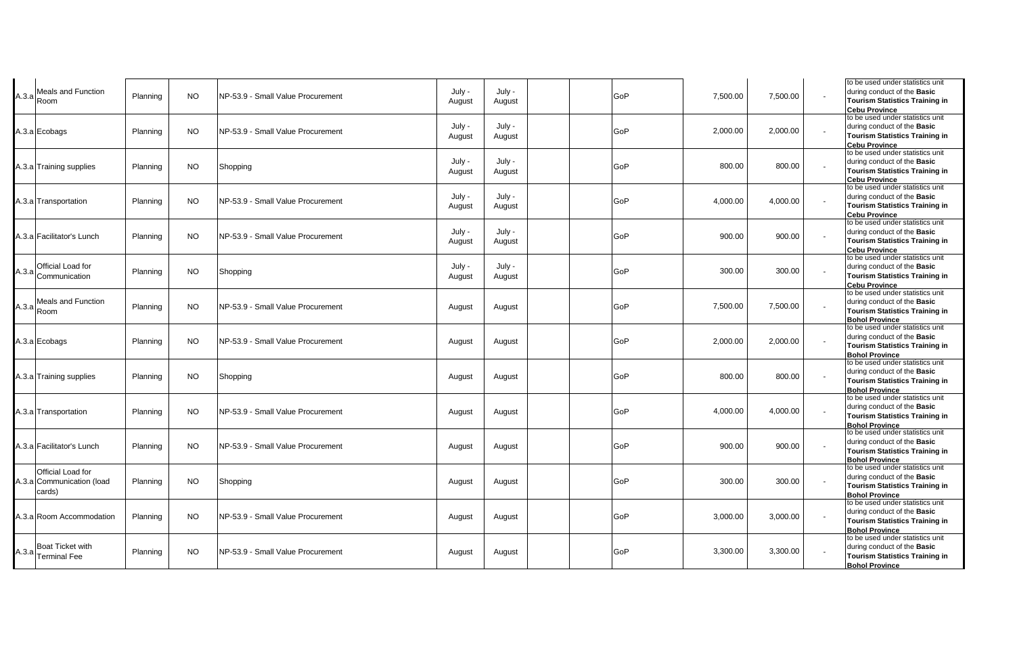| A.3.a | Meals and Function<br>Room                               | Planning | <b>NO</b> | NP-53.9 - Small Value Procurement | July -<br>August | July -<br>August | GoP | 7,500.00 | 7,500.00 |                          | to be used under statistics unit<br>during conduct of the Basic<br><b>Tourism Statistics Training in</b><br><b>Cebu Province</b>         |
|-------|----------------------------------------------------------|----------|-----------|-----------------------------------|------------------|------------------|-----|----------|----------|--------------------------|------------------------------------------------------------------------------------------------------------------------------------------|
|       | A.3.a Ecobags                                            | Planning | <b>NO</b> | NP-53.9 - Small Value Procurement | July -<br>August | July -<br>August | GoP | 2,000.00 | 2,000.00 |                          | to be used under statistics unit<br>during conduct of the Basic<br><b>Tourism Statistics Training in</b><br><b>Cebu Province</b>         |
|       | A.3.a Training supplies                                  | Planning | <b>NO</b> | Shopping                          | July -<br>August | July -<br>August | GoP | 800.00   | 800.00   |                          | to be used under statistics unit<br>during conduct of the Basic<br><b>Tourism Statistics Training in</b><br><b>Cebu Province</b>         |
|       | A.3.a Transportation                                     | Planning | NO.       | NP-53.9 - Small Value Procurement | July -<br>August | July -<br>August | GoP | 4,000.00 | 4,000.00 | $\overline{\phantom{a}}$ | to be used under statistics unit<br>during conduct of the Basic<br><b>Tourism Statistics Training in</b><br><b>Cebu Province</b>         |
|       | A.3.alFacilitator's Lunch                                | Planning | <b>NO</b> | NP-53.9 - Small Value Procurement | July -<br>August | July -<br>August | GoP | 900.00   | 900.00   |                          | to be used under statistics unit<br>during conduct of the Basic<br><b>Tourism Statistics Training in</b><br><b>Cebu Province</b>         |
| A.3.a | Official Load for<br>Communication                       | Planning | <b>NO</b> | Shopping                          | July -<br>August | July -<br>August | GoP | 300.00   | 300.00   |                          | to be used under statistics unit<br>during conduct of the Basic<br><b>Tourism Statistics Training in</b><br><b>Cebu Province</b>         |
|       | A.3.a Meals and Function                                 | Planning | <b>NO</b> | NP-53.9 - Small Value Procurement | August           | August           | GoP | 7,500.00 | 7,500.00 |                          | to be used under statistics unit<br>during conduct of the Basic<br><b>Tourism Statistics Training in</b><br><b>Bohol Province</b>        |
|       | A.3.a Ecobags                                            | Planning | <b>NO</b> | NP-53.9 - Small Value Procurement | August           | August           | GoP | 2,000.00 | 2,000.00 |                          | to be used under statistics unit<br>during conduct of the Basic<br><b>Tourism Statistics Training in</b><br><b>Bohol Province</b>        |
|       | A.3.a Training supplies                                  | Planning | <b>NO</b> | Shopping                          | August           | August           | GoP | 800.00   | 800.00   |                          | to be used under statistics unit<br>during conduct of the Basic<br><b>Tourism Statistics Training in</b><br><b>Bohol Province</b>        |
|       | 4.3.a Transportation                                     | Planning | <b>NO</b> | NP-53.9 - Small Value Procurement | August           | August           | GoP | 4,000.00 | 4,000.00 |                          | to be used under statistics unit<br>during conduct of the Basic<br><b>Tourism Statistics Training in</b><br><b>Bohol Province</b>        |
|       | 4.3.a Facilitator's Lunch                                | Planning | <b>NO</b> | NP-53.9 - Small Value Procurement | August           | August           | GoP | 900.00   | 900.00   |                          | to be used under statistics unit<br>during conduct of the <b>Basic</b><br><b>Tourism Statistics Training in</b><br><b>Bohol Province</b> |
|       | Official Load for<br>4.3.a Communication (load<br>cards) | Planning | <b>NO</b> | Shopping                          | August           | August           | GoP | 300.00   | 300.00   |                          | to be used under statistics unit<br>during conduct of the Basic<br><b>Tourism Statistics Training in</b><br><b>Bohol Province</b>        |
|       | 4.3.a Room Accommodation                                 | Planning | <b>NO</b> | NP-53.9 - Small Value Procurement | August           | August           | GoP | 3,000.00 | 3,000.00 |                          | to be used under statistics unit<br>during conduct of the Basic<br><b>Tourism Statistics Training in</b><br><b>Bohol Province</b>        |
|       | A.3.a Boat Ticket with<br><b>Terminal Fee</b>            | Planning | <b>NO</b> | NP-53.9 - Small Value Procurement | August           | August           | GoP | 3,300.00 | 3,300.00 |                          | to be used under statistics unit<br>during conduct of the Basic<br><b>Tourism Statistics Training in</b><br><b>Bohol Province</b>        |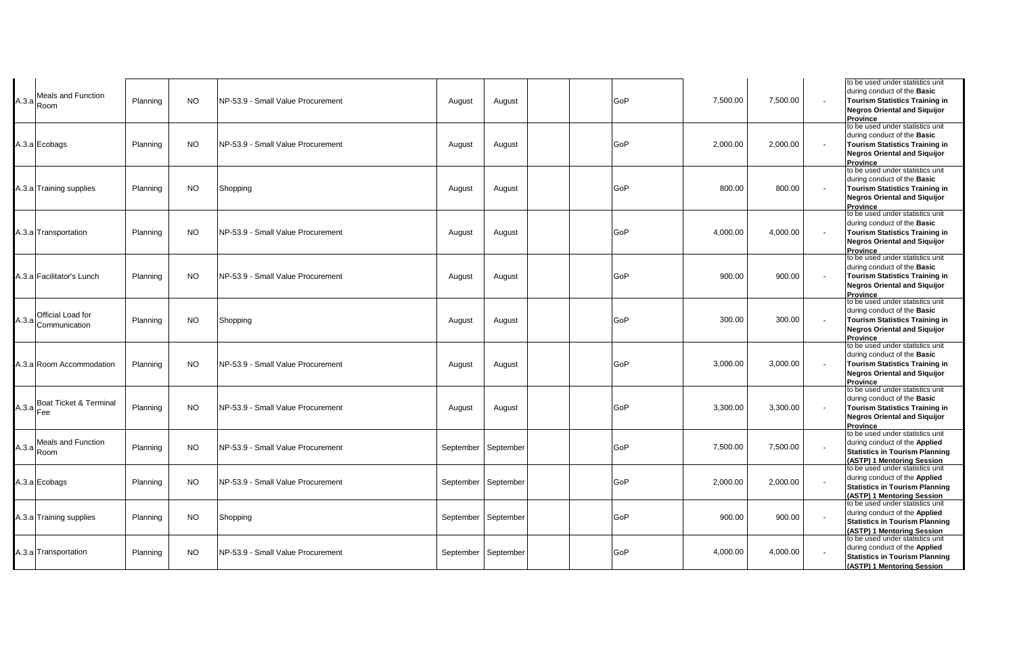| Meals and Function<br>$A.3.a$ Room       | Planning | <b>NO</b> | NP-53.9 - Small Value Procurement | August    | August    | GoP | 7,500.00 | 7,500.00 |                          | to be used under statistics unit<br>during conduct of the Basic<br><b>Tourism Statistics Training in</b><br><b>Negros Oriental and Siquijor</b><br><b>Province</b> |
|------------------------------------------|----------|-----------|-----------------------------------|-----------|-----------|-----|----------|----------|--------------------------|--------------------------------------------------------------------------------------------------------------------------------------------------------------------|
| A.3.a Ecobags                            | Planning | <b>NO</b> | NP-53.9 - Small Value Procurement | August    | August    | GoP | 2,000.00 | 2,000.00 |                          | to be used under statistics unit<br>during conduct of the Basic<br><b>Tourism Statistics Training in</b><br><b>Negros Oriental and Siquijor</b><br><b>Province</b> |
| A.3.a Training supplies                  | Planning | <b>NO</b> | Shopping                          | August    | August    | GoP | 800.00   | 800.00   | $\overline{\phantom{a}}$ | to be used under statistics unit<br>during conduct of the Basic<br><b>Tourism Statistics Training in</b><br><b>Negros Oriental and Siquijor</b><br><b>Province</b> |
| A.3.a Transportation                     | Planning | <b>NO</b> | NP-53.9 - Small Value Procurement | August    | August    | GoP | 4,000.00 | 4,000.00 |                          | to be used under statistics unit<br>during conduct of the Basic<br><b>Tourism Statistics Training in</b><br><b>Negros Oriental and Siquijor</b><br>Province        |
| A.3.a Facilitator's Lunch                | Planning | <b>NO</b> | NP-53.9 - Small Value Procurement | August    | August    | GoP | 900.00   | 900.00   |                          | to be used under statistics unit<br>during conduct of the Basic<br><b>Tourism Statistics Training in</b><br><b>Negros Oriental and Siguijor</b><br><b>Province</b> |
| A.3.a Official Load for<br>Communication | Planning | <b>NO</b> | Shopping                          | August    | August    | GoP | 300.00   | 300.00   |                          | to be used under statistics unit<br>during conduct of the Basic<br><b>Tourism Statistics Training in</b><br><b>Negros Oriental and Siguijor</b><br>Province        |
| A.3.a Room Accommodation                 | Planning | <b>NO</b> | NP-53.9 - Small Value Procurement | August    | August    | GoP | 3,000.00 | 3,000.00 |                          | to be used under statistics unit<br>during conduct of the Basic<br><b>Tourism Statistics Training in</b><br><b>Negros Oriental and Siquijor</b><br>Province        |
| A.3.a Boat Ticket & Terminal<br>Fee      | Planning | <b>NO</b> | NP-53.9 - Small Value Procurement | August    | August    | GoP | 3,300.00 | 3,300.00 |                          | to be used under statistics unit<br>during conduct of the <b>Basic</b><br><b>Tourism Statistics Training in</b><br><b>Negros Oriental and Siquijor</b><br>Province |
| Meals and Function<br>$A.3.a$ Room       | Planning | <b>NO</b> | NP-53.9 - Small Value Procurement | September | September | GoP | 7,500.00 | 7,500.00 |                          | to be used under statistics unit<br>during conduct of the Applied<br><b>Statistics in Tourism Planning</b><br>(ASTP) 1 Mentoring Session                           |
| A.3.a Ecobags                            | Planning | NO.       | NP-53.9 - Small Value Procurement | September | September | GoP | 2,000.00 | 2,000.00 |                          | to be used under statistics unit<br>during conduct of the Applied<br><b>Statistics in Tourism Planning</b><br>(ASTP) 1 Mentoring Session                           |
| A.3.a Training supplies                  | Planning | <b>NO</b> | Shopping                          | September | September | GoP | 900.00   | 900.00   |                          | to be used under statistics unit<br>during conduct of the Applied<br><b>Statistics in Tourism Planning</b><br>(ASTP) 1 Mentoring Session                           |
| 4.3.a Transportation                     | Planning | <b>NO</b> | NP-53.9 - Small Value Procurement | September | September | GoP | 4,000.00 | 4,000.00 |                          | to be used under statistics unit<br>during conduct of the Applied<br><b>Statistics in Tourism Planning</b><br>(ASTP) 1 Mentoring Session                           |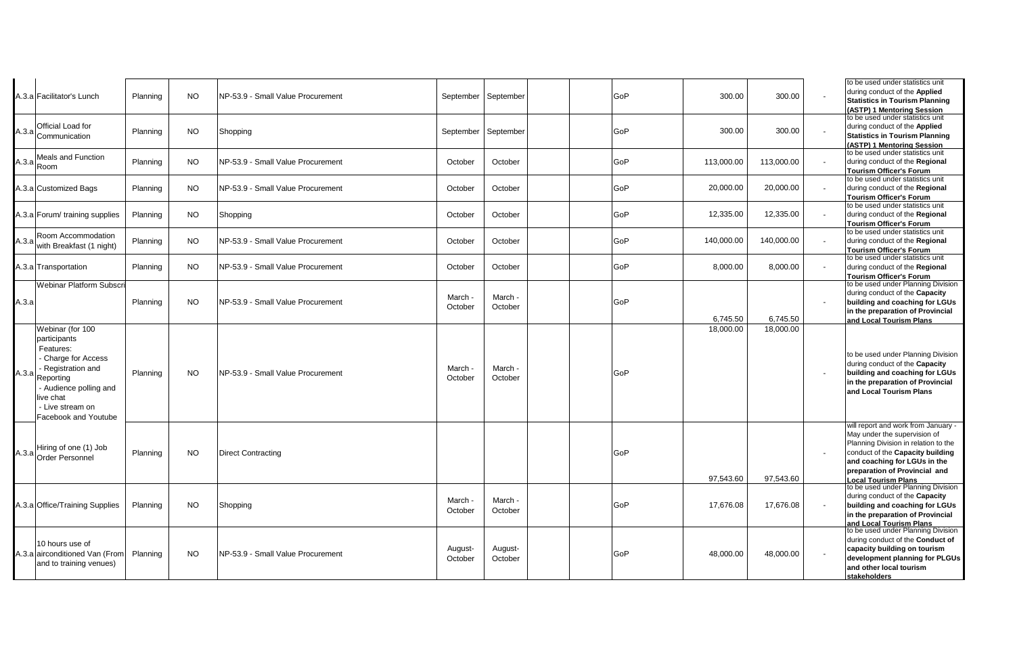|       | 4.3.a Facilitator's Lunch                                                                                                                                                                  | Planning | <b>NO</b> | NP-53.9 - Small Value Procurement  | September   September |                    | GoP | 300.00     | 300.00     | to be used under statistics unit<br>during conduct of the Applied<br><b>Statistics in Tourism Planning</b><br>(ASTP) 1 Mentoring Session                                                                                                       |
|-------|--------------------------------------------------------------------------------------------------------------------------------------------------------------------------------------------|----------|-----------|------------------------------------|-----------------------|--------------------|-----|------------|------------|------------------------------------------------------------------------------------------------------------------------------------------------------------------------------------------------------------------------------------------------|
|       | A.3.a Official Load for<br>Communication                                                                                                                                                   | Planning | <b>NO</b> | Shopping                           | September September   |                    | GoP | 300.00     | 300.00     | to be used under statistics unit<br>during conduct of the Applied<br><b>Statistics in Tourism Planning</b><br>(ASTP) 1 Mentoring Session                                                                                                       |
| A.3.a | <b>Meals and Function</b><br>Room                                                                                                                                                          | Planning | NO.       | NP-53.9 - Small Value Procurement  | October               | October            | GoP | 113,000.00 | 113,000.00 | to be used under statistics unit<br>during conduct of the Regional<br><b>Tourism Officer's Forum</b>                                                                                                                                           |
|       | 4.3.a Customized Bags                                                                                                                                                                      | Planning | NO.       | NP-53.9 - Small Value Procurement  | October               | October            | GoP | 20,000.00  | 20,000.00  | to be used under statistics unit<br>during conduct of the Regional<br>Tourism Officer's Forum                                                                                                                                                  |
|       | 4.3.a Forum/ training supplies                                                                                                                                                             | Planning | NO.       | Shopping                           | October               | October            | GoP | 12,335.00  | 12,335.00  | to be used under statistics unit<br>during conduct of the Regional<br><b>Tourism Officer's Forum</b>                                                                                                                                           |
| A.3.a | Room Accommodation<br>with Breakfast (1 night)                                                                                                                                             | Planning | <b>NO</b> | NP-53.9 - Small Value Procurement  | October               | October            | GoP | 140,000.00 | 140,000.00 | to be used under statistics unit<br>during conduct of the Regional<br><b>Tourism Officer's Forum</b>                                                                                                                                           |
|       | A.3.a Transportation                                                                                                                                                                       | Planning | <b>NO</b> | INP-53.9 - Small Value Procurement | October               | October            | GoP | 8,000.00   | 8,000.00   | to be used under statistics unit<br>during conduct of the Regional<br><b>Tourism Officer's Forum</b>                                                                                                                                           |
| А.З.а | <b>Webinar Platform Subscri</b>                                                                                                                                                            | Planning | <b>NO</b> | NP-53.9 - Small Value Procurement  | March ·<br>October    | March ·<br>October | GoP | 6,745.50   | 6.745.50   | to be used under Planning Division<br>during conduct of the Capacity<br>building and coaching for LGUs<br>in the preparation of Provincial<br>and Local Tourism Plans                                                                          |
| A.3.a | Webinar (for 100<br>participants<br>Features:<br>- Charge for Access<br>- Registration and<br>Reporting<br>- Audience polling and<br>live chat<br>- Live stream on<br>Facebook and Youtube | Planning | <b>NO</b> | NP-53.9 - Small Value Procurement  | March ·<br>October    | March -<br>October | GoP | 18,000.00  | 18,000.00  | to be used under Planning Division<br>during conduct of the Capacity<br>building and coaching for LGUs<br>in the preparation of Provincial<br>and Local Tourism Plans                                                                          |
|       | A.3.a Hiring of one (1) Job<br>Order Personnel                                                                                                                                             | Planning | <b>NO</b> | <b>Direct Contracting</b>          |                       |                    | GoP | 97,543.60  | 97,543.60  | will report and work from January -<br>May under the supervision of<br>Planning Division in relation to the<br>conduct of the Capacity building<br>and coaching for LGUs in the<br>preparation of Provincial and<br><b>Local Tourism Plans</b> |
|       | A.3.a Office/Training Supplies                                                                                                                                                             | Planning | <b>NO</b> | Shopping                           | March -<br>October    | March -<br>October | GoP | 17,676.08  | 17,676.08  | to be used under Planning Division<br>during conduct of the Capacity<br>building and coaching for LGUs<br>in the preparation of Provincial<br>and Local Tourism Plans                                                                          |
|       | 10 hours use of<br>A.3.a airconditioned Van (From<br>and to training venues)                                                                                                               | Planning | <b>NO</b> | NP-53.9 - Small Value Procurement  | August-<br>October    | August-<br>October | GoP | 48,000.00  | 48,000.00  | to be used under Planning Division<br>during conduct of the Conduct of<br>capacity building on tourism<br>development planning for PLGUs<br>and other local tourism<br>stakeholders                                                            |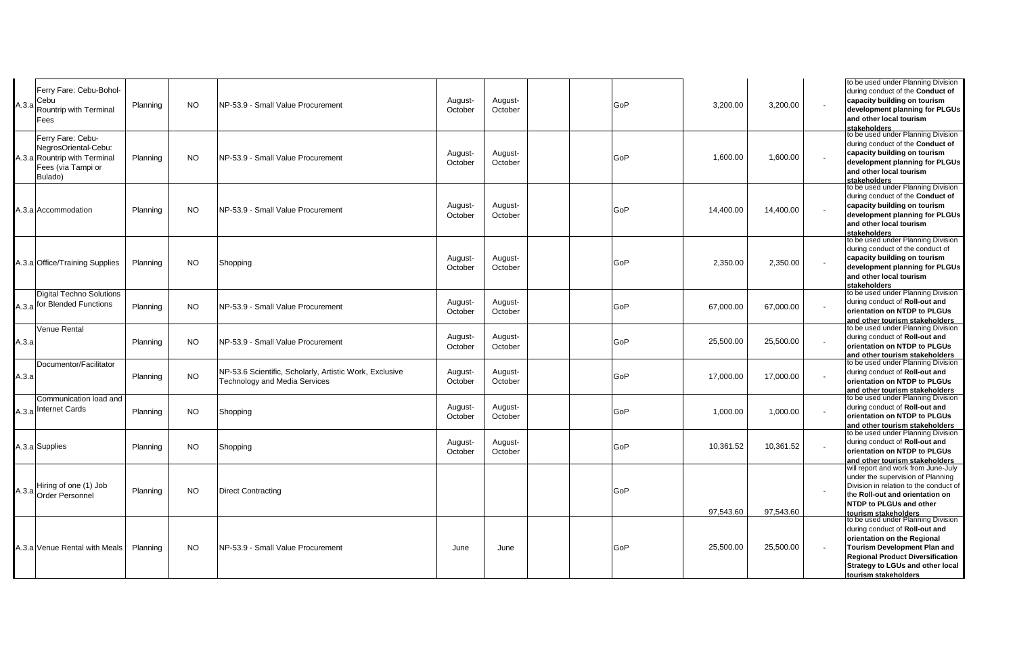| A.3.a | Ferry Fare: Cebu-Bohol-<br>Cebu<br>Rountrip with Terminal<br>Fees                                          | Planning | <b>NO</b> | NP-53.9 - Small Value Procurement                                                               | August-<br>October | August-<br>October | GoP | 3,200.00  | 3,200.00  | to be used under Planning Division<br>during conduct of the Conduct of<br>capacity building on tourism<br>development planning for PLGUs<br>and other local tourism<br>stakeholders                                                               |
|-------|------------------------------------------------------------------------------------------------------------|----------|-----------|-------------------------------------------------------------------------------------------------|--------------------|--------------------|-----|-----------|-----------|---------------------------------------------------------------------------------------------------------------------------------------------------------------------------------------------------------------------------------------------------|
|       | Ferry Fare: Cebu-<br>NegrosOriental-Cebu:<br>A.3.a Rountrip with Terminal<br>Fees (via Tampi or<br>Bulado) | Planning | NO.       | NP-53.9 - Small Value Procurement                                                               | August-<br>October | August-<br>October | GoP | 1,600.00  | 1,600.00  | to be used under Planning Division<br>during conduct of the Conduct of<br>capacity building on tourism<br>development planning for PLGUs<br>and other local tourism<br>stakeholders                                                               |
|       | A.3.a Accommodation                                                                                        | Planning | NO.       | NP-53.9 - Small Value Procurement                                                               | August-<br>October | August-<br>October | GoP | 14,400.00 | 14,400.00 | to be used under Planning Division<br>during conduct of the Conduct of<br>capacity building on tourism<br>development planning for PLGUs<br>and other local tourism<br>stakeholders                                                               |
|       | A.3.a Office/Training Supplies                                                                             | Planning | <b>NO</b> | Shopping                                                                                        | August-<br>October | August-<br>October | GoP | 2,350.00  | 2,350.00  | to be used under Planning Division<br>during conduct of the conduct of<br>capacity building on tourism<br>development planning for PLGUs<br>and other local tourism<br>stakeholders                                                               |
|       | <b>Digital Techno Solutions</b><br>A.3.a for Blended Functions                                             | Planning | <b>NO</b> | NP-53.9 - Small Value Procurement                                                               | August-<br>October | August-<br>October | GoP | 67,000.00 | 67,000.00 | to be used under Planning Division<br>during conduct of Roll-out and<br>orientation on NTDP to PLGUs<br>and other tourism stakeholders                                                                                                            |
| А.З.а | Venue Rental                                                                                               | Planning | NO.       | NP-53.9 - Small Value Procurement                                                               | August-<br>October | August-<br>October | GoP | 25,500.00 | 25,500.00 | to be used under Planning Division<br>during conduct of Roll-out and<br>orientation on NTDP to PLGUs<br>and other tourism stakeholders                                                                                                            |
| А.З.а | Documentor/Facilitator                                                                                     | Planning | <b>NO</b> | NP-53.6 Scientific, Scholarly, Artistic Work, Exclusive<br><b>Technology and Media Services</b> | August-<br>October | August-<br>October | GoP | 17,000.00 | 17,000.00 | to be used under Planning Division<br>during conduct of Roll-out and<br>orientation on NTDP to PLGUs<br>and other tourism stakeholders                                                                                                            |
|       | Communication load and<br>A.3.a Internet Cards                                                             | Planning | NO.       | Shopping                                                                                        | August-<br>October | August-<br>October | GoP | 1,000.00  | 1,000.00  | to be used under Planning Division<br>during conduct of Roll-out and<br>orientation on NTDP to PLGUs<br>and other tourism stakeholders                                                                                                            |
|       | A.3.a Supplies                                                                                             | Planning | NO.       | Shopping                                                                                        | August-<br>October | August-<br>October | GoP | 10,361.52 | 10,361.52 | to be used under Planning Division<br>during conduct of Roll-out and<br>orientation on NTDP to PLGUs<br>and other tourism stakeholders                                                                                                            |
|       | Hiring of one (1) Job<br>A.3.a Order Personnel                                                             | Planning | <b>NO</b> | <b>Direct Contracting</b>                                                                       |                    |                    | GoP | 97,543.60 | 97,543.60 | will report and work from June-July<br>under the supervision of Planning<br>Division in relation to the conduct of<br>the Roll-out and orientation on<br>NTDP to PLGUs and other<br>tourism stakeholders                                          |
|       | A.3.a Venue Rental with Meals                                                                              | Planning | <b>NO</b> | NP-53.9 - Small Value Procurement                                                               | June               | June               | GoP | 25,500.00 | 25,500.00 | to be used under Planning Division<br>during conduct of Roll-out and<br>orientation on the Regional<br><b>Tourism Development Plan and</b><br><b>Regional Product Diversification</b><br>Strategy to LGUs and other local<br>tourism stakeholders |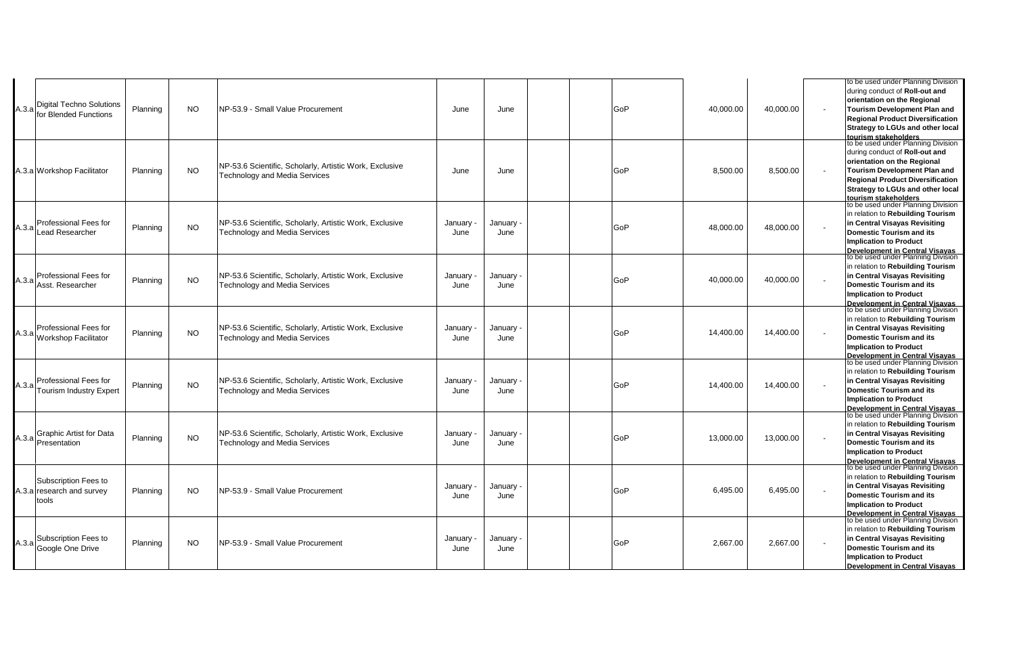|       |                                |          |           |                                                         |         |         |     |           |           | to be used under Planning Division                                          |
|-------|--------------------------------|----------|-----------|---------------------------------------------------------|---------|---------|-----|-----------|-----------|-----------------------------------------------------------------------------|
|       |                                |          |           |                                                         |         |         |     |           |           | during conduct of Roll-out and                                              |
|       |                                |          |           |                                                         |         |         |     |           |           | orientation on the Regional                                                 |
| A.3.a | Digital Techno Solutions       | Planning | <b>NO</b> | NP-53.9 - Small Value Procurement                       | June    | June    | GoP | 40,000.00 | 40,000.00 | Tourism Development Plan and                                                |
|       | for Blended Functions          |          |           |                                                         |         |         |     |           |           | <b>Regional Product Diversification</b>                                     |
|       |                                |          |           |                                                         |         |         |     |           |           | <b>Strategy to LGUs and other local</b>                                     |
|       |                                |          |           |                                                         |         |         |     |           |           | tourism stakeholders                                                        |
|       |                                |          |           |                                                         |         |         |     |           |           | to be used under Planning Division                                          |
|       |                                |          |           |                                                         |         |         |     |           |           | during conduct of Roll-out and                                              |
|       |                                |          |           |                                                         |         |         |     |           |           | orientation on the Regional                                                 |
|       | A.3.a Workshop Facilitator     | Planning | <b>NO</b> | NP-53.6 Scientific, Scholarly, Artistic Work, Exclusive | June    | June    | GoP | 8.500.00  | 8,500.00  | Tourism Development Plan and                                                |
|       |                                |          |           | <b>Technology and Media Services</b>                    |         |         |     |           |           | <b>Regional Product Diversification</b>                                     |
|       |                                |          |           |                                                         |         |         |     |           |           | Strategy to LGUs and other local                                            |
|       |                                |          |           |                                                         |         |         |     |           |           |                                                                             |
|       |                                |          |           |                                                         |         |         |     |           |           | tourism stakeholders<br>to be used under Planning Division                  |
|       |                                |          |           |                                                         |         |         |     |           |           | in relation to Rebuilding Tourism                                           |
|       | Professional Fees for          |          |           | NP-53.6 Scientific, Scholarly, Artistic Work, Exclusive | January | January |     |           | 48,000.00 | in Central Visayas Revisiting                                               |
| A.3.a | <b>Lead Researcher</b>         | Planning | <b>NO</b> | <b>Technology and Media Services</b>                    | June    | June    | GoP | 48,000.00 |           | <b>Domestic Tourism and its</b>                                             |
|       |                                |          |           |                                                         |         |         |     |           |           | <b>Implication to Product</b>                                               |
|       |                                |          |           |                                                         |         |         |     |           |           |                                                                             |
|       |                                |          |           |                                                         |         |         |     |           |           | Development in Central Visavas<br>to be used under Planning Division        |
|       |                                |          |           |                                                         |         |         |     |           |           | in relation to Rebuilding Tourism                                           |
| A.3.a | Professional Fees for          | Planning | <b>NO</b> | NP-53.6 Scientific, Scholarly, Artistic Work, Exclusive | January | January | GoP | 40,000.00 | 40,000.00 | in Central Visayas Revisiting                                               |
|       | Asst. Researcher               |          |           | <b>Technology and Media Services</b>                    | June    | June    |     |           |           | <b>Domestic Tourism and its</b>                                             |
|       |                                |          |           |                                                         |         |         |     |           |           | <b>Implication to Product</b>                                               |
|       |                                |          |           |                                                         |         |         |     |           |           | <b>Development in Central Visayas</b><br>to be used under Planning Division |
|       |                                |          |           |                                                         |         |         |     |           |           |                                                                             |
|       |                                |          |           |                                                         |         |         |     |           |           | in relation to Rebuilding Tourism                                           |
| A.3.a | Professional Fees for          | Planning | <b>NO</b> | NP-53.6 Scientific, Scholarly, Artistic Work, Exclusive | January | January | GoP | 14,400.00 | 14,400.00 | in Central Visayas Revisiting                                               |
|       | Workshop Facilitator           |          |           | <b>Technology and Media Services</b>                    | June    | June    |     |           |           | Domestic Tourism and its                                                    |
|       |                                |          |           |                                                         |         |         |     |           |           | <b>Implication to Product</b>                                               |
|       |                                |          |           |                                                         |         |         |     |           |           | <b>Development in Central Visayas</b><br>to be used under Planning Division |
|       |                                |          |           |                                                         |         |         |     |           |           |                                                                             |
|       |                                |          |           |                                                         |         |         |     |           |           | in relation to Rebuilding Tourism                                           |
| A.3.a | Professional Fees for          | Planning | <b>NO</b> | NP-53.6 Scientific, Scholarly, Artistic Work, Exclusive | January | January | GoP | 14,400.00 | 14,400.00 | in Central Visayas Revisiting                                               |
|       | <b>Tourism Industry Expert</b> |          |           | Technology and Media Services                           | June    | June    |     |           |           | Domestic Tourism and its                                                    |
|       |                                |          |           |                                                         |         |         |     |           |           | <b>Implication to Product</b>                                               |
|       |                                |          |           |                                                         |         |         |     |           |           | <b>Development in Central Visavas</b><br>to be used under Planning Division |
|       |                                |          |           |                                                         |         |         |     |           |           | in relation to Rebuilding Tourism                                           |
|       | Graphic Artist for Data        |          |           | NP-53.6 Scientific, Scholarly, Artistic Work, Exclusive |         |         |     |           |           | in Central Visayas Revisiting                                               |
|       | A.3.a Presentation             | Planning | <b>NO</b> |                                                         | January | January | GoP | 13,000.00 | 13,000.00 |                                                                             |
|       |                                |          |           | Technology and Media Services                           | June    | June    |     |           |           | Domestic Tourism and its<br><b>Implication to Product</b>                   |
|       |                                |          |           |                                                         |         |         |     |           |           |                                                                             |
|       |                                |          |           |                                                         |         |         |     |           |           | <b>Development in Central Visayas</b><br>to be used under Planning Division |
|       |                                |          |           |                                                         |         |         |     |           |           | in relation to Rebuilding Tourism                                           |
|       | Subscription Fees to           |          |           |                                                         | January | Januarv |     |           |           | in Central Visayas Revisiting                                               |
|       | A.3.a research and survey      | Planning | <b>NO</b> | NP-53.9 - Small Value Procurement                       | June    | June    | GoP | 6,495.00  | 6,495.00  | <b>Domestic Tourism and its</b>                                             |
|       | tools                          |          |           |                                                         |         |         |     |           |           | <b>Implication to Product</b>                                               |
|       |                                |          |           |                                                         |         |         |     |           |           |                                                                             |
|       |                                |          |           |                                                         |         |         |     |           |           | <b>Development in Central Visayas</b><br>to be used under Planning Division |
|       |                                |          |           |                                                         |         |         |     |           |           | in relation to Rebuilding Tourism                                           |
|       | Subscription Fees to           |          |           |                                                         | January | January |     |           |           | in Central Visayas Revisiting                                               |
|       | A.3.a Google One Drive         | Planning | <b>NO</b> | NP-53.9 - Small Value Procurement                       | June    | June    | GoP | 2,667.00  | 2,667.00  | <b>Domestic Tourism and its</b>                                             |
|       |                                |          |           |                                                         |         |         |     |           |           | <b>Implication to Product</b>                                               |
|       |                                |          |           |                                                         |         |         |     |           |           | Development in Central Visavas                                              |
|       |                                |          |           |                                                         |         |         |     |           |           |                                                                             |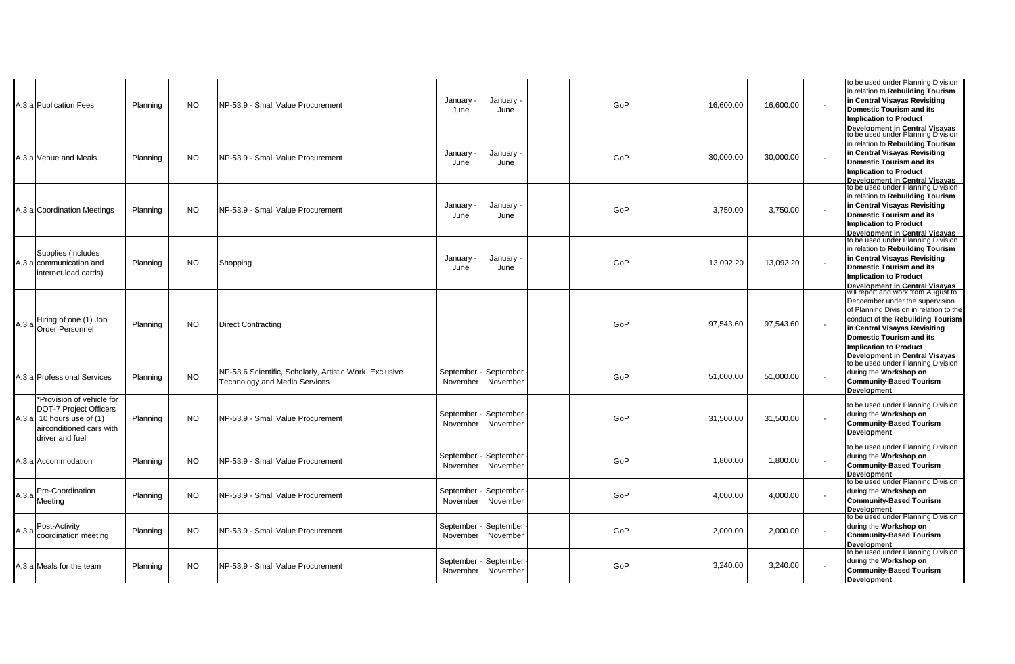|       | A.3.a Publication Fees                                                                                                                         | Planning | NO.       | NP-53.9 - Small Value Procurement                                                        | January<br>June                   | January<br>June       | GoP | 16,600.00 | 16,600.00 | to be used under Planning Division<br>in relation to Rebuilding Tourism<br>in Central Visayas Revisiting<br><b>Domestic Tourism and its</b><br><b>Implication to Product</b><br><b>Development in Central Visayas</b><br>to be used under Planning Division                                                                            |
|-------|------------------------------------------------------------------------------------------------------------------------------------------------|----------|-----------|------------------------------------------------------------------------------------------|-----------------------------------|-----------------------|-----|-----------|-----------|----------------------------------------------------------------------------------------------------------------------------------------------------------------------------------------------------------------------------------------------------------------------------------------------------------------------------------------|
|       | A.3.a Venue and Meals                                                                                                                          | Planning | <b>NO</b> | NP-53.9 - Small Value Procurement                                                        | January ·<br>June                 | January ·<br>June     | GoP | 30,000.00 | 30,000.00 | in relation to Rebuilding Tourism<br>in Central Visayas Revisiting<br><b>Domestic Tourism and its</b><br><b>Implication to Product</b>                                                                                                                                                                                                 |
|       | A.3.a Coordination Meetings                                                                                                                    | Planning | NO.       | NP-53.9 - Small Value Procurement                                                        | January<br>June                   | January<br>June       | GoP | 3,750.00  | 3,750.00  | <b>Development in Central Visavas</b><br>to be used under Planning Division<br>in relation to Rebuilding Tourism<br>in Central Visayas Revisiting<br><b>Domestic Tourism and its</b><br><b>Implication to Product</b><br>Development in Central Visavas                                                                                |
|       | Supplies (includes<br>A.3.a communication and<br>internet load cards)                                                                          | Planning | NO.       | Shopping                                                                                 | January<br>June                   | January<br>June       | GoP | 13,092.20 | 13,092.20 | to be used under Planning Division<br>in relation to Rebuilding Tourism<br>in Central Visayas Revisiting<br><b>Domestic Tourism and its</b><br><b>Implication to Product</b>                                                                                                                                                           |
|       | Hiring of one (1) Job<br>A.3.a Order Personnel                                                                                                 | Planning | <b>NO</b> | <b>Direct Contracting</b>                                                                |                                   |                       | GoP | 97,543.60 | 97,543.60 | <b>Development in Central Visayas</b><br>will report and work from August to<br>Deccember under the supervision<br>of Planning Division in relation to the<br>conduct of the Rebuilding Tourism<br>in Central Visayas Revisiting<br><b>Domestic Tourism and its</b><br><b>Implication to Product</b><br>Development in Central Visavas |
|       | A.3.a Professional Services                                                                                                                    | Planning | <b>NO</b> | NP-53.6 Scientific, Scholarly, Artistic Work, Exclusive<br>Technology and Media Services | September<br>November             | September<br>November | GoP | 51.000.00 | 51.000.00 | to be used under Planning Division<br>during the Workshop on<br><b>Community-Based Tourism</b><br><b>Development</b>                                                                                                                                                                                                                   |
|       | *Provision of vehicle for<br><b>DOT-7 Project Officers</b><br>A.3.a $\vert$ 10 hours use of (1)<br>airconditioned cars with<br>driver and fuel | Planning | <b>NO</b> | NP-53.9 - Small Value Procurement                                                        | September - September<br>November | November              | GoP | 31,500.00 | 31,500.00 | to be used under Planning Division<br>during the Workshop on<br><b>Community-Based Tourism</b><br>Development                                                                                                                                                                                                                          |
|       | A.3.a Accommodation                                                                                                                            | Planning | NO.       | INP-53.9 - Small Value Procurement                                                       | September - September<br>November | November              | GoP | 1,800.00  | 1,800.00  | to be used under Planning Division<br>during the Workshop on<br><b>Community-Based Tourism</b><br><b>Development</b>                                                                                                                                                                                                                   |
|       | Pre-Coordination<br>A.3.a Meeting                                                                                                              | Planning | <b>NO</b> | NP-53.9 - Small Value Procurement                                                        | September - September<br>November | November              | GoP | 4,000.00  | 4,000.00  | to be used under Planning Division<br>during the Workshop on<br><b>Community-Based Tourism</b><br><b>Development</b>                                                                                                                                                                                                                   |
| A.3.a | Post-Activity<br>coordination meeting                                                                                                          | Planning | NO.       | NP-53.9 - Small Value Procurement                                                        | September - September<br>November | November              | GoP | 2,000.00  | 2,000.00  | to be used under Planning Division<br>during the Workshop on<br><b>Community-Based Tourism</b><br>Development                                                                                                                                                                                                                          |
|       | 4.3.a Meals for the team                                                                                                                       | Planning | NO.       | NP-53.9 - Small Value Procurement                                                        | September - September<br>November | November              | GoP | 3,240.00  | 3,240.00  | to be used under Planning Division<br>during the Workshop on<br><b>Community-Based Tourism</b><br>Development                                                                                                                                                                                                                          |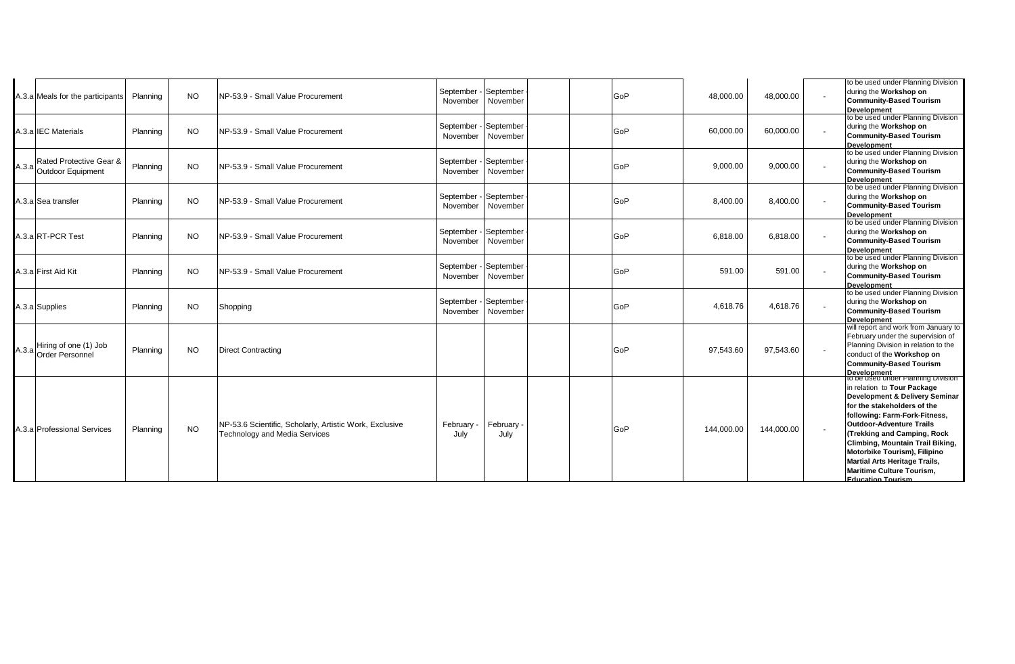|       | A.3.a Meals for the participants                | Planning | <b>NO</b> | NP-53.9 - Small Value Procurement                                                               | September - September<br>November            | November         | GoP | 48,000.00  | 48,000.00  | to be used under Planning Division<br>during the Workshop on<br><b>Community-Based Tourism</b><br><b>Development</b>                                                                                                                                                                                                                                                                                |
|-------|-------------------------------------------------|----------|-----------|-------------------------------------------------------------------------------------------------|----------------------------------------------|------------------|-----|------------|------------|-----------------------------------------------------------------------------------------------------------------------------------------------------------------------------------------------------------------------------------------------------------------------------------------------------------------------------------------------------------------------------------------------------|
|       | A.3.alIEC Materials                             | Planning | <b>NO</b> | NP-53.9 - Small Value Procurement                                                               | September - September<br>November November   |                  | GoP | 60,000.00  | 60,000.00  | to be used under Planning Division<br>during the Workshop on<br><b>Community-Based Tourism</b><br><b>Development</b>                                                                                                                                                                                                                                                                                |
| A.3.a | Rated Protective Gear &<br>Outdoor Equipment    | Planning | <b>NO</b> | NP-53.9 - Small Value Procurement                                                               | September - September<br>November   November |                  | GoP | 9,000.00   | 9,000.00   | to be used under Planning Division<br>during the Workshop on<br><b>Community-Based Tourism</b><br><b>Development</b>                                                                                                                                                                                                                                                                                |
|       | A.3.a Sea transfer                              | Planning | <b>NO</b> | NP-53.9 - Small Value Procurement                                                               | September - September<br>November            | November         | GoP | 8,400.00   | 8,400.00   | to be used under Planning Division<br>during the Workshop on<br><b>Community-Based Tourism</b><br><b>Development</b>                                                                                                                                                                                                                                                                                |
|       | A.3.a RT-PCR Test                               | Planning | <b>NO</b> | NP-53.9 - Small Value Procurement                                                               | September - September<br>November            | November         | GoP | 6,818.00   | 6,818.00   | to be used under Planning Division<br>during the Workshop on<br><b>Community-Based Tourism</b><br><b>Development</b>                                                                                                                                                                                                                                                                                |
|       | A.3.a First Aid Kit                             | Planning | <b>NO</b> | NP-53.9 - Small Value Procurement                                                               | September - September<br>November November   |                  | GoP | 591.00     | 591.00     | to be used under Planning Division<br>during the Workshop on<br><b>Community-Based Tourism</b><br><b>Development</b>                                                                                                                                                                                                                                                                                |
|       | A.3.a Supplies                                  | Planning | NO.       | Shopping                                                                                        | September - September<br>November November   |                  | GoP | 4,618.76   | 4,618.76   | to be used under Planning Division<br>during the Workshop on<br><b>Community-Based Tourism</b><br><b>Development</b>                                                                                                                                                                                                                                                                                |
| A.3.a | Hiring of one (1) Job<br><b>Order Personnel</b> | Planning | <b>NO</b> | <b>Direct Contracting</b>                                                                       |                                              |                  | GoP | 97,543.60  | 97,543.60  | will report and work from January to<br>February under the supervision of<br>Planning Division in relation to the<br>conduct of the Workshop on<br><b>Community-Based Tourism</b><br><b>Development</b>                                                                                                                                                                                             |
|       | A.3.a Professional Services                     | Planning | <b>NO</b> | NP-53.6 Scientific, Scholarly, Artistic Work, Exclusive<br><b>Technology and Media Services</b> | February<br>July                             | February<br>July | GoP | 144,000.00 | 144,000.00 | to be used under Planning Division<br>in relation to Tour Package<br>Development & Delivery Seminar<br>for the stakeholders of the<br>following: Farm-Fork-Fitness,<br><b>Outdoor-Adventure Trails</b><br>(Trekking and Camping, Rock<br>Climbing, Mountain Trail Biking,<br>Motorbike Tourism), Filipino<br>Martial Arts Heritage Trails,<br>Maritime Culture Tourism,<br><b>Education Tourism</b> |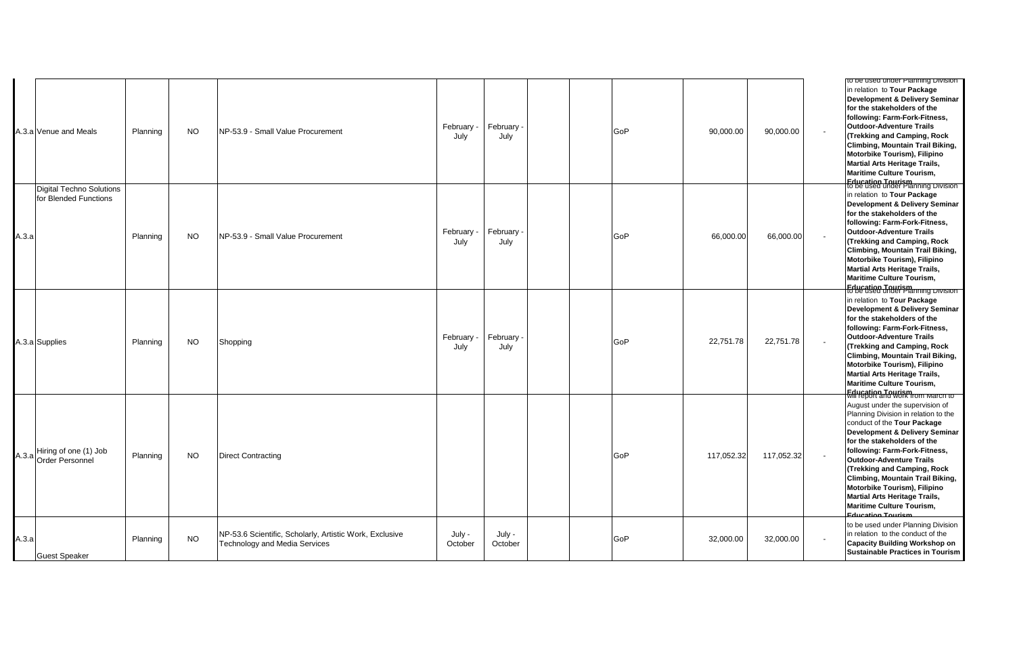|       | 4.3.a Venue and Meals                             | Planning | <b>NO</b> | NP-53.9 - Small Value Procurement                                                               | February -<br>July | February<br>July  | GoP | 90,000.00  | 90,000.00  | $\overline{\phantom{a}}$ | to be used under Planning Division<br>in relation to Tour Package<br>Development & Delivery Seminar<br>for the stakeholders of the<br>following: Farm-Fork-Fitness,<br>Outdoor-Adventure Trails<br>(Trekking and Camping, Rock<br>Climbing, Mountain Trail Biking,<br>Motorbike Tourism), Filipino<br><b>Martial Arts Heritage Trails,</b><br>Maritime Culture Tourism,                                                                                                      |
|-------|---------------------------------------------------|----------|-----------|-------------------------------------------------------------------------------------------------|--------------------|-------------------|-----|------------|------------|--------------------------|------------------------------------------------------------------------------------------------------------------------------------------------------------------------------------------------------------------------------------------------------------------------------------------------------------------------------------------------------------------------------------------------------------------------------------------------------------------------------|
| A.3.a | Digital Techno Solutions<br>for Blended Functions | Planning | <b>NO</b> | NP-53.9 - Small Value Procurement                                                               | February<br>July   | February<br>July  | GoP | 66,000.00  | 66,000.00  | $\overline{\phantom{a}}$ | <b>Education Tourism</b><br>to be used under Planning Division<br>in relation to Tour Package<br>Development & Delivery Seminar<br>for the stakeholders of the<br>following: Farm-Fork-Fitness,<br>Outdoor-Adventure Trails<br>(Trekking and Camping, Rock<br>Climbing, Mountain Trail Biking,<br>Motorbike Tourism), Filipino<br><b>Martial Arts Heritage Trails,</b><br><b>Maritime Culture Tourism,</b><br><b>Education Tourism</b><br>to be used under Planning Division |
|       | A.3.a Supplies                                    | Planning | <b>NO</b> | Shopping                                                                                        | February -<br>July | February<br>July  | GoP | 22,751.78  | 22,751.78  | $\sim$                   | in relation to Tour Package<br>Development & Delivery Seminar<br>for the stakeholders of the<br>following: Farm-Fork-Fitness,<br><b>Outdoor-Adventure Trails</b><br>(Trekking and Camping, Rock<br>Climbing, Mountain Trail Biking,<br>Motorbike Tourism), Filipino<br><b>Martial Arts Heritage Trails,</b><br><b>Maritime Culture Tourism,</b><br><b>Education Tourism</b><br>Will report and work from March to                                                            |
|       | A.3.a Hiring of one (1) Job<br>Order Personnel    | Planning | <b>NO</b> | <b>Direct Contracting</b>                                                                       |                    |                   | GoP | 117,052.32 | 117,052.32 | $\sim$                   | August under the supervision of<br>Planning Division in relation to the<br>conduct of the Tour Package<br>Development & Delivery Seminar<br>for the stakeholders of the<br>following: Farm-Fork-Fitness,<br>Outdoor-Adventure Trails<br>(Trekking and Camping, Rock<br>Climbing, Mountain Trail Biking,<br>Motorbike Tourism), Filipino<br>Martial Arts Heritage Trails,<br>Maritime Culture Tourism,<br><b>Education Tourism</b>                                            |
| A.3.a | <b>Guest Speaker</b>                              | Planning | <b>NO</b> | NP-53.6 Scientific, Scholarly, Artistic Work, Exclusive<br><b>Technology and Media Services</b> | July -<br>October  | July -<br>October | GoP | 32,000.00  | 32,000.00  | $\overline{\phantom{a}}$ | to be used under Planning Division<br>in relation to the conduct of the<br><b>Capacity Building Workshop on</b><br><b>Sustainable Practices in Tourism</b>                                                                                                                                                                                                                                                                                                                   |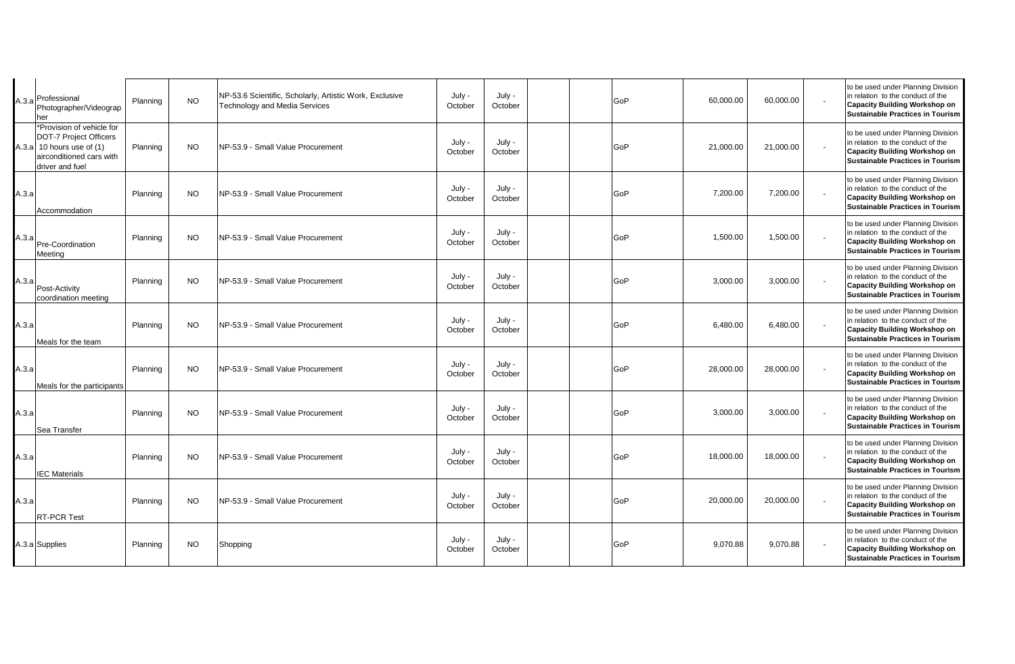|       | A.3.a Professional<br>Photographer/Videograp<br>her                                                                               | Planning | <b>NO</b> | NP-53.6 Scientific, Scholarly, Artistic Work, Exclusive<br>Technology and Media Services | July -<br>October | July -<br>October |  | GoP | 60,000.00 | 60,000.00 | to be used under Planning Division<br>in relation to the conduct of the<br><b>Capacity Building Workshop on</b><br><b>Sustainable Practices in Tourism</b> |
|-------|-----------------------------------------------------------------------------------------------------------------------------------|----------|-----------|------------------------------------------------------------------------------------------|-------------------|-------------------|--|-----|-----------|-----------|------------------------------------------------------------------------------------------------------------------------------------------------------------|
|       | *Provision of vehicle for<br>DOT-7 Project Officers<br>A.3.a 10 hours use of $(1)$<br>airconditioned cars with<br>driver and fuel | Planning | <b>NO</b> | NP-53.9 - Small Value Procurement                                                        | July -<br>October | July -<br>October |  | GoP | 21,000.00 | 21,000.00 | to be used under Planning Division<br>in relation to the conduct of the<br><b>Capacity Building Workshop on</b><br><b>Sustainable Practices in Tourism</b> |
| A.3.a | Accommodation                                                                                                                     | Planning | <b>NO</b> | NP-53.9 - Small Value Procurement                                                        | July -<br>October | July -<br>October |  | GoP | 7,200.00  | 7,200.00  | to be used under Planning Division<br>in relation to the conduct of the<br><b>Capacity Building Workshop on</b><br>Sustainable Practices in Tourism        |
| A.3.a | Pre-Coordination<br>Meeting                                                                                                       | Planning | <b>NO</b> | NP-53.9 - Small Value Procurement                                                        | July -<br>October | July -<br>October |  | GoP | 1,500.00  | 1,500.00  | to be used under Planning Division<br>in relation to the conduct of the<br><b>Capacity Building Workshop on</b><br><b>Sustainable Practices in Tourism</b> |
| A.3.a | Post-Activity<br>coordination meeting                                                                                             | Planning | <b>NO</b> | NP-53.9 - Small Value Procurement                                                        | July -<br>October | July -<br>October |  | GoP | 3,000.00  | 3,000.00  | to be used under Planning Division<br>in relation to the conduct of the<br><b>Capacity Building Workshop on</b><br><b>Sustainable Practices in Tourism</b> |
| A.3.a | Meals for the team                                                                                                                | Planning | <b>NO</b> | NP-53.9 - Small Value Procurement                                                        | July -<br>October | July -<br>October |  | GoP | 6,480.00  | 6,480.00  | to be used under Planning Division<br>in relation to the conduct of the<br><b>Capacity Building Workshop on</b><br>Sustainable Practices in Tourism        |
| A.3.a | Meals for the participants                                                                                                        | Planning | <b>NO</b> | NP-53.9 - Small Value Procurement                                                        | July -<br>October | July -<br>October |  | GoP | 28,000.00 | 28,000.00 | to be used under Planning Division<br>in relation to the conduct of the<br><b>Capacity Building Workshop on</b><br>Sustainable Practices in Tourism        |
| А.З.а | Sea Transfer                                                                                                                      | Planning | <b>NO</b> | NP-53.9 - Small Value Procurement                                                        | July -<br>October | July -<br>October |  | GoP | 3,000.00  | 3,000.00  | to be used under Planning Division<br>in relation to the conduct of the<br>Capacity Building Workshop on<br><b>Sustainable Practices in Tourism</b>        |
| A.3.a | <b>IEC Materials</b>                                                                                                              | Planning | <b>NO</b> | NP-53.9 - Small Value Procurement                                                        | July -<br>October | July -<br>October |  | GoP | 18,000.00 | 18,000.00 | to be used under Planning Division<br>in relation to the conduct of the<br><b>Capacity Building Workshop on</b><br><b>Sustainable Practices in Tourism</b> |
| А.З.а | <b>RT-PCR Test</b>                                                                                                                | Planning | <b>NO</b> | NP-53.9 - Small Value Procurement                                                        | July -<br>October | July -<br>October |  | GoP | 20,000.00 | 20,000.00 | to be used under Planning Division<br>in relation to the conduct of the<br><b>Capacity Building Workshop on</b><br><b>Sustainable Practices in Tourism</b> |
|       | A.3.a Supplies                                                                                                                    | Planning | <b>NO</b> | Shopping                                                                                 | July -<br>October | July -<br>October |  | GoP | 9,070.88  | 9,070.88  | to be used under Planning Division<br>in relation to the conduct of the<br><b>Capacity Building Workshop on</b><br><b>Sustainable Practices in Tourism</b> |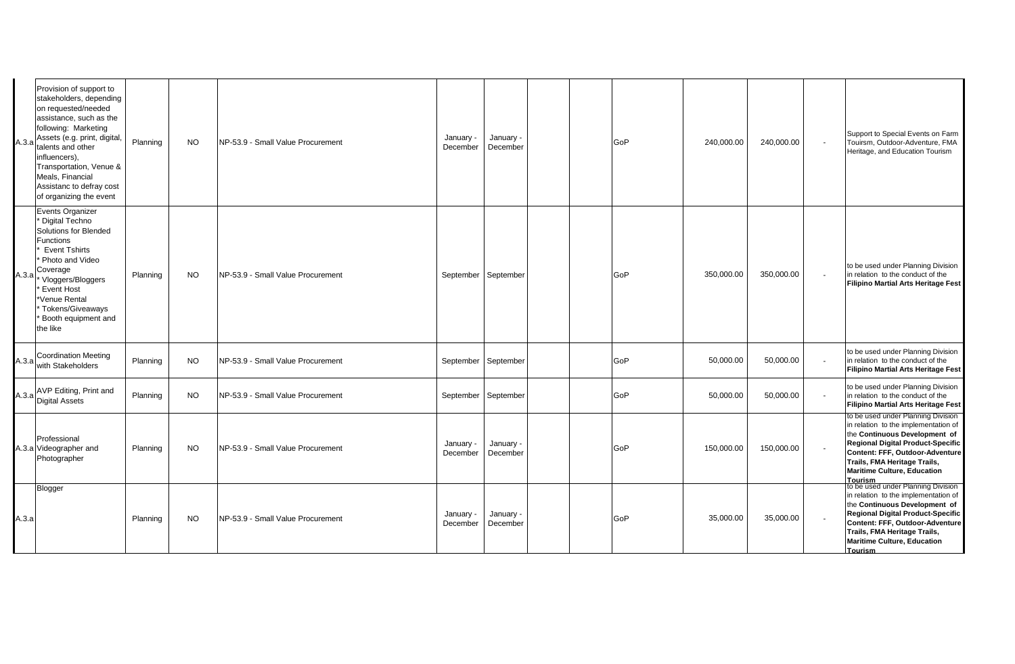| A.3.a | Provision of support to<br>stakeholders, depending<br>on requested/needed<br>assistance, such as the<br>following: Marketing<br>Assets (e.g. print, digital,<br>talents and other<br>influencers),<br>Transportation, Venue &<br>Meals, Financial<br>Assistanc to defray cost<br>of organizing the event | Planning | <b>NO</b> | NP-53.9 - Small Value Procurement | January -<br>December | January -<br>December |  | GoP | 240,000.00 | 240,000.00 |                          | Support to Special Events on Farm<br>Touirsm, Outdoor-Adventure, FMA<br>Heritage, and Education Tourism                                                                                                                                                                            |
|-------|----------------------------------------------------------------------------------------------------------------------------------------------------------------------------------------------------------------------------------------------------------------------------------------------------------|----------|-----------|-----------------------------------|-----------------------|-----------------------|--|-----|------------|------------|--------------------------|------------------------------------------------------------------------------------------------------------------------------------------------------------------------------------------------------------------------------------------------------------------------------------|
| A.3.a | Events Organizer<br><b>Digital Techno</b><br>Solutions for Blended<br>Functions<br><b>Event Tshirts</b><br>Photo and Video<br>Coverage<br>* Vloggers/Bloggers<br>Event Host<br>*Venue Rental<br>Tokens/Giveaways<br>Booth equipment and<br>the like                                                      | Planning | <b>NO</b> | NP-53.9 - Small Value Procurement | September September   |                       |  | GoP | 350,000.00 | 350,000.00 | $\overline{\phantom{a}}$ | to be used under Planning Division<br>in relation to the conduct of the<br>Filipino Martial Arts Heritage Fest                                                                                                                                                                     |
|       | A.3.a Coordination Meeting<br>with Stakeholders                                                                                                                                                                                                                                                          | Planning | <b>NO</b> | NP-53.9 - Small Value Procurement | September September   |                       |  | GoP | 50,000.00  | 50,000.00  |                          | to be used under Planning Division<br>in relation to the conduct of the<br><b>Filipino Martial Arts Heritage Fest</b>                                                                                                                                                              |
|       | A.3.a AVP Editing, Print and<br>Digital Assets                                                                                                                                                                                                                                                           | Planning | NO.       | NP-53.9 - Small Value Procurement | September September   |                       |  | GoP | 50,000.00  | 50,000.00  | $\overline{\phantom{a}}$ | to be used under Planning Division<br>in relation to the conduct of the<br><b>Filipino Martial Arts Heritage Fest</b>                                                                                                                                                              |
|       | Professional<br>A.3.a Videographer and<br>Photographer                                                                                                                                                                                                                                                   | Planning | <b>NO</b> | NP-53.9 - Small Value Procurement | January -<br>December | January -<br>December |  | GoP | 150,000.00 | 150,000.00 |                          | to be used under Planning Division<br>in relation to the implementation of<br>the Continuous Development of<br><b>Regional Digital Product-Specific</b><br>Content: FFF, Outdoor-Adventure<br>Trails, FMA Heritage Trails,<br><b>Maritime Culture, Education</b><br><b>Tourism</b> |
| А.З.а | Blogger                                                                                                                                                                                                                                                                                                  | Planning | <b>NO</b> | NP-53.9 - Small Value Procurement | January -<br>December | January -<br>December |  | GoP | 35,000.00  | 35,000.00  |                          | to be used under Planning Division<br>in relation to the implementation of<br>the Continuous Development of<br>Regional Digital Product-Specific<br>Content: FFF, Outdoor-Adventure<br>Trails, FMA Heritage Trails,<br><b>Maritime Culture, Education</b><br><b>Tourism</b>        |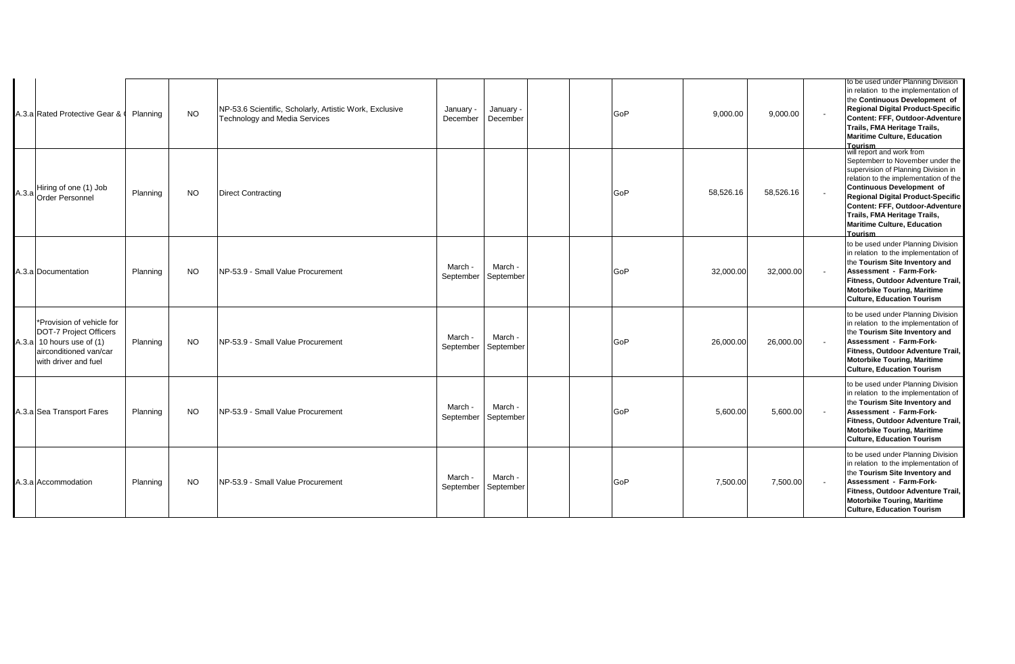| A.3.a Rated Protective Gear & 0                                                                                                                    | Planning | <b>NO</b> | NP-53.6 Scientific, Scholarly, Artistic Work, Exclusive<br><b>Technology and Media Services</b> | January -<br>December | January -<br>December |  | GoP | 9,000.00  | 9,000.00  | to be used under Planning Division<br>in relation to the implementation of<br>the Continuous Development of<br>Regional Digital Product-Specific<br>Content: FFF, Outdoor-Adventure<br>Trails, FMA Heritage Trails,<br><b>Maritime Culture, Education</b><br><b>Tourism</b>                                                                |
|----------------------------------------------------------------------------------------------------------------------------------------------------|----------|-----------|-------------------------------------------------------------------------------------------------|-----------------------|-----------------------|--|-----|-----------|-----------|--------------------------------------------------------------------------------------------------------------------------------------------------------------------------------------------------------------------------------------------------------------------------------------------------------------------------------------------|
| A.3.a Hiring of one (1) Job<br>Order Personnel                                                                                                     | Planning | <b>NO</b> | <b>Direct Contracting</b>                                                                       |                       |                       |  | GoP | 58,526.16 | 58,526.16 | will report and work from<br>Septemberr to November under the<br>supervision of Planning Division in<br>relation to the implementation of the<br>Continuous Development of<br>Regional Digital Product-Specific<br>Content: FFF, Outdoor-Adventure<br>Trails, FMA Heritage Trails,<br><b>Maritime Culture, Education</b><br><b>Tourism</b> |
| A.3.a Documentation                                                                                                                                | Planning | <b>NO</b> | NP-53.9 - Small Value Procurement                                                               | March -<br>September  | March -<br>September  |  | GoP | 32,000.00 | 32,000.00 | to be used under Planning Division<br>in relation to the implementation of<br>the Tourism Site Inventory and<br>Assessment - Farm-Fork-<br>Fitness, Outdoor Adventure Trail,<br><b>Motorbike Touring, Maritime</b><br><b>Culture, Education Tourism</b>                                                                                    |
| *Provision of vehicle for<br><b>DOT-7 Project Officers</b><br>A.3.a $\vert$ 10 hours use of (1)<br>lairconditioned van/car<br>with driver and fuel | Planning | <b>NO</b> | NP-53.9 - Small Value Procurement                                                               | March -<br>September  | March -<br>September  |  | GoP | 26,000.00 | 26,000.00 | to be used under Planning Division<br>in relation to the implementation of<br>the Tourism Site Inventory and<br>Assessment - Farm-Fork-<br>Fitness, Outdoor Adventure Trail,<br><b>Motorbike Touring, Maritime</b><br><b>Culture, Education Tourism</b>                                                                                    |
| A.3.a Sea Transport Fares                                                                                                                          | Planning | <b>NO</b> | INP-53.9 - Small Value Procurement                                                              | March -<br>September  | March -<br>September  |  | GoP | 5,600.00  | 5,600.00  | to be used under Planning Division<br>in relation to the implementation of<br>the Tourism Site Inventory and<br>Assessment - Farm-Fork-<br>Fitness, Outdoor Adventure Trail,<br><b>Motorbike Touring, Maritime</b><br><b>Culture, Education Tourism</b>                                                                                    |
| A.3.a Accommodation                                                                                                                                | Planning | <b>NO</b> | NP-53.9 - Small Value Procurement                                                               | March -<br>September  | March -<br>September  |  | GoP | 7,500.00  | 7,500.00  | to be used under Planning Division<br>in relation to the implementation of<br>the Tourism Site Inventory and<br>Assessment - Farm-Fork-<br>Fitness, Outdoor Adventure Trail,<br><b>Motorbike Touring, Maritime</b><br><b>Culture, Education Tourism</b>                                                                                    |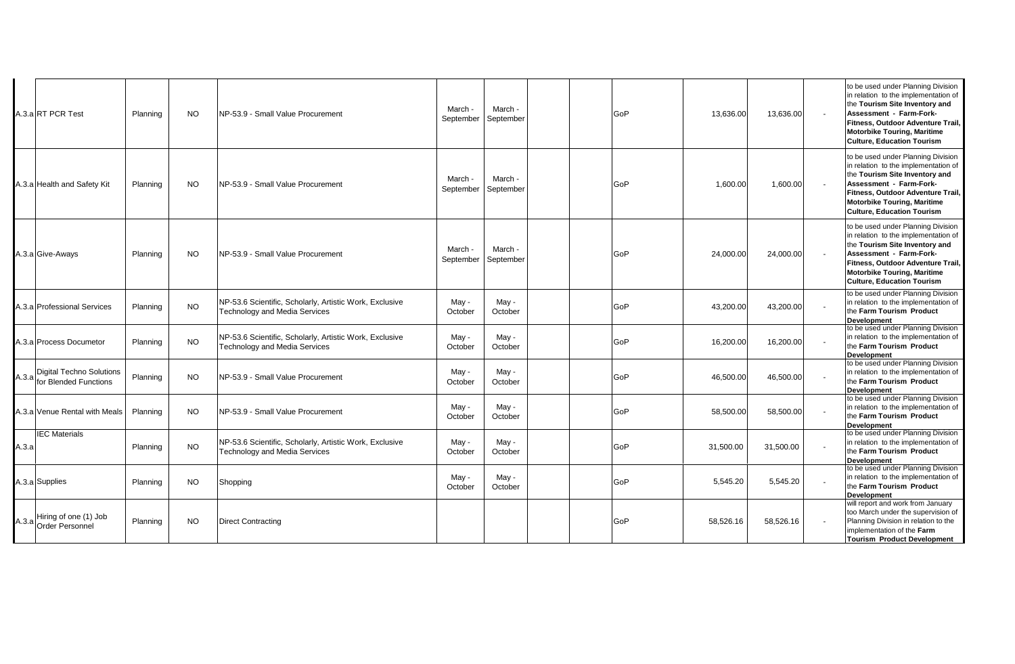|       | A.3.a RT PCR Test                                       | Planning | <b>NO</b> | NP-53.9 - Small Value Procurement                                                               | March<br>September | March -<br>September |  | GoP | 13,636.00 | 13,636.00 | to be used under Planning Division<br>in relation to the implementation of<br>the Tourism Site Inventory and<br>Assessment - Farm-Fork-<br>Fitness, Outdoor Adventure Trail,<br><b>Motorbike Touring, Maritime</b><br><b>Culture, Education Tourism</b> |
|-------|---------------------------------------------------------|----------|-----------|-------------------------------------------------------------------------------------------------|--------------------|----------------------|--|-----|-----------|-----------|---------------------------------------------------------------------------------------------------------------------------------------------------------------------------------------------------------------------------------------------------------|
|       | A.3.a Health and Safety Kit                             | Planning | <b>NO</b> | NP-53.9 - Small Value Procurement                                                               | March<br>September | March -<br>September |  | GoP | 1,600.00  | 1,600.00  | to be used under Planning Division<br>in relation to the implementation of<br>the Tourism Site Inventory and<br>Assessment - Farm-Fork-<br>Fitness, Outdoor Adventure Trail,<br><b>Motorbike Touring, Maritime</b><br><b>Culture, Education Tourism</b> |
|       | A.3.a Give-Aways                                        | Planning | <b>NO</b> | INP-53.9 - Small Value Procurement                                                              | March<br>September | March -<br>September |  | GoP | 24,000.00 | 24,000.00 | to be used under Planning Division<br>in relation to the implementation of<br>the Tourism Site Inventory and<br>Assessment - Farm-Fork-<br>Fitness, Outdoor Adventure Trail,<br><b>Motorbike Touring, Maritime</b><br><b>Culture, Education Tourism</b> |
|       | A.3.a Professional Services                             | Planning | <b>NO</b> | NP-53.6 Scientific, Scholarly, Artistic Work, Exclusive<br>Technology and Media Services        | May -<br>October   | May -<br>October     |  | GoP | 43,200.00 | 43,200.00 | to be used under Planning Division<br>in relation to the implementation of<br>the Farm Tourism Product<br><b>Development</b>                                                                                                                            |
|       | A.3.a Process Documetor                                 | Planning | <b>NO</b> | NP-53.6 Scientific, Scholarly, Artistic Work, Exclusive<br><b>Technology and Media Services</b> | May -<br>October   | May -<br>October     |  | GoP | 16,200.00 | 16,200.00 | to be used under Planning Division<br>in relation to the implementation of<br>the Farm Tourism Product<br>Development                                                                                                                                   |
|       | Digital Techno Solutions<br>A.3.a for Blended Functions | Planning | <b>NO</b> | NP-53.9 - Small Value Procurement                                                               | May -<br>October   | May -<br>October     |  | GoP | 46.500.00 | 46.500.00 | to be used under Planning Division<br>in relation to the implementation of<br>the Farm Tourism Product<br><b>Development</b>                                                                                                                            |
|       | A.3.a Venue Rental with Meals                           | Planning | <b>NO</b> | NP-53.9 - Small Value Procurement                                                               | May -<br>October   | May -<br>October     |  | GoP | 58,500.00 | 58,500.00 | to be used under Planning Division<br>in relation to the implementation of<br>the Farm Tourism Product<br><b>Development</b>                                                                                                                            |
| A.3.a | <b>IEC Materials</b>                                    | Planning | <b>NO</b> | NP-53.6 Scientific, Scholarly, Artistic Work, Exclusive<br><b>Technology and Media Services</b> | May -<br>October   | May -<br>October     |  | GoP | 31,500.00 | 31,500.00 | to be used under Planning Division<br>in relation to the implementation of<br>the Farm Tourism Product<br><b>Development</b>                                                                                                                            |
|       | A.3.a Supplies                                          | Planning | <b>NO</b> | Shopping                                                                                        | May -<br>October   | May -<br>October     |  | GoP | 5,545.20  | 5,545.20  | to be used under Planning Division<br>in relation to the implementation of<br>the Farm Tourism Product<br>Development                                                                                                                                   |
|       | Hiring of one (1) Job<br>A.3.a Order Personnel          | Planning | <b>NO</b> | <b>Direct Contracting</b>                                                                       |                    |                      |  | GoP | 58,526.16 | 58,526.16 | will report and work from January<br>too March under the supervision of<br>Planning Division in relation to the<br>implementation of the Farm<br><b>Tourism Product Development</b>                                                                     |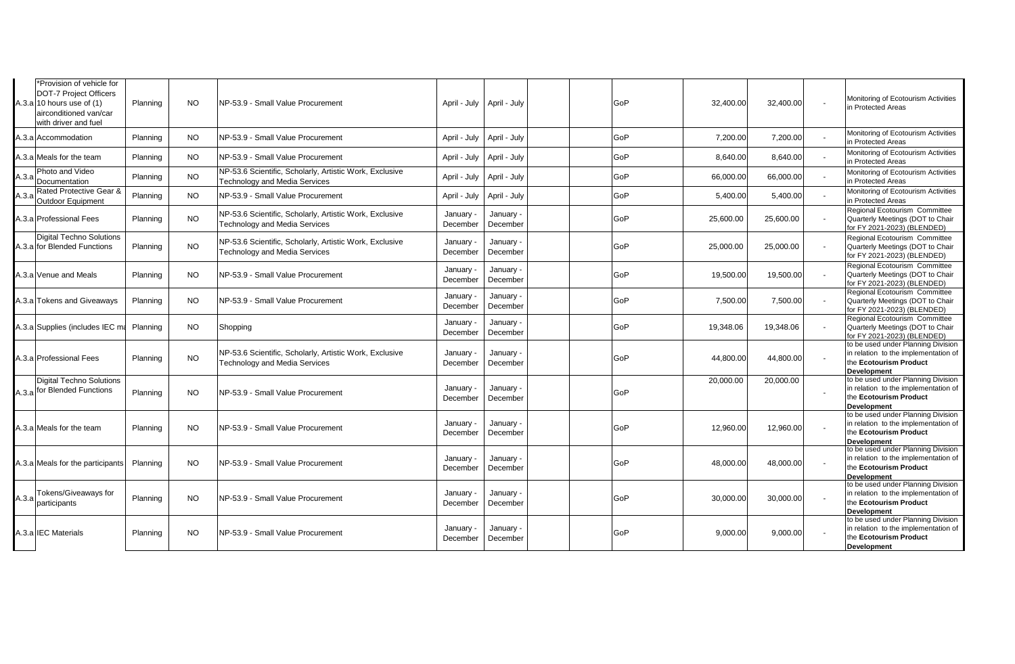| *Provision of vehicle for<br><b>DOT-7 Project Officers</b><br>A.3.a 10 hours use of $(1)$<br>airconditioned van/car<br>with driver and fuel | Planning | <b>NO</b> | NP-53.9 - Small Value Procurement                                                               |                       | April - July   April - July | GoP | 32.400.00 | 32,400.00 | Monitoring of Ecotourism Activities<br>in Protected Areas                                                                  |
|---------------------------------------------------------------------------------------------------------------------------------------------|----------|-----------|-------------------------------------------------------------------------------------------------|-----------------------|-----------------------------|-----|-----------|-----------|----------------------------------------------------------------------------------------------------------------------------|
| A.3.a Accommodation                                                                                                                         | Planning | <b>NO</b> | NP-53.9 - Small Value Procurement                                                               | April - July          | April - July                | GoP | 7,200.00  | 7,200.00  | Monitoring of Ecotourism Activities<br>in Protected Areas                                                                  |
| A.3.a Meals for the team                                                                                                                    | Planning | <b>NO</b> | NP-53.9 - Small Value Procurement                                                               | April - July          | April - July                | GoP | 8,640.00  | 8,640.00  | Monitoring of Ecotourism Activities<br>in Protected Areas                                                                  |
| Photo and Video<br>A.3.a<br>Documentation                                                                                                   | Planning | <b>NO</b> | NP-53.6 Scientific, Scholarly, Artistic Work, Exclusive<br><b>Technology and Media Services</b> | April - July          | April - July                | GoP | 66,000.00 | 66,000.00 | Monitoring of Ecotourism Activities<br>in Protected Areas                                                                  |
| Rated Protective Gear &<br>A.3.a<br>Outdoor Equipment                                                                                       | Planning | <b>NO</b> | NP-53.9 - Small Value Procurement                                                               | April - July          | April - July                | GoP | 5,400.00  | 5,400.00  | Monitoring of Ecotourism Activities<br>in Protected Areas                                                                  |
| A.3.a Professional Fees                                                                                                                     | Planning | <b>NO</b> | NP-53.6 Scientific, Scholarly, Artistic Work, Exclusive<br><b>Technology and Media Services</b> | January<br>December   | January<br>December         | GoP | 25,600.00 | 25,600.00 | Regional Ecotourism Committee<br>Quarterly Meetings (DOT to Chair<br>for FY 2021-2023) (BLENDED)                           |
| <b>Digital Techno Solutions</b><br>A.3.a for Blended Functions                                                                              | Planning | <b>NO</b> | NP-53.6 Scientific, Scholarly, Artistic Work, Exclusive<br>Technology and Media Services        | January<br>December   | January<br>December         | GoP | 25,000.00 | 25,000.00 | Regional Ecotourism Committee<br>Quarterly Meetings (DOT to Chair<br>for FY 2021-2023) (BLENDED)                           |
| A.3.a Venue and Meals                                                                                                                       | Planning | NO.       | NP-53.9 - Small Value Procurement                                                               | January<br>December   | January<br>December         | GoP | 19,500.00 | 19,500.00 | Regional Ecotourism Committee<br>Quarterly Meetings (DOT to Chair<br>for FY 2021-2023) (BLENDED)                           |
| A.3.a Tokens and Giveaways                                                                                                                  | Planning | <b>NO</b> | NP-53.9 - Small Value Procurement                                                               | January<br>December   | January<br>December         | GoP | 7,500.00  | 7,500.00  | Regional Ecotourism Committee<br>Quarterly Meetings (DOT to Chair<br>for FY 2021-2023) (BLENDED)                           |
| A.3.a Supplies (includes IEC ma                                                                                                             | Planning | <b>NO</b> | Shopping                                                                                        | January<br>December   | January<br>December         | GoP | 19,348.06 | 19,348.06 | Regional Ecotourism Committee<br>Quarterly Meetings (DOT to Chair<br>for FY 2021-2023) (BLENDED)                           |
| A.3.a Professional Fees                                                                                                                     | Planning | <b>NO</b> | NP-53.6 Scientific, Scholarly, Artistic Work, Exclusive<br><b>Technology and Media Services</b> | January -<br>December | January<br>December         | GoP | 44,800.00 | 44,800.00 | to be used under Planning Division<br>in relation to the implementation of<br>the Ecotourism Product<br><b>Development</b> |
| <b>Digital Techno Solutions</b><br>A.3.a for Blended Functions                                                                              | Planning | <b>NO</b> | NP-53.9 - Small Value Procurement                                                               | January -<br>December | January<br>December         | GoP | 20,000.00 | 20,000.00 | to be used under Planning Division<br>in relation to the implementation of<br>the Ecotourism Product<br><b>Development</b> |
| A.3.a Meals for the team                                                                                                                    | Planning | <b>NO</b> | NP-53.9 - Small Value Procurement                                                               | January<br>December   | January<br>December         | GoP | 12,960.00 | 12,960.00 | to be used under Planning Division<br>in relation to the implementation of<br>the Ecotourism Product<br><b>Development</b> |
| A.3.a Meals for the participants                                                                                                            | Planning | <b>NO</b> | NP-53.9 - Small Value Procurement                                                               | January<br>December   | January<br>December         | GoP | 48,000.00 | 48,000.00 | to be used under Planning Division<br>in relation to the implementation of<br>the Ecotourism Product<br><b>Development</b> |
| <b>Tokens/Giveaways for</b><br>A.3.a<br>participants                                                                                        | Planning | <b>NO</b> | NP-53.9 - Small Value Procurement                                                               | January<br>December   | January<br>December         | GoP | 30,000.00 | 30,000.00 | to be used under Planning Division<br>in relation to the implementation of<br>the Ecotourism Product<br><b>Development</b> |
| A.3.a IEC Materials                                                                                                                         | Planning | <b>NO</b> | NP-53.9 - Small Value Procurement                                                               | January<br>December   | January<br>December         | GoP | 9.000.00  | 9.000.00  | to be used under Planning Division<br>in relation to the implementation of<br>the Ecotourism Product<br><b>Development</b> |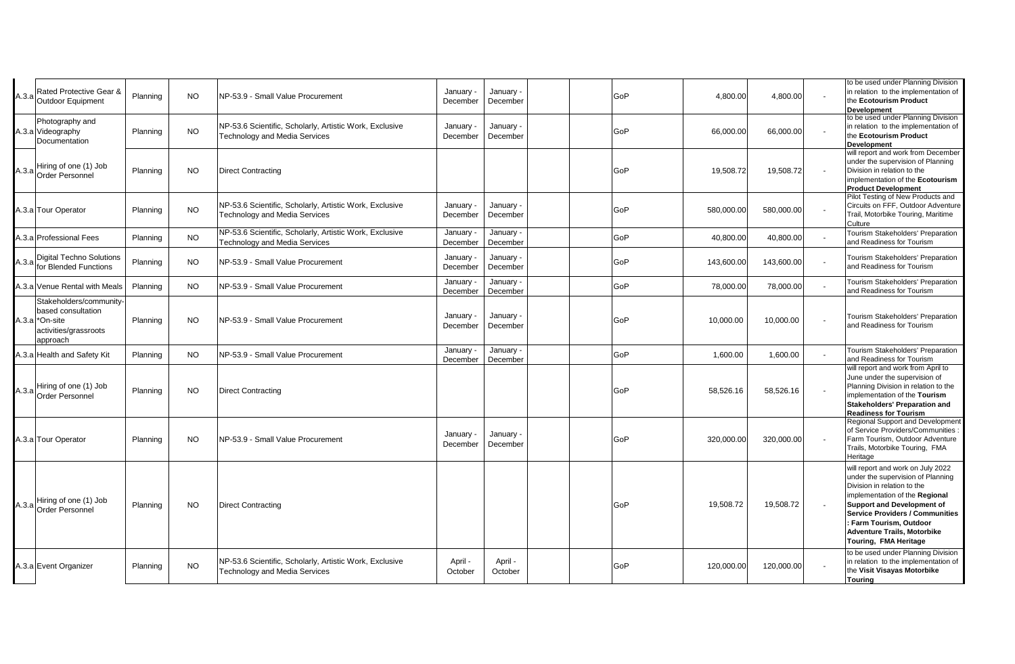| A.3.a | Rated Protective Gear &<br>Outdoor Equipment                                                                     | Planning | <b>NO</b> | NP-53.9 - Small Value Procurement                                                               | January -<br>December | January -<br>December | GoP | 4,800.00   | 4,800.00   | to be used under Planning Division<br>in relation to the implementation of<br>the Ecotourism Product<br>Development                                                                                                                                                                                              |
|-------|------------------------------------------------------------------------------------------------------------------|----------|-----------|-------------------------------------------------------------------------------------------------|-----------------------|-----------------------|-----|------------|------------|------------------------------------------------------------------------------------------------------------------------------------------------------------------------------------------------------------------------------------------------------------------------------------------------------------------|
|       | Photography and<br>A.3.a Videography<br>Documentation                                                            | Planning | <b>NO</b> | NP-53.6 Scientific, Scholarly, Artistic Work, Exclusive<br><b>Technology and Media Services</b> | January -<br>December | January -<br>December | GoP | 66,000.00  | 66,000.00  | to be used under Planning Division<br>in relation to the implementation of<br>the Ecotourism Product<br>Development                                                                                                                                                                                              |
|       | Hiring of one (1) Job<br>A.3.a Order Personnel                                                                   | Planning | <b>NO</b> | <b>Direct Contracting</b>                                                                       |                       |                       | GoP | 19,508.72  | 19,508.72  | will report and work from December<br>under the supervision of Planning<br>Division in relation to the<br>implementation of the Ecotourism<br><b>Product Development</b>                                                                                                                                         |
|       | A.3.a Tour Operator                                                                                              | Planning | <b>NO</b> | NP-53.6 Scientific, Scholarly, Artistic Work, Exclusive<br><b>Technology and Media Services</b> | January<br>December   | January -<br>December | GoP | 580,000.00 | 580,000.00 | Pilot Testing of New Products and<br>Circuits on FFF, Outdoor Adventure<br>Trail, Motorbike Touring, Maritime<br>Culture                                                                                                                                                                                         |
|       | A.3.a Professional Fees                                                                                          | Planning | <b>NO</b> | NP-53.6 Scientific, Scholarly, Artistic Work, Exclusive<br><b>Technology and Media Services</b> | January<br>December   | January -<br>December | GoP | 40,800.00  | 40,800.00  | <b>Tourism Stakeholders' Preparation</b><br>and Readiness for Tourism                                                                                                                                                                                                                                            |
| A.3.a | Digital Techno Solutions<br>for Blended Functions                                                                | Planning | NO.       | NP-53.9 - Small Value Procurement                                                               | January<br>December   | January ·<br>December | GoP | 143,600.00 | 143,600.00 | Tourism Stakeholders' Preparation<br>and Readiness for Tourism                                                                                                                                                                                                                                                   |
|       | A.3.a Venue Rental with Meals                                                                                    | Planning | <b>NO</b> | NP-53.9 - Small Value Procurement                                                               | January<br>December   | January -<br>December | GoP | 78,000.00  | 78,000.00  | Tourism Stakeholders' Preparation<br>and Readiness for Tourism                                                                                                                                                                                                                                                   |
|       | Stakeholders/community-<br>based consultation<br>A.3.a <sup>*</sup> On-site<br>activities/grassroots<br>approach | Planning | <b>NO</b> | INP-53.9 - Small Value Procurement                                                              | January -<br>December | January -<br>December | GoP | 10,000.00  | 10,000.00  | Tourism Stakeholders' Preparation<br>and Readiness for Tourism                                                                                                                                                                                                                                                   |
|       | A.3.a Health and Safety Kit                                                                                      | Planning | <b>NO</b> | NP-53.9 - Small Value Procurement                                                               | January<br>December   | January -<br>December | GoP | 1,600.00   | 1,600.00   | Tourism Stakeholders' Preparation<br>and Readiness for Tourism                                                                                                                                                                                                                                                   |
| A.3.a | Hiring of one (1) Job<br><b>Order Personnel</b>                                                                  | Planning | <b>NO</b> | <b>Direct Contracting</b>                                                                       |                       |                       | GoP | 58,526.16  | 58,526.16  | will report and work from April to<br>June under the supervision of<br>Planning Division in relation to the<br>implementation of the Tourism<br><b>Stakeholders' Preparation and</b><br><b>Readiness for Tourism</b>                                                                                             |
|       | A.3.a Tour Operator                                                                                              | Planning | <b>NO</b> | NP-53.9 - Small Value Procurement                                                               | January<br>December   | January -<br>December | GoP | 320,000.00 | 320,000.00 | Regional Support and Development<br>of Service Providers/Communities<br>Farm Tourism, Outdoor Adventure<br>Trails, Motorbike Touring, FMA<br>Heritage                                                                                                                                                            |
|       | Hiring of one (1) Job<br>A.3.a Order Personnel                                                                   | Planning | <b>NO</b> | <b>Direct Contracting</b>                                                                       |                       |                       | GoP | 19,508.72  | 19,508.72  | will report and work on July 2022<br>under the supervision of Planning<br>Division in relation to the<br>implementation of the Regional<br><b>Support and Development of</b><br><b>Service Providers / Communities</b><br>: Farm Tourism, Outdoor<br><b>Adventure Trails, Motorbike</b><br>Touring, FMA Heritage |
|       | A.3.a Event Organizer                                                                                            | Planning | <b>NO</b> | NP-53.6 Scientific, Scholarly, Artistic Work, Exclusive<br><b>Technology and Media Services</b> | April -<br>October    | April -<br>October    | GoP | 120,000.00 | 120,000.00 | to be used under Planning Division<br>in relation to the implementation of<br>the Visit Visayas Motorbike<br>Touring                                                                                                                                                                                             |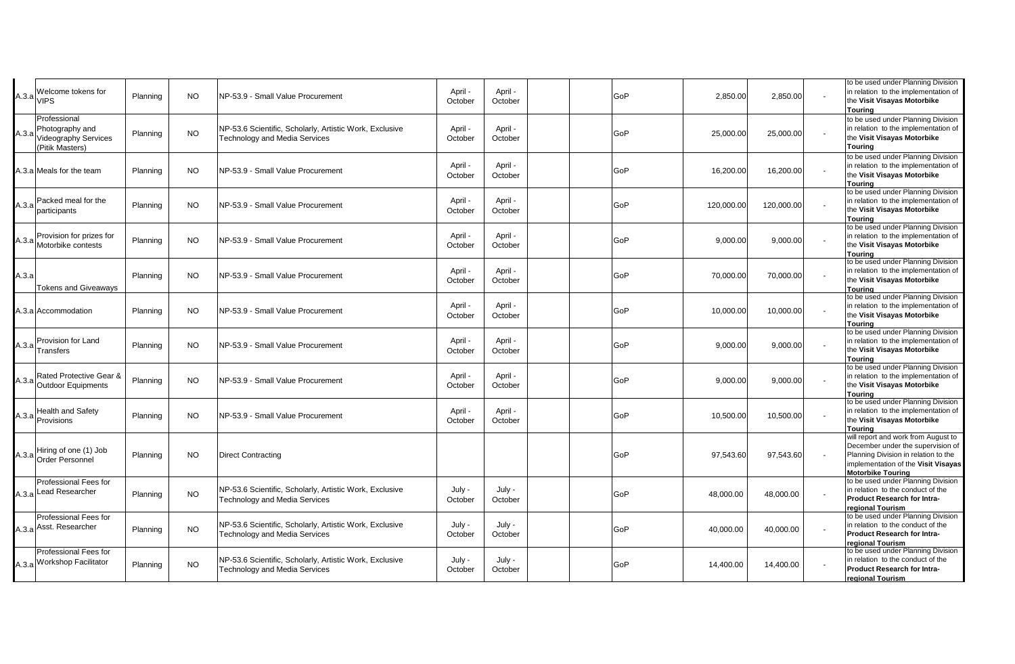| $A.3.a$ VIPS | Welcome tokens for                                                                | Planning | <b>NO</b> | NP-53.9 - Small Value Procurement                                                               | April -<br>October | April -<br>October |  | GoP | 2,850.00   | 2,850.00   | to be used under Planning Division<br>in relation to the implementation of<br>the Visit Visayas Motorbike<br>Touring                                                                |
|--------------|-----------------------------------------------------------------------------------|----------|-----------|-------------------------------------------------------------------------------------------------|--------------------|--------------------|--|-----|------------|------------|-------------------------------------------------------------------------------------------------------------------------------------------------------------------------------------|
| A.3.a        | Professional<br>Photography and<br><b>Videography Services</b><br>(Pitik Masters) | Planning | <b>NO</b> | NP-53.6 Scientific, Scholarly, Artistic Work, Exclusive<br><b>Technology and Media Services</b> | April -<br>October | April -<br>October |  | GoP | 25,000.00  | 25,000.00  | to be used under Planning Division<br>in relation to the implementation of<br>the Visit Visayas Motorbike<br>Touring                                                                |
|              | A.3.a Meals for the team                                                          | Planning | <b>NO</b> | NP-53.9 - Small Value Procurement                                                               | April -<br>October | April -<br>October |  | GoP | 16,200.00  | 16,200.00  | to be used under Planning Division<br>in relation to the implementation of<br>the Visit Visayas Motorbike<br>Tourina                                                                |
|              | Packed meal for the<br>A.3.a participants                                         | Planning | NO.       | NP-53.9 - Small Value Procurement                                                               | April ·<br>October | April -<br>October |  | GoP | 120,000.00 | 120,000.00 | to be used under Planning Division<br>in relation to the implementation of<br>the Visit Visayas Motorbike<br><b>Touring</b>                                                         |
|              | Provision for prizes for<br>A.3.a Motorbike contests                              | Planning | <b>NO</b> | NP-53.9 - Small Value Procurement                                                               | April -<br>October | April -<br>October |  | GoP | 9,000.00   | 9,000.00   | to be used under Planning Division<br>in relation to the implementation of<br>the Visit Visayas Motorbike<br><b>Touring</b>                                                         |
| A.3.a        | <b>Tokens and Giveaways</b>                                                       | Planning | <b>NO</b> | NP-53.9 - Small Value Procurement                                                               | April ·<br>October | April -<br>October |  | GoP | 70,000.00  | 70,000.00  | to be used under Planning Division<br>in relation to the implementation of<br>the Visit Visayas Motorbike<br>Touring                                                                |
|              | A.3.a Accommodation                                                               | Planning | <b>NO</b> | NP-53.9 - Small Value Procurement                                                               | April -<br>October | April -<br>October |  | GoP | 10,000.00  | 10,000.00  | to be used under Planning Division<br>in relation to the implementation of<br>the Visit Visayas Motorbike<br>Tourina                                                                |
|              | Provision for Land<br>$A.3.a$ <sub>Transfers</sub>                                | Planning | <b>NO</b> | NP-53.9 - Small Value Procurement                                                               | April -<br>October | April -<br>October |  | GoP | 9,000.00   | 9,000.00   | to be used under Planning Division<br>in relation to the implementation of<br>the Visit Visayas Motorbike<br><b>Touring</b>                                                         |
| A.3.a        | Rated Protective Gear &<br>Outdoor Equipments                                     | Planning | NO.       | NP-53.9 - Small Value Procurement                                                               | April -<br>October | April -<br>October |  | GoP | 9,000.00   | 9,000.00   | to be used under Planning Division<br>in relation to the implementation of<br>the Visit Visayas Motorbike<br><b>Touring</b>                                                         |
|              | <b>Health and Safety</b><br>A.3.a Provisions                                      | Planning | <b>NO</b> | NP-53.9 - Small Value Procurement                                                               | April -<br>October | April -<br>October |  | GoP | 10,500.00  | 10,500.00  | to be used under Planning Division<br>in relation to the implementation of<br>the Visit Visayas Motorbike<br>Touring                                                                |
|              | A.3.a Hiring of one (1) Job<br>Order Personnel                                    | Planning | <b>NO</b> | <b>Direct Contracting</b>                                                                       |                    |                    |  | GoP | 97,543.60  | 97,543.60  | will report and work from August to<br>December under the supervision of<br>Planning Division in relation to the<br>implementation of the Visit Visayas<br><b>Motorbike Touring</b> |
|              | Professional Fees for<br>A.3.a Lead Researcher                                    | Planning | <b>NO</b> | NP-53.6 Scientific, Scholarly, Artistic Work, Exclusive<br>Technology and Media Services        | July -<br>October  | July -<br>October  |  | GoP | 48,000.00  | 48,000.00  | to be used under Planning Division<br>in relation to the conduct of the<br><b>Product Research for Intra-</b><br>regional Tourism                                                   |
|              | Professional Fees for<br>A.3.a Asst. Researcher                                   | Planning | <b>NO</b> | NP-53.6 Scientific, Scholarly, Artistic Work, Exclusive<br>Technology and Media Services        | July -<br>October  | July -<br>October  |  | GoP | 40,000.00  | 40,000.00  | to be used under Planning Division<br>in relation to the conduct of the<br>Product Research for Intra-<br>regional Tourism                                                          |
|              | Professional Fees for<br>A.3.a Workshop Facilitator                               | Planning | <b>NO</b> | NP-53.6 Scientific, Scholarly, Artistic Work, Exclusive<br>Technology and Media Services        | July -<br>October  | July -<br>October  |  | GoP | 14,400.00  | 14,400.00  | to be used under Planning Division<br>in relation to the conduct of the<br><b>Product Research for Intra-</b><br>regional Tourism                                                   |